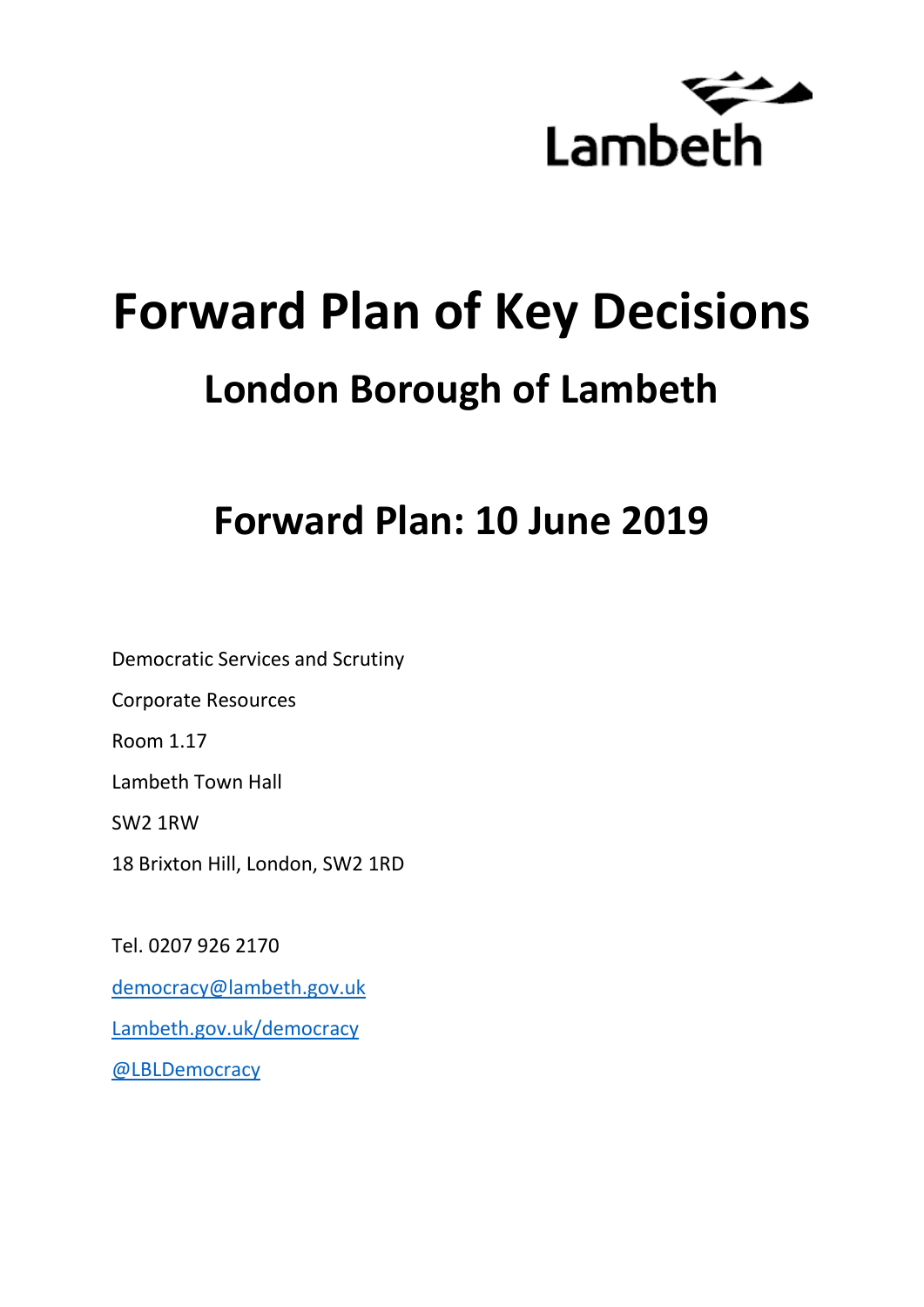

# **Forward Plan of Key Decisions London Borough of Lambeth**

# **Forward Plan: 10 June 2019**

Democratic Services and Scrutiny Corporate Resources Room 1.17 Lambeth Town Hall SW2 1RW 18 Brixton Hill, London, SW2 1RD

Tel. 0207 926 2170 [democracy@lambeth.gov.uk](mailto:democracy@lambeth.gov.uk) [Lambeth.gov.uk/democracy](https://www.lambeth.gov.uk/elections-and-council/meetings-minutes-and-agendas/getting-involved-in-decision-making-guide) [@LBLDemocracy](https://twitter.com/LBLDemocracy?lang=en)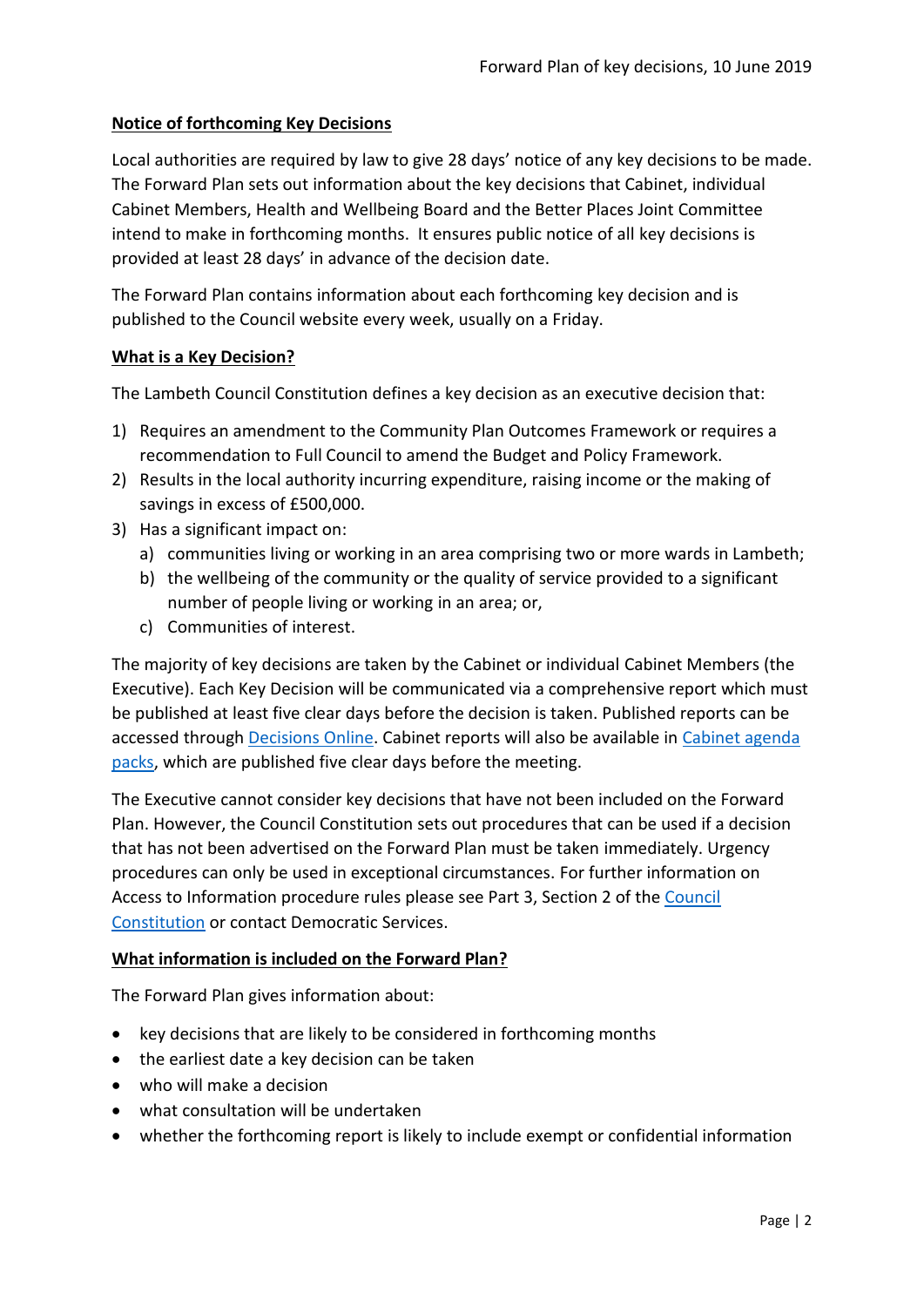# **Notice of forthcoming Key Decisions**

Local authorities are required by law to give 28 days' notice of any key decisions to be made. The Forward Plan sets out information about the key decisions that Cabinet, individual Cabinet Members, Health and Wellbeing Board and the Better Places Joint Committee intend to make in forthcoming months. It ensures public notice of all key decisions is provided at least 28 days' in advance of the decision date.

The Forward Plan contains information about each forthcoming key decision and is published to the Council website every week, usually on a Friday.

#### **What is a Key Decision?**

The Lambeth Council Constitution defines a key decision as an executive decision that:

- 1) Requires an amendment to the Community Plan Outcomes Framework or requires a recommendation to Full Council to amend the Budget and Policy Framework.
- 2) Results in the local authority incurring expenditure, raising income or the making of savings in excess of £500,000.
- 3) Has a significant impact on:
	- a) communities living or working in an area comprising two or more wards in Lambeth;
	- b) the wellbeing of the community or the quality of service provided to a significant number of people living or working in an area; or,
	- c) Communities of interest.

The majority of key decisions are taken by the Cabinet or individual Cabinet Members (the Executive). Each Key Decision will be communicated via a comprehensive report which must be published at least five clear days before the decision is taken. Published reports can be accessed through [Decisions Online.](http://moderngov.lambeth.gov.uk/mgDelegatedDecisions.aspx?bcr=1&DM=0&DS=2&K=0&DR=&V=0) Cabinet reports will also be available in [Cabinet agenda](https://moderngov.lambeth.gov.uk/ieListMeetings.aspx?CommitteeId=225)  [packs,](https://moderngov.lambeth.gov.uk/ieListMeetings.aspx?CommitteeId=225) which are published five clear days before the meeting.

The Executive cannot consider key decisions that have not been included on the Forward Plan. However, the Council Constitution sets out procedures that can be used if a decision that has not been advertised on the Forward Plan must be taken immediately. Urgency procedures can only be used in exceptional circumstances. For further information on Access to Information procedure rules please see Part 3, Section 2 of the [Council](http://moderngov.lambeth.gov.uk/ieListMeetings.aspx?CId=738&info=1&MD=Constitution)  [Constitution](http://moderngov.lambeth.gov.uk/ieListMeetings.aspx?CId=738&info=1&MD=Constitution) or contact Democratic Services.

# **What information is included on the Forward Plan?**

The Forward Plan gives information about:

- key decisions that are likely to be considered in forthcoming months
- the earliest date a key decision can be taken
- who will make a decision
- what consultation will be undertaken
- whether the forthcoming report is likely to include exempt or confidential information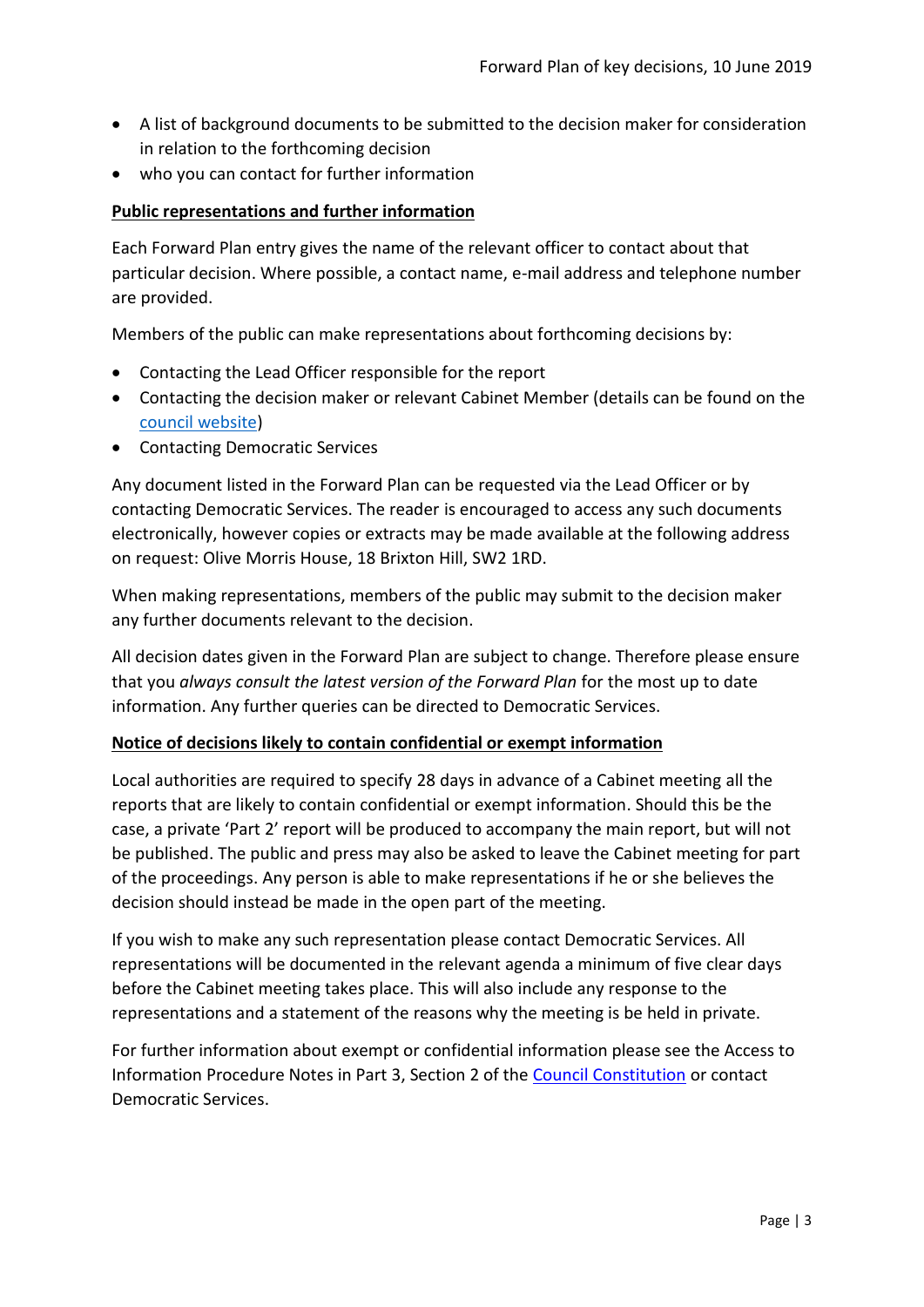- A list of background documents to be submitted to the decision maker for consideration in relation to the forthcoming decision
- who you can contact for further information

# **Public representations and further information**

Each Forward Plan entry gives the name of the relevant officer to contact about that particular decision. Where possible, a contact name, e-mail address and telephone number are provided.

Members of the public can make representations about forthcoming decisions by:

- Contacting the Lead Officer responsible for the report
- Contacting the decision maker or relevant Cabinet Member (details can be found on the [council website\)](http://moderngov.lambeth.gov.uk/mgMemberIndex.aspx?bcr=1)
- Contacting Democratic Services

Any document listed in the Forward Plan can be requested via the Lead Officer or by contacting Democratic Services. The reader is encouraged to access any such documents electronically, however copies or extracts may be made available at the following address on request: Olive Morris House, 18 Brixton Hill, SW2 1RD.

When making representations, members of the public may submit to the decision maker any further documents relevant to the decision.

All decision dates given in the Forward Plan are subject to change. Therefore please ensure that you *always consult the latest version of the Forward Plan* for the most up to date information. Any further queries can be directed to Democratic Services.

#### **Notice of decisions likely to contain confidential or exempt information**

Local authorities are required to specify 28 days in advance of a Cabinet meeting all the reports that are likely to contain confidential or exempt information. Should this be the case, a private 'Part 2' report will be produced to accompany the main report, but will not be published. The public and press may also be asked to leave the Cabinet meeting for part of the proceedings. Any person is able to make representations if he or she believes the decision should instead be made in the open part of the meeting.

If you wish to make any such representation please contact Democratic Services. All representations will be documented in the relevant agenda a minimum of five clear days before the Cabinet meeting takes place. This will also include any response to the representations and a statement of the reasons why the meeting is be held in private.

For further information about exempt or confidential information please see the Access to Information Procedure Notes in Part 3, Section 2 of the [Council Constitution](http://www.lambeth.gov.uk/sites/default/files/ec-Council-Constitution-2014-15-approved-with-changes-November-2014.pdf) or contact Democratic Services.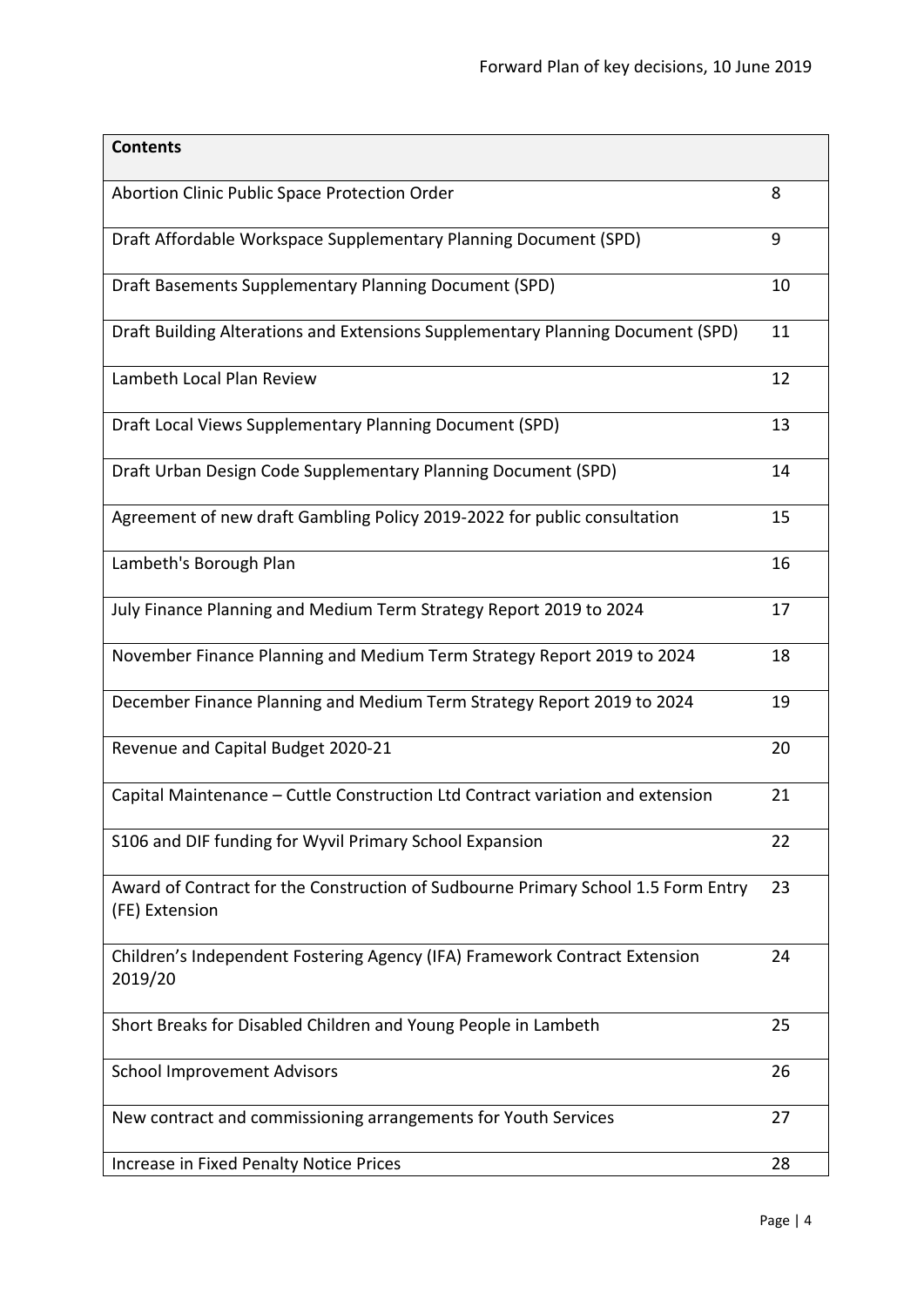| <b>Contents</b>                                                                                     |    |
|-----------------------------------------------------------------------------------------------------|----|
| Abortion Clinic Public Space Protection Order                                                       | 8  |
| Draft Affordable Workspace Supplementary Planning Document (SPD)                                    | 9  |
| Draft Basements Supplementary Planning Document (SPD)                                               | 10 |
| Draft Building Alterations and Extensions Supplementary Planning Document (SPD)                     | 11 |
| Lambeth Local Plan Review                                                                           | 12 |
| Draft Local Views Supplementary Planning Document (SPD)                                             | 13 |
| Draft Urban Design Code Supplementary Planning Document (SPD)                                       | 14 |
| Agreement of new draft Gambling Policy 2019-2022 for public consultation                            | 15 |
| Lambeth's Borough Plan                                                                              | 16 |
| July Finance Planning and Medium Term Strategy Report 2019 to 2024                                  | 17 |
| November Finance Planning and Medium Term Strategy Report 2019 to 2024                              | 18 |
| December Finance Planning and Medium Term Strategy Report 2019 to 2024                              | 19 |
| Revenue and Capital Budget 2020-21                                                                  | 20 |
| Capital Maintenance - Cuttle Construction Ltd Contract variation and extension                      | 21 |
| S106 and DIF funding for Wyvil Primary School Expansion                                             | 22 |
| Award of Contract for the Construction of Sudbourne Primary School 1.5 Form Entry<br>(FE) Extension | 23 |
| Children's Independent Fostering Agency (IFA) Framework Contract Extension<br>2019/20               | 24 |
| Short Breaks for Disabled Children and Young People in Lambeth                                      | 25 |
| <b>School Improvement Advisors</b>                                                                  | 26 |
| New contract and commissioning arrangements for Youth Services                                      | 27 |
| Increase in Fixed Penalty Notice Prices                                                             | 28 |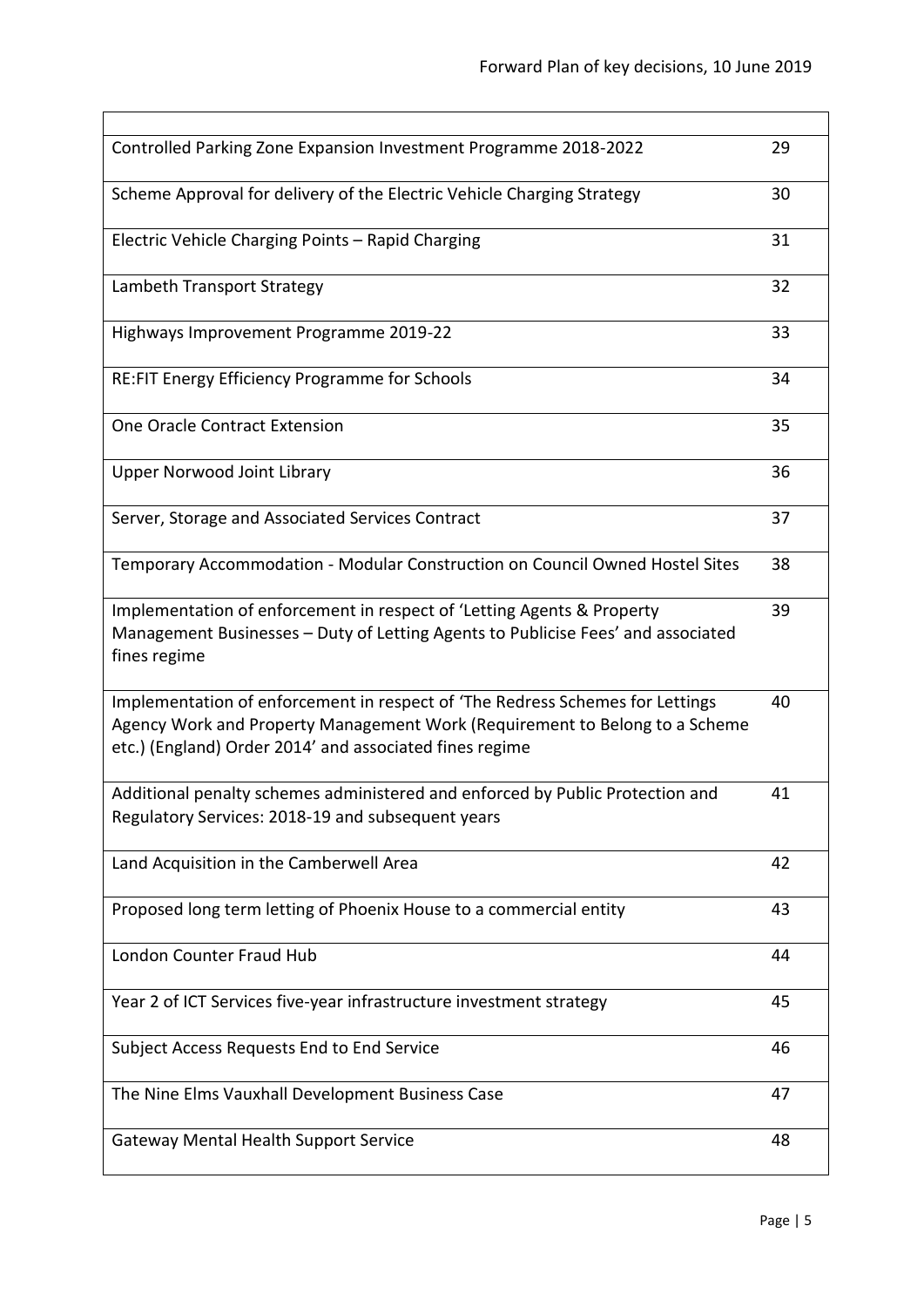| Controlled Parking Zone Expansion Investment Programme 2018-2022                                                                                                                                                        | 29 |
|-------------------------------------------------------------------------------------------------------------------------------------------------------------------------------------------------------------------------|----|
| Scheme Approval for delivery of the Electric Vehicle Charging Strategy                                                                                                                                                  | 30 |
| Electric Vehicle Charging Points - Rapid Charging                                                                                                                                                                       | 31 |
| Lambeth Transport Strategy                                                                                                                                                                                              | 32 |
| Highways Improvement Programme 2019-22                                                                                                                                                                                  | 33 |
| RE:FIT Energy Efficiency Programme for Schools                                                                                                                                                                          | 34 |
| One Oracle Contract Extension                                                                                                                                                                                           | 35 |
| <b>Upper Norwood Joint Library</b>                                                                                                                                                                                      | 36 |
| Server, Storage and Associated Services Contract                                                                                                                                                                        | 37 |
| Temporary Accommodation - Modular Construction on Council Owned Hostel Sites                                                                                                                                            | 38 |
| Implementation of enforcement in respect of 'Letting Agents & Property<br>Management Businesses - Duty of Letting Agents to Publicise Fees' and associated<br>fines regime                                              | 39 |
| Implementation of enforcement in respect of 'The Redress Schemes for Lettings<br>Agency Work and Property Management Work (Requirement to Belong to a Scheme<br>etc.) (England) Order 2014' and associated fines regime | 40 |
| Additional penalty schemes administered and enforced by Public Protection and<br>Regulatory Services: 2018-19 and subsequent years                                                                                      | 41 |
| Land Acquisition in the Camberwell Area                                                                                                                                                                                 | 42 |
| Proposed long term letting of Phoenix House to a commercial entity                                                                                                                                                      | 43 |
| London Counter Fraud Hub                                                                                                                                                                                                | 44 |
| Year 2 of ICT Services five-year infrastructure investment strategy                                                                                                                                                     | 45 |
| Subject Access Requests End to End Service                                                                                                                                                                              | 46 |
| The Nine Elms Vauxhall Development Business Case                                                                                                                                                                        | 47 |
| <b>Gateway Mental Health Support Service</b>                                                                                                                                                                            | 48 |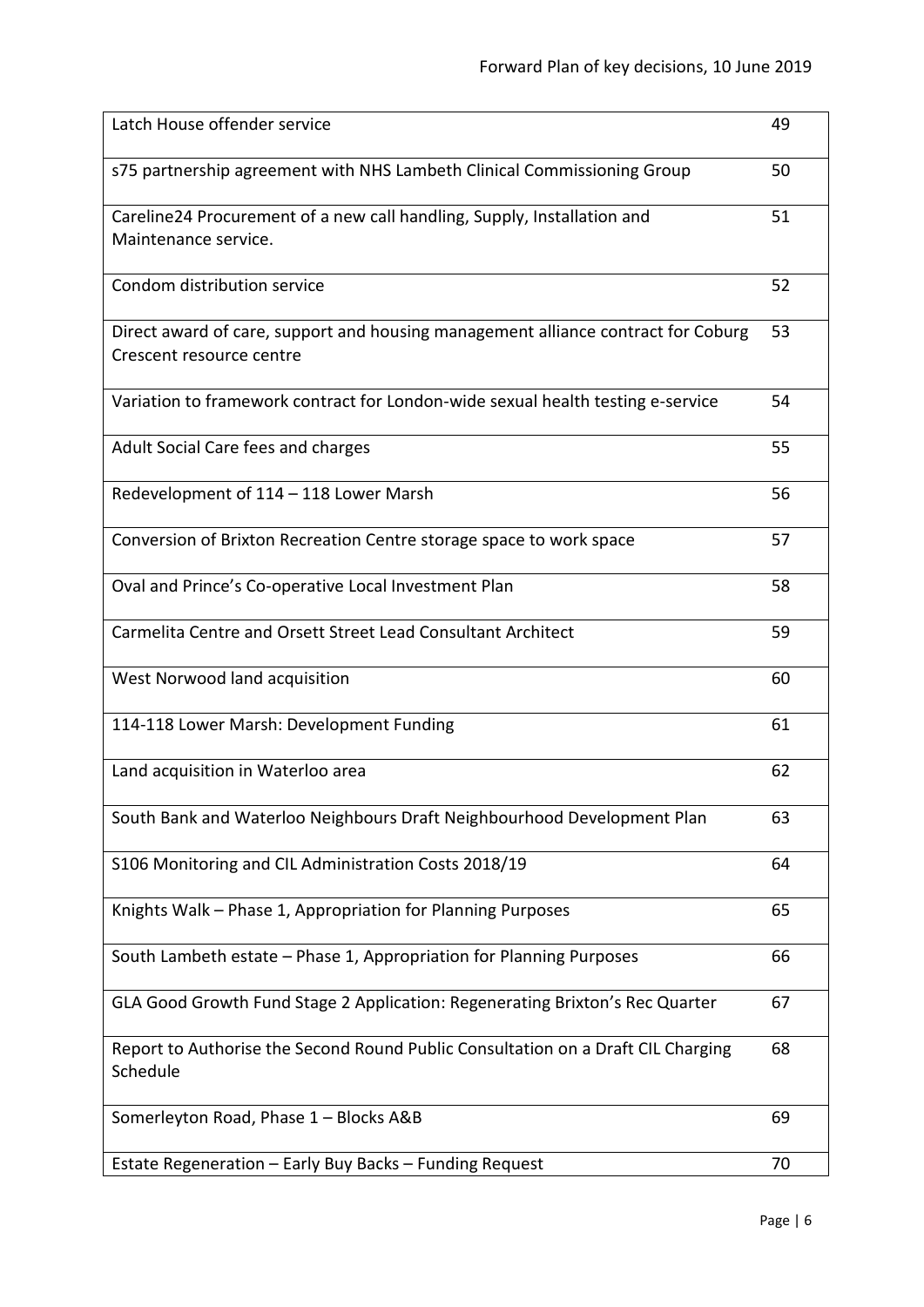| Latch House offender service                                                                                  | 49 |
|---------------------------------------------------------------------------------------------------------------|----|
| s75 partnership agreement with NHS Lambeth Clinical Commissioning Group                                       | 50 |
| Careline24 Procurement of a new call handling, Supply, Installation and<br>Maintenance service.               | 51 |
| Condom distribution service                                                                                   | 52 |
| Direct award of care, support and housing management alliance contract for Coburg<br>Crescent resource centre | 53 |
| Variation to framework contract for London-wide sexual health testing e-service                               | 54 |
| Adult Social Care fees and charges                                                                            | 55 |
| Redevelopment of 114 - 118 Lower Marsh                                                                        | 56 |
| Conversion of Brixton Recreation Centre storage space to work space                                           | 57 |
| Oval and Prince's Co-operative Local Investment Plan                                                          | 58 |
| Carmelita Centre and Orsett Street Lead Consultant Architect                                                  | 59 |
| West Norwood land acquisition                                                                                 | 60 |
| 114-118 Lower Marsh: Development Funding                                                                      | 61 |
| Land acquisition in Waterloo area                                                                             | 62 |
| South Bank and Waterloo Neighbours Draft Neighbourhood Development Plan                                       | 63 |
| S106 Monitoring and CIL Administration Costs 2018/19                                                          | 64 |
| Knights Walk - Phase 1, Appropriation for Planning Purposes                                                   | 65 |
| South Lambeth estate - Phase 1, Appropriation for Planning Purposes                                           | 66 |
| GLA Good Growth Fund Stage 2 Application: Regenerating Brixton's Rec Quarter                                  | 67 |
| Report to Authorise the Second Round Public Consultation on a Draft CIL Charging<br>Schedule                  | 68 |
| Somerleyton Road, Phase 1 - Blocks A&B                                                                        | 69 |
| Estate Regeneration - Early Buy Backs - Funding Request                                                       | 70 |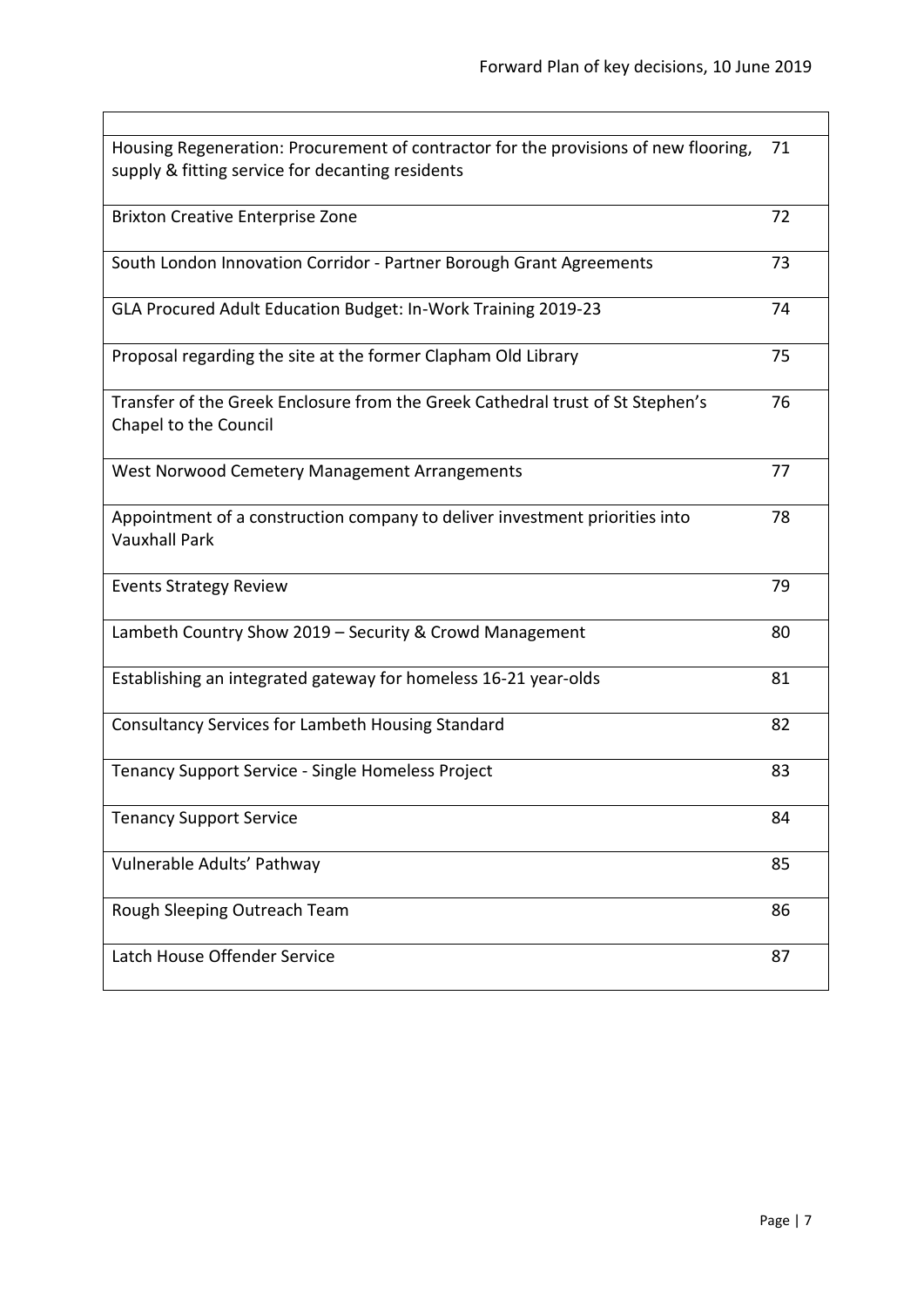| Housing Regeneration: Procurement of contractor for the provisions of new flooring,<br>supply & fitting service for decanting residents | 71 |
|-----------------------------------------------------------------------------------------------------------------------------------------|----|
| <b>Brixton Creative Enterprise Zone</b>                                                                                                 | 72 |
| South London Innovation Corridor - Partner Borough Grant Agreements                                                                     | 73 |
| GLA Procured Adult Education Budget: In-Work Training 2019-23                                                                           | 74 |
| Proposal regarding the site at the former Clapham Old Library                                                                           | 75 |
| Transfer of the Greek Enclosure from the Greek Cathedral trust of St Stephen's<br>Chapel to the Council                                 | 76 |
| West Norwood Cemetery Management Arrangements                                                                                           | 77 |
| Appointment of a construction company to deliver investment priorities into<br><b>Vauxhall Park</b>                                     | 78 |
| <b>Events Strategy Review</b>                                                                                                           | 79 |
| Lambeth Country Show 2019 - Security & Crowd Management                                                                                 | 80 |
| Establishing an integrated gateway for homeless 16-21 year-olds                                                                         | 81 |
| Consultancy Services for Lambeth Housing Standard                                                                                       | 82 |
| Tenancy Support Service - Single Homeless Project                                                                                       | 83 |
| <b>Tenancy Support Service</b>                                                                                                          | 84 |
| Vulnerable Adults' Pathway                                                                                                              | 85 |
| Rough Sleeping Outreach Team                                                                                                            | 86 |
| Latch House Offender Service                                                                                                            | 87 |
|                                                                                                                                         |    |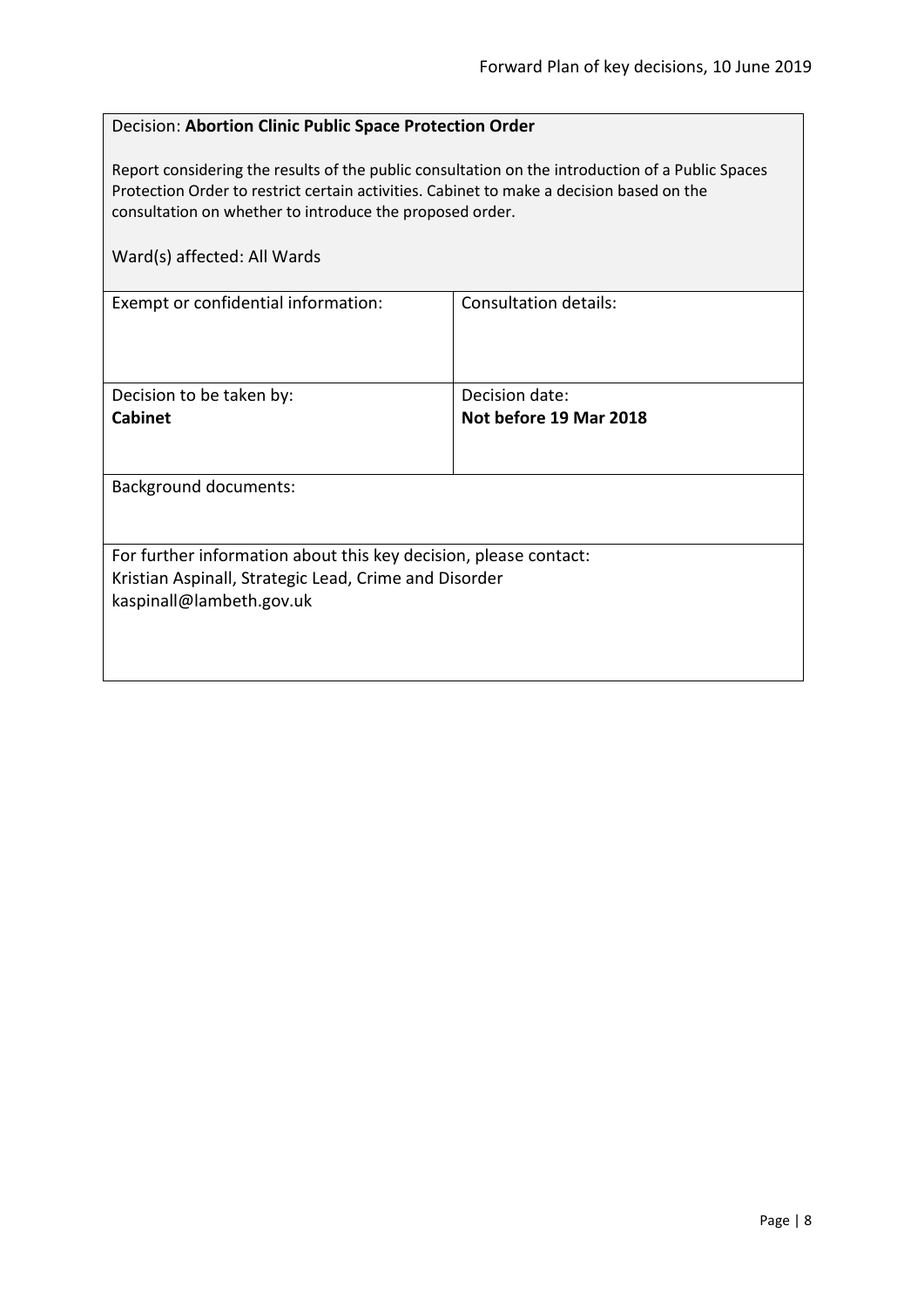## <span id="page-7-0"></span>Decision: **Abortion Clinic Public Space Protection Order**

Report considering the results of the public consultation on the introduction of a Public Spaces Protection Order to restrict certain activities. Cabinet to make a decision based on the consultation on whether to introduce the proposed order.

| Ward(s) affected: All Wards                                                                                                                           |                              |
|-------------------------------------------------------------------------------------------------------------------------------------------------------|------------------------------|
| Exempt or confidential information:                                                                                                                   | <b>Consultation details:</b> |
| Decision to be taken by:                                                                                                                              | Decision date:               |
| <b>Cabinet</b>                                                                                                                                        | Not before 19 Mar 2018       |
| <b>Background documents:</b>                                                                                                                          |                              |
| For further information about this key decision, please contact:<br>Kristian Aspinall, Strategic Lead, Crime and Disorder<br>kaspinall@lambeth.gov.uk |                              |
|                                                                                                                                                       |                              |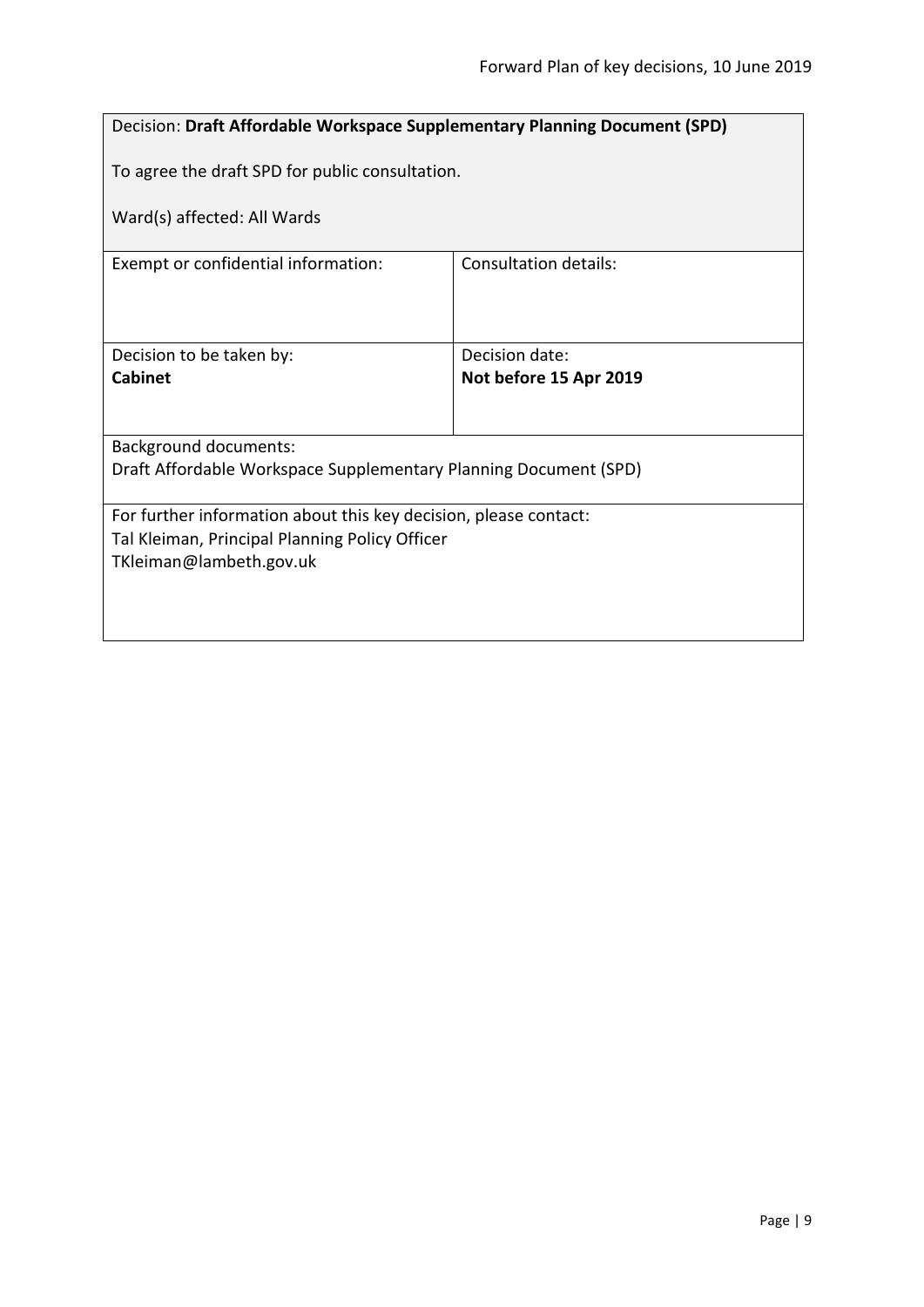<span id="page-8-0"></span>

| <b>Decision: Draft Affordable Workspace Supplementary Planning Document (SPD)</b> |                        |  |
|-----------------------------------------------------------------------------------|------------------------|--|
| To agree the draft SPD for public consultation.                                   |                        |  |
| Ward(s) affected: All Wards                                                       |                        |  |
| Exempt or confidential information:                                               | Consultation details:  |  |
|                                                                                   |                        |  |
|                                                                                   |                        |  |
| Decision to be taken by:                                                          | Decision date:         |  |
| <b>Cabinet</b>                                                                    | Not before 15 Apr 2019 |  |
|                                                                                   |                        |  |
| <b>Background documents:</b>                                                      |                        |  |
| Draft Affordable Workspace Supplementary Planning Document (SPD)                  |                        |  |
| For further information about this key decision, please contact:                  |                        |  |
| Tal Kleiman, Principal Planning Policy Officer                                    |                        |  |
| TKleiman@lambeth.gov.uk                                                           |                        |  |
|                                                                                   |                        |  |
|                                                                                   |                        |  |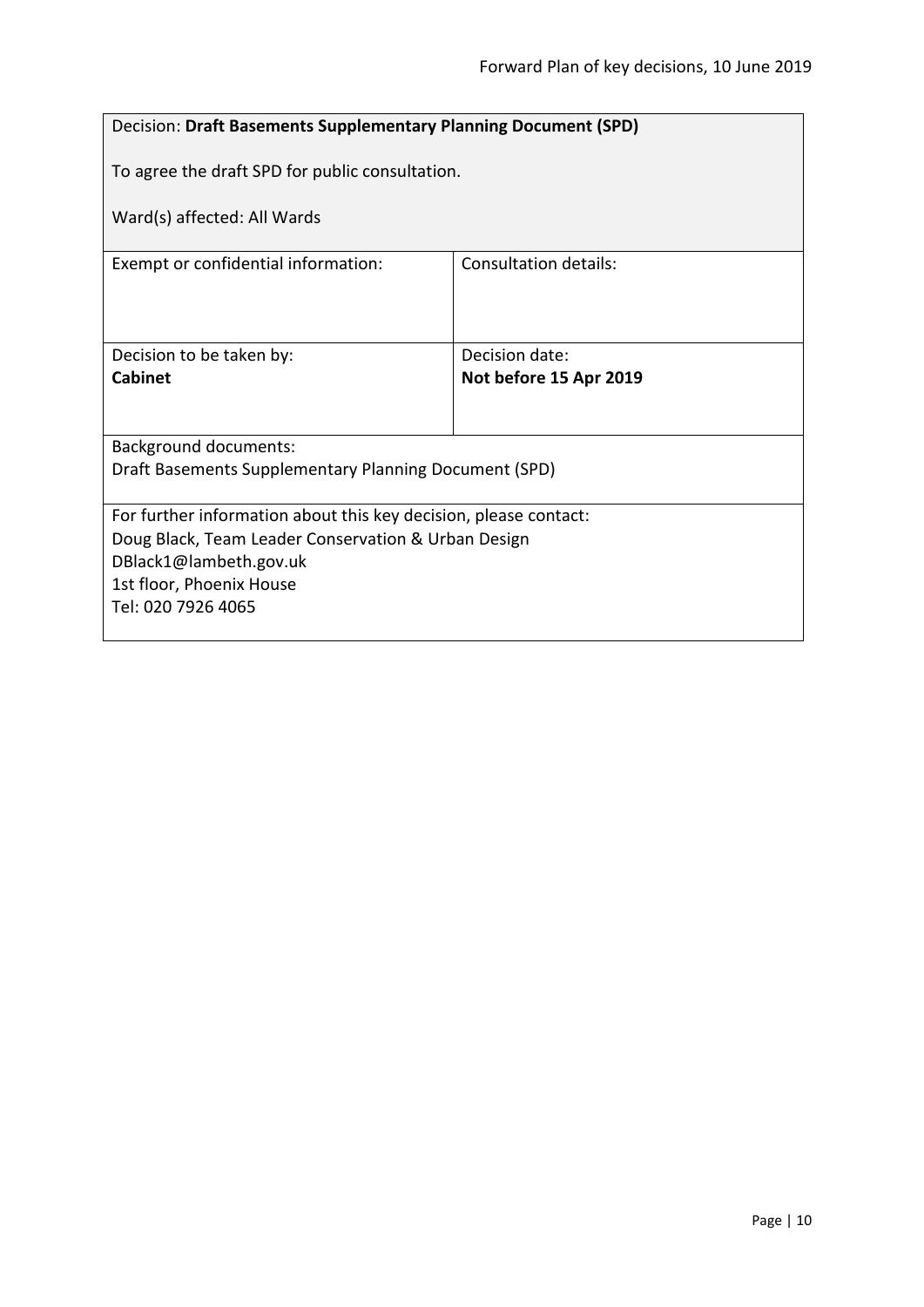<span id="page-9-0"></span>

| Decision: Draft Basements Supplementary Planning Document (SPD)  |                        |  |
|------------------------------------------------------------------|------------------------|--|
| To agree the draft SPD for public consultation.                  |                        |  |
| Ward(s) affected: All Wards                                      |                        |  |
| Exempt or confidential information:                              | Consultation details:  |  |
|                                                                  |                        |  |
| Decision to be taken by:                                         | Decision date:         |  |
| Cabinet                                                          | Not before 15 Apr 2019 |  |
|                                                                  |                        |  |
| <b>Background documents:</b>                                     |                        |  |
| Draft Basements Supplementary Planning Document (SPD)            |                        |  |
| For further information about this key decision, please contact: |                        |  |
| Doug Black, Team Leader Conservation & Urban Design              |                        |  |
| DBlack1@lambeth.gov.uk                                           |                        |  |
| 1st floor, Phoenix House<br>Tel: 020 7926 4065                   |                        |  |
|                                                                  |                        |  |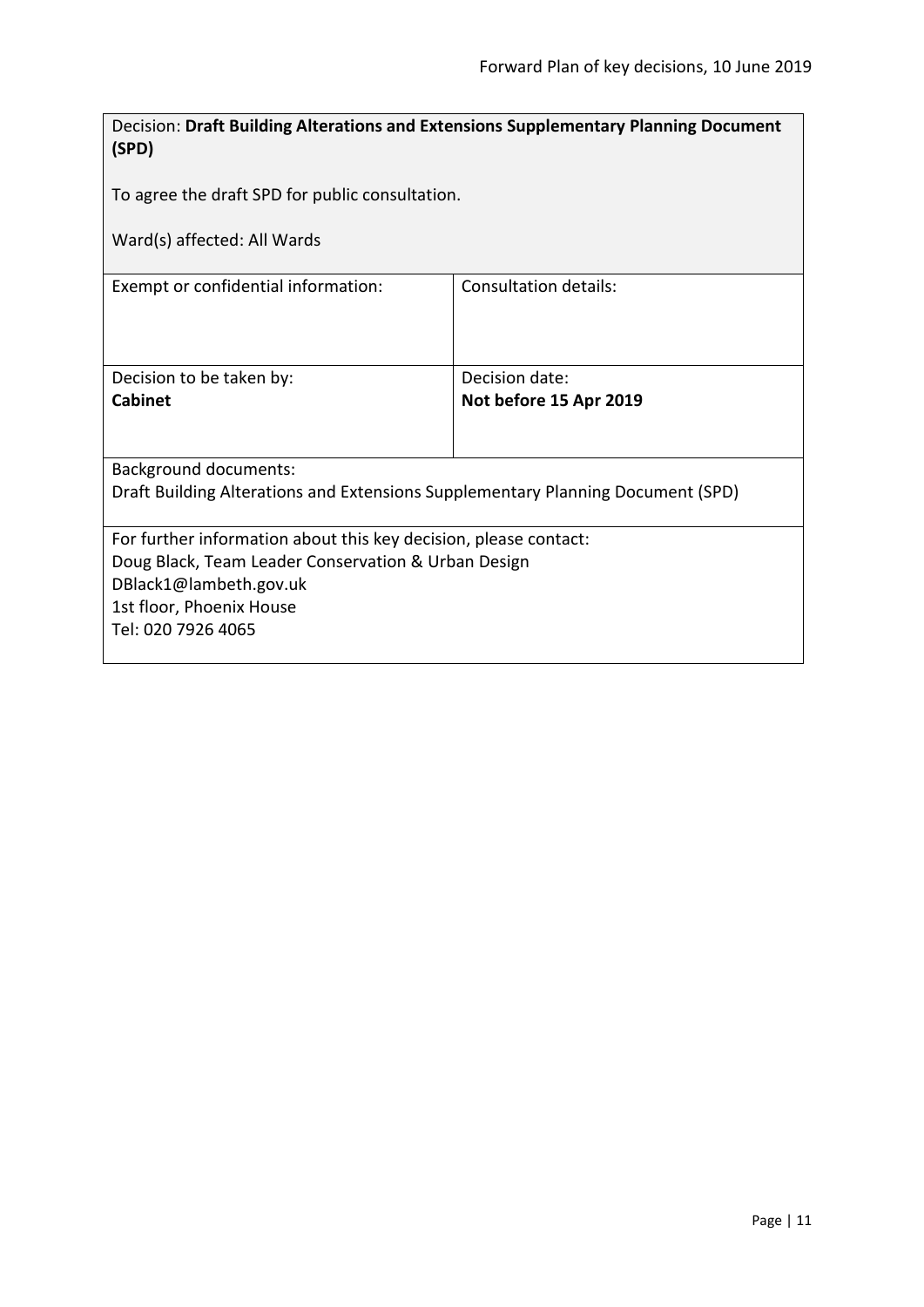<span id="page-10-0"></span>

| Decision: Draft Building Alterations and Extensions Supplementary Planning Document |                        |  |
|-------------------------------------------------------------------------------------|------------------------|--|
| (SPD)                                                                               |                        |  |
|                                                                                     |                        |  |
| To agree the draft SPD for public consultation.                                     |                        |  |
| Ward(s) affected: All Wards                                                         |                        |  |
|                                                                                     |                        |  |
| Exempt or confidential information:                                                 | Consultation details:  |  |
|                                                                                     |                        |  |
|                                                                                     |                        |  |
|                                                                                     |                        |  |
| Decision to be taken by:                                                            | Decision date:         |  |
| <b>Cabinet</b>                                                                      | Not before 15 Apr 2019 |  |
|                                                                                     |                        |  |
| Background documents:                                                               |                        |  |
| Draft Building Alterations and Extensions Supplementary Planning Document (SPD)     |                        |  |
|                                                                                     |                        |  |
| For further information about this key decision, please contact:                    |                        |  |
| Doug Black, Team Leader Conservation & Urban Design                                 |                        |  |
| DBlack1@lambeth.gov.uk                                                              |                        |  |
| 1st floor, Phoenix House                                                            |                        |  |
| Tel: 020 7926 4065                                                                  |                        |  |
|                                                                                     |                        |  |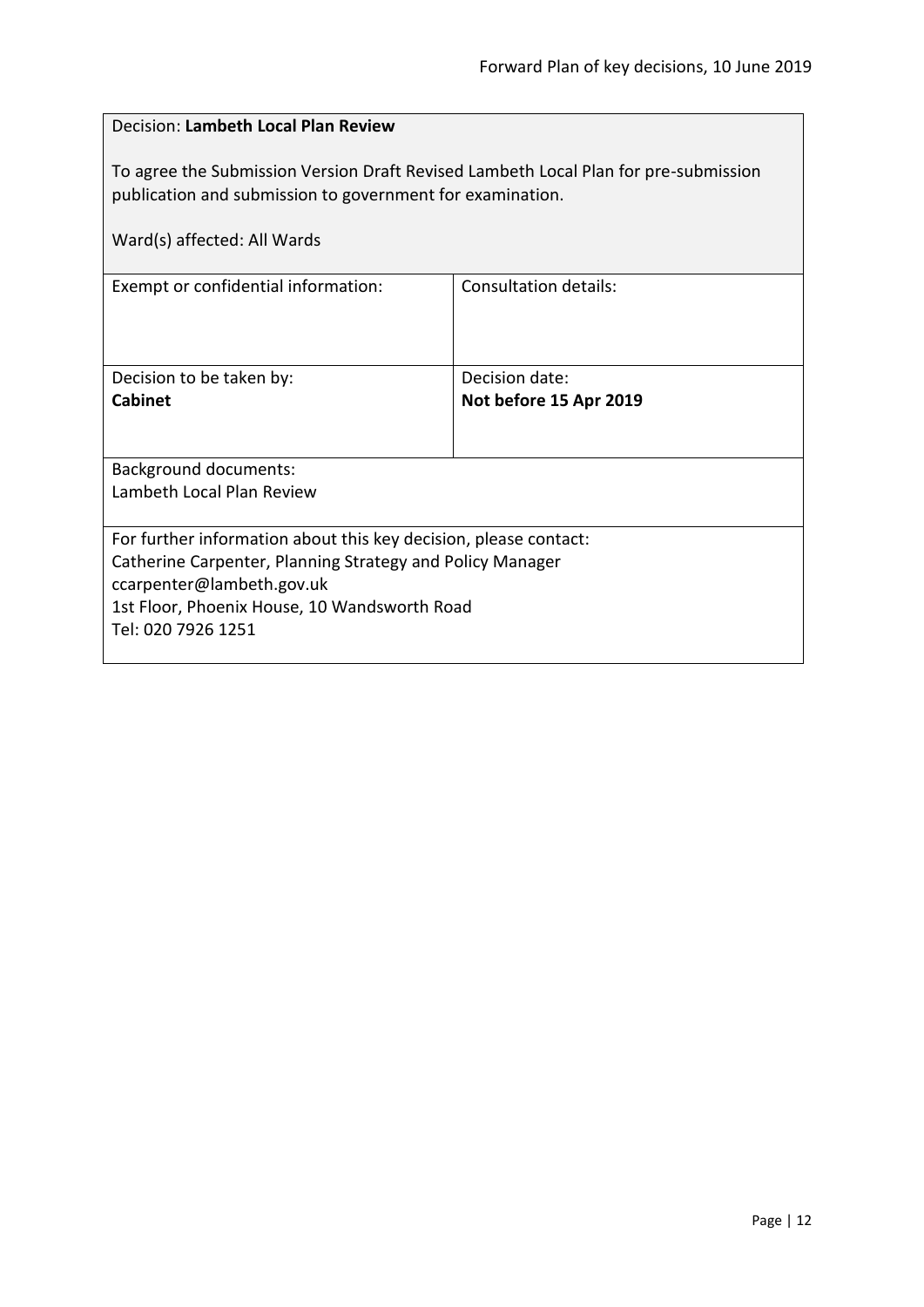<span id="page-11-0"></span>

| Decision: Lambeth Local Plan Review                                                                                                                                             |                              |  |
|---------------------------------------------------------------------------------------------------------------------------------------------------------------------------------|------------------------------|--|
| To agree the Submission Version Draft Revised Lambeth Local Plan for pre-submission<br>publication and submission to government for examination.<br>Ward(s) affected: All Wards |                              |  |
|                                                                                                                                                                                 |                              |  |
| Exempt or confidential information:                                                                                                                                             | <b>Consultation details:</b> |  |
|                                                                                                                                                                                 |                              |  |
| Decision to be taken by:                                                                                                                                                        | Decision date:               |  |
| <b>Cabinet</b>                                                                                                                                                                  | Not before 15 Apr 2019       |  |
|                                                                                                                                                                                 |                              |  |
| <b>Background documents:</b>                                                                                                                                                    |                              |  |
| Lambeth Local Plan Review                                                                                                                                                       |                              |  |
| For further information about this key decision, please contact:                                                                                                                |                              |  |
| Catherine Carpenter, Planning Strategy and Policy Manager                                                                                                                       |                              |  |
| ccarpenter@lambeth.gov.uk                                                                                                                                                       |                              |  |
| 1st Floor, Phoenix House, 10 Wandsworth Road<br>Tel: 020 7926 1251                                                                                                              |                              |  |
|                                                                                                                                                                                 |                              |  |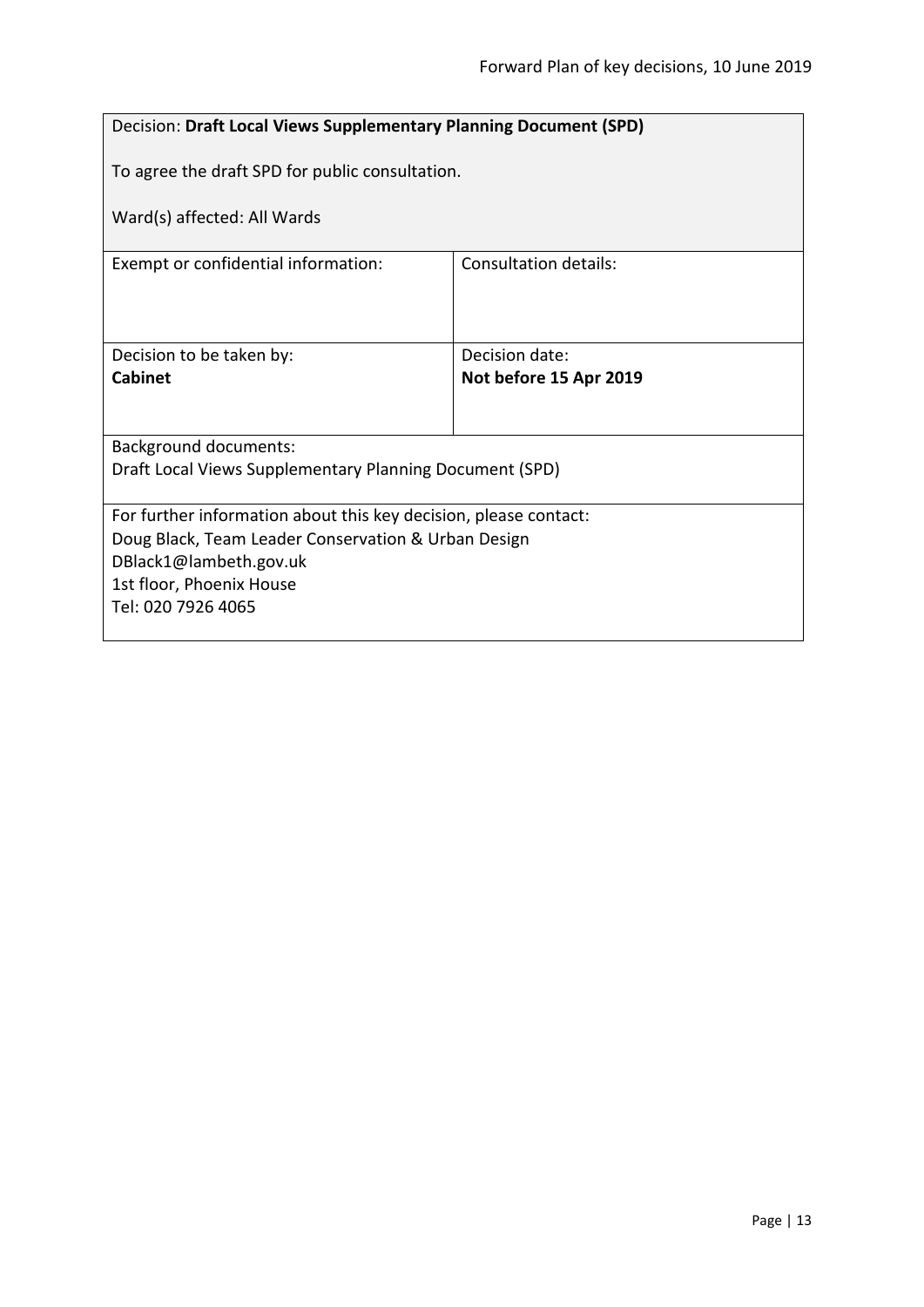<span id="page-12-0"></span>

| Decision: Draft Local Views Supplementary Planning Document (SPD) |                        |  |
|-------------------------------------------------------------------|------------------------|--|
| To agree the draft SPD for public consultation.                   |                        |  |
| Ward(s) affected: All Wards                                       |                        |  |
| Exempt or confidential information:                               | Consultation details:  |  |
|                                                                   |                        |  |
| Decision to be taken by:                                          | Decision date:         |  |
| <b>Cabinet</b>                                                    | Not before 15 Apr 2019 |  |
|                                                                   |                        |  |
| <b>Background documents:</b>                                      |                        |  |
| Draft Local Views Supplementary Planning Document (SPD)           |                        |  |
| For further information about this key decision, please contact:  |                        |  |
| Doug Black, Team Leader Conservation & Urban Design               |                        |  |
| DBlack1@lambeth.gov.uk                                            |                        |  |
| 1st floor, Phoenix House<br>Tel: 020 7926 4065                    |                        |  |
|                                                                   |                        |  |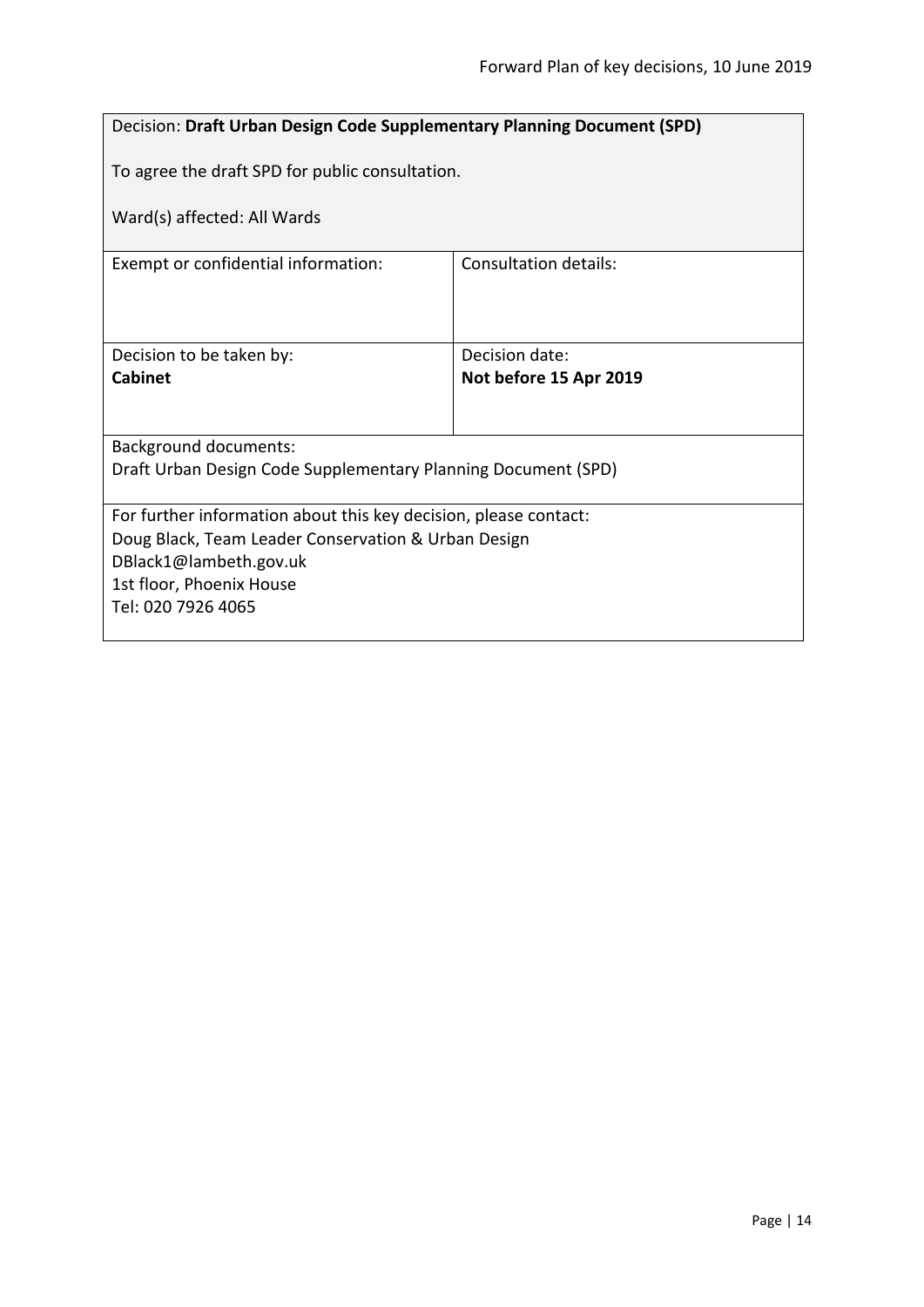<span id="page-13-0"></span>

| <b>Decision: Draft Urban Design Code Supplementary Planning Document (SPD)</b> |                        |  |
|--------------------------------------------------------------------------------|------------------------|--|
| To agree the draft SPD for public consultation.                                |                        |  |
| Ward(s) affected: All Wards                                                    |                        |  |
| Exempt or confidential information:                                            | Consultation details:  |  |
|                                                                                |                        |  |
| Decision to be taken by:                                                       | Decision date:         |  |
| <b>Cabinet</b>                                                                 | Not before 15 Apr 2019 |  |
|                                                                                |                        |  |
| <b>Background documents:</b>                                                   |                        |  |
| Draft Urban Design Code Supplementary Planning Document (SPD)                  |                        |  |
| For further information about this key decision, please contact:               |                        |  |
| Doug Black, Team Leader Conservation & Urban Design                            |                        |  |
| DBlack1@lambeth.gov.uk                                                         |                        |  |
| 1st floor, Phoenix House<br>Tel: 020 7926 4065                                 |                        |  |
|                                                                                |                        |  |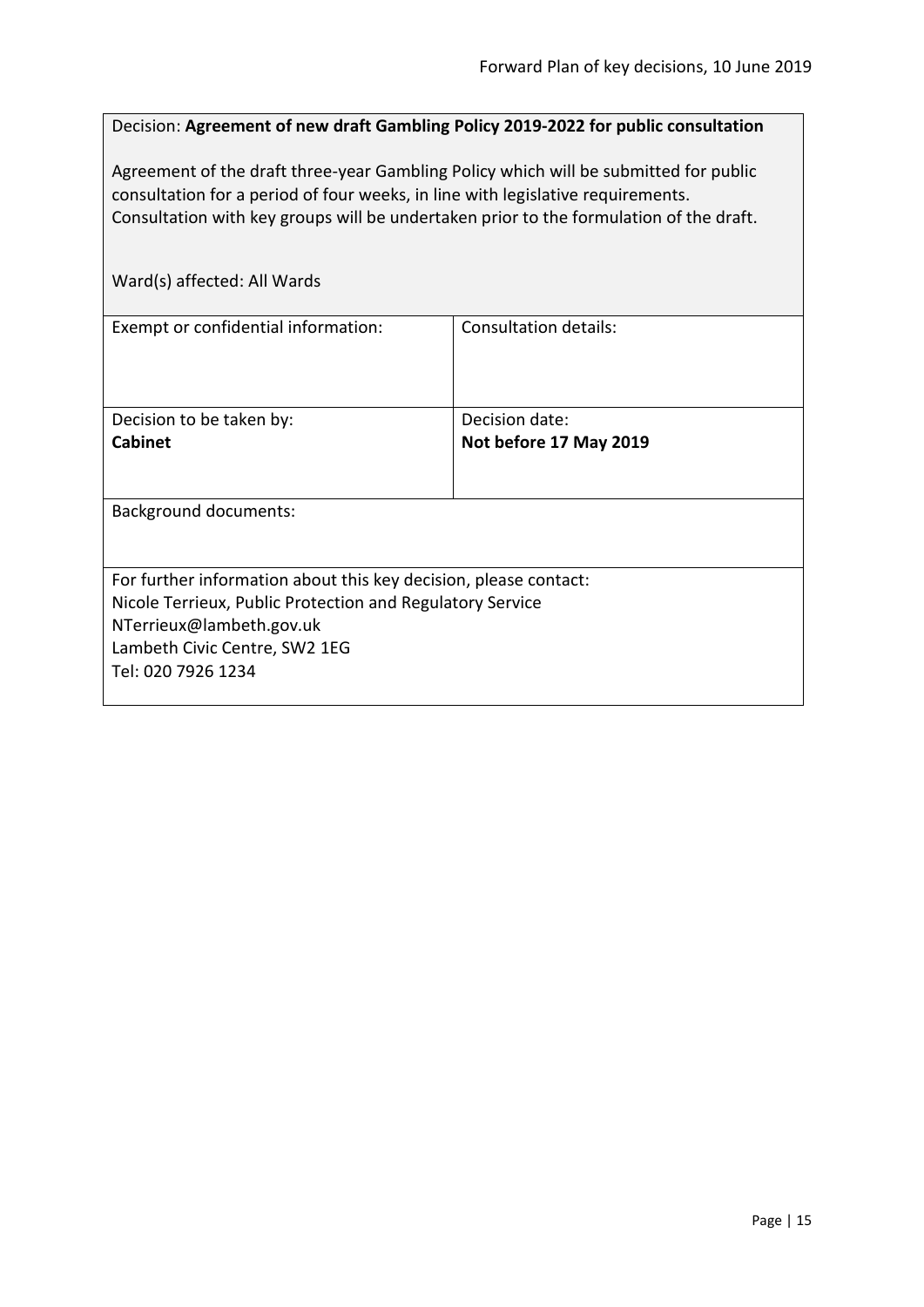<span id="page-14-0"></span>Decision: **Agreement of new draft Gambling Policy 2019-2022 for public consultation**

Agreement of the draft three-year Gambling Policy which will be submitted for public consultation for a period of four weeks, in line with legislative requirements. Consultation with key groups will be undertaken prior to the formulation of the draft.

| Ward(s) affected: All Wards                                                                                                                                                                                      |                                          |
|------------------------------------------------------------------------------------------------------------------------------------------------------------------------------------------------------------------|------------------------------------------|
| Exempt or confidential information:                                                                                                                                                                              | <b>Consultation details:</b>             |
| Decision to be taken by:<br><b>Cabinet</b>                                                                                                                                                                       | Decision date:<br>Not before 17 May 2019 |
| <b>Background documents:</b>                                                                                                                                                                                     |                                          |
| For further information about this key decision, please contact:<br>Nicole Terrieux, Public Protection and Regulatory Service<br>NTerrieux@lambeth.gov.uk<br>Lambeth Civic Centre, SW2 1EG<br>Tel: 020 7926 1234 |                                          |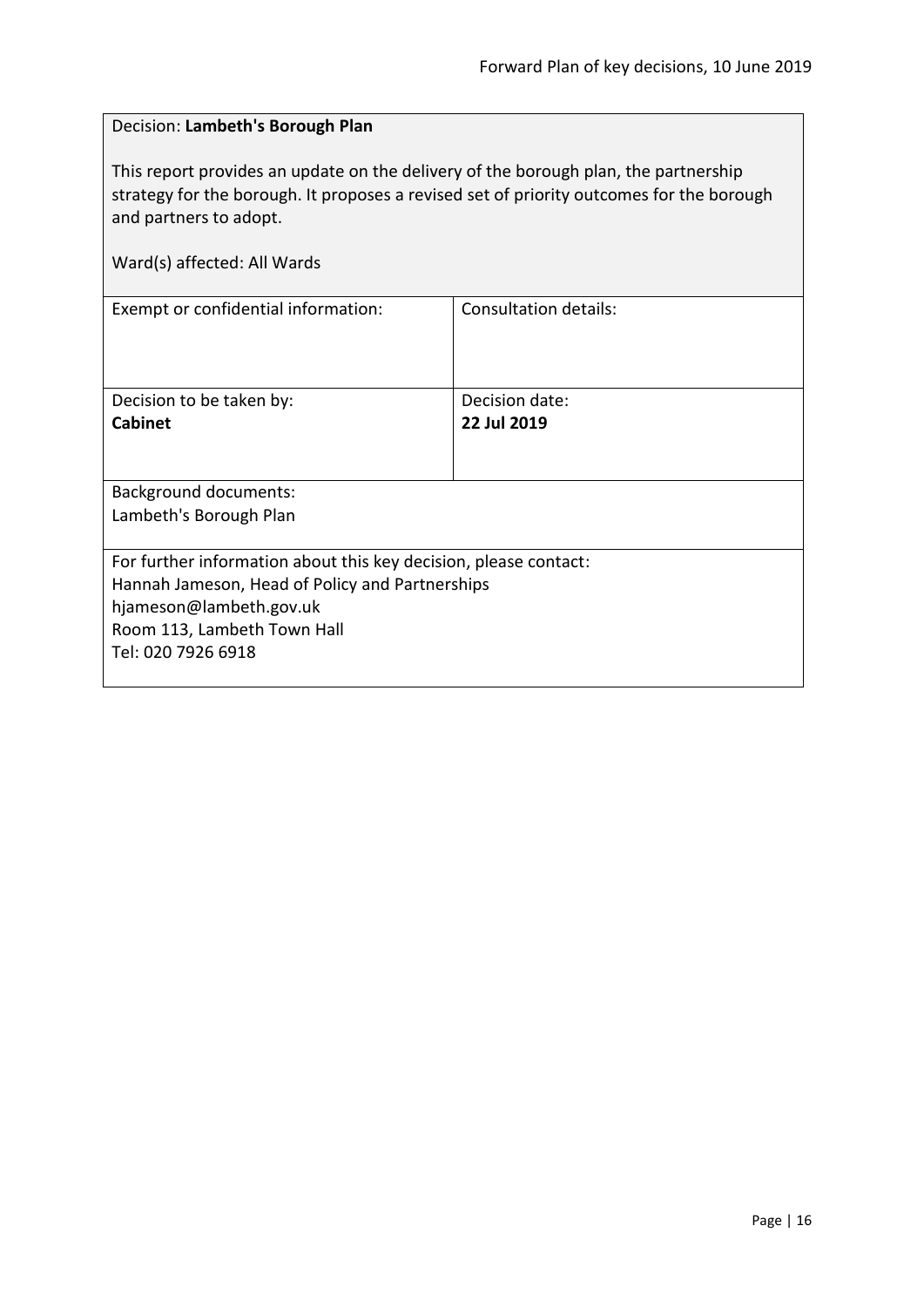# <span id="page-15-0"></span>Decision: **Lambeth's Borough Plan**

This report provides an update on the delivery of the borough plan, the partnership strategy for the borough. It proposes a revised set of priority outcomes for the borough and partners to adopt.

|  | Ward(s) affected: All Wards |  |
|--|-----------------------------|--|
|--|-----------------------------|--|

| Exempt or confidential information:                              | Consultation details: |
|------------------------------------------------------------------|-----------------------|
| Decision to be taken by:                                         | Decision date:        |
| <b>Cabinet</b>                                                   | 22 Jul 2019           |
| <b>Background documents:</b><br>Lambeth's Borough Plan           |                       |
|                                                                  |                       |
| For further information about this key decision, please contact: |                       |
| Hannah Jameson, Head of Policy and Partnerships                  |                       |
| hjameson@lambeth.gov.uk                                          |                       |
| Room 113, Lambeth Town Hall                                      |                       |
| Tel: 020 7926 6918                                               |                       |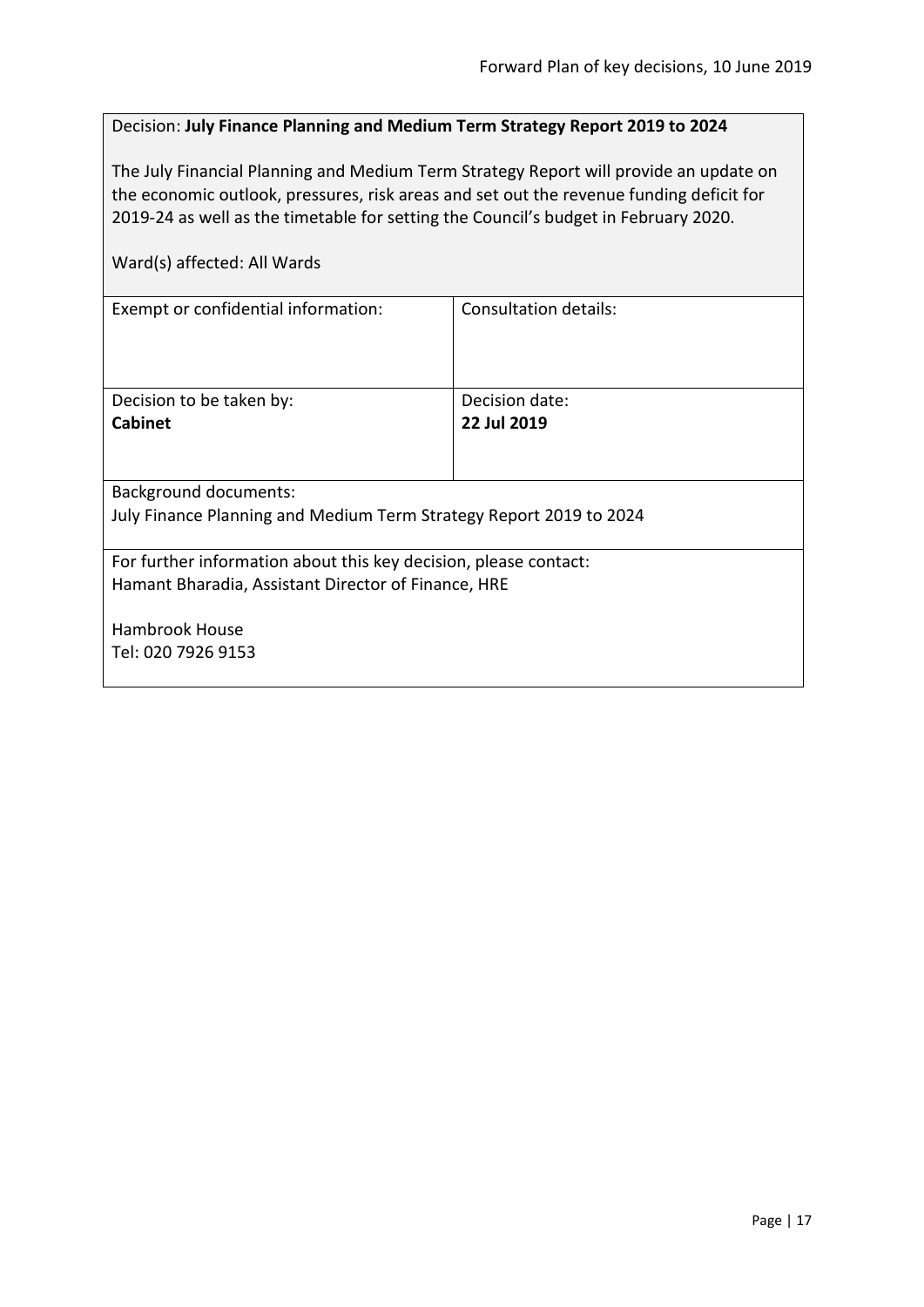#### <span id="page-16-0"></span>Decision: **July Finance Planning and Medium Term Strategy Report 2019 to 2024**

The July Financial Planning and Medium Term Strategy Report will provide an update on the economic outlook, pressures, risk areas and set out the revenue funding deficit for 2019-24 as well as the timetable for setting the Council's budget in February 2020.

| Exempt or confidential information:                                | Consultation details: |  |
|--------------------------------------------------------------------|-----------------------|--|
|                                                                    |                       |  |
|                                                                    |                       |  |
|                                                                    |                       |  |
| Decision to be taken by:                                           | Decision date:        |  |
| Cabinet                                                            | 22 Jul 2019           |  |
|                                                                    |                       |  |
|                                                                    |                       |  |
| Background documents:                                              |                       |  |
| July Finance Planning and Medium Term Strategy Report 2019 to 2024 |                       |  |
|                                                                    |                       |  |
| For further information about this key decision, please contact:   |                       |  |
| Hamant Bharadia, Assistant Director of Finance, HRE                |                       |  |
|                                                                    |                       |  |
| Hambrook House                                                     |                       |  |
| Tel: 020 7926 9153                                                 |                       |  |
|                                                                    |                       |  |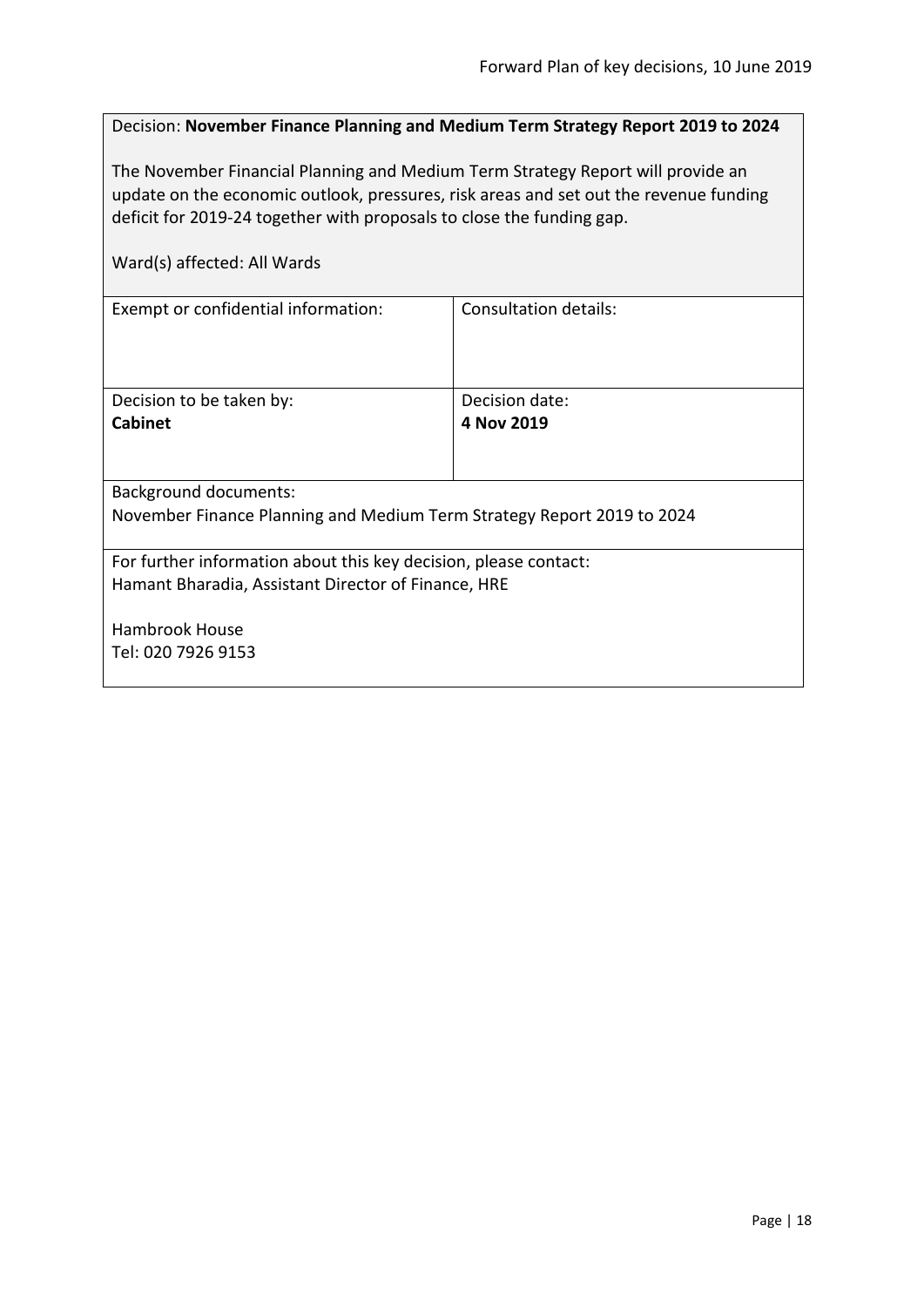<span id="page-17-0"></span>

| Decision: November Finance Planning and Medium Term Strategy Report 2019 to 2024 |  |  |  |  |  |  |
|----------------------------------------------------------------------------------|--|--|--|--|--|--|
|----------------------------------------------------------------------------------|--|--|--|--|--|--|

The November Financial Planning and Medium Term Strategy Report will provide an update on the economic outlook, pressures, risk areas and set out the revenue funding deficit for 2019-24 together with proposals to close the funding gap.

| Ward(s) affected: All Wards                                            |                              |  |
|------------------------------------------------------------------------|------------------------------|--|
| Exempt or confidential information:                                    | <b>Consultation details:</b> |  |
|                                                                        |                              |  |
| Decision to be taken by:                                               | Decision date:               |  |
| <b>Cabinet</b>                                                         | 4 Nov 2019                   |  |
|                                                                        |                              |  |
| <b>Background documents:</b>                                           |                              |  |
| November Finance Planning and Medium Term Strategy Report 2019 to 2024 |                              |  |
| For further information about this key decision, please contact:       |                              |  |
| Hamant Bharadia, Assistant Director of Finance, HRE                    |                              |  |
|                                                                        |                              |  |
| Hambrook House                                                         |                              |  |
| Tel: 020 7926 9153                                                     |                              |  |
|                                                                        |                              |  |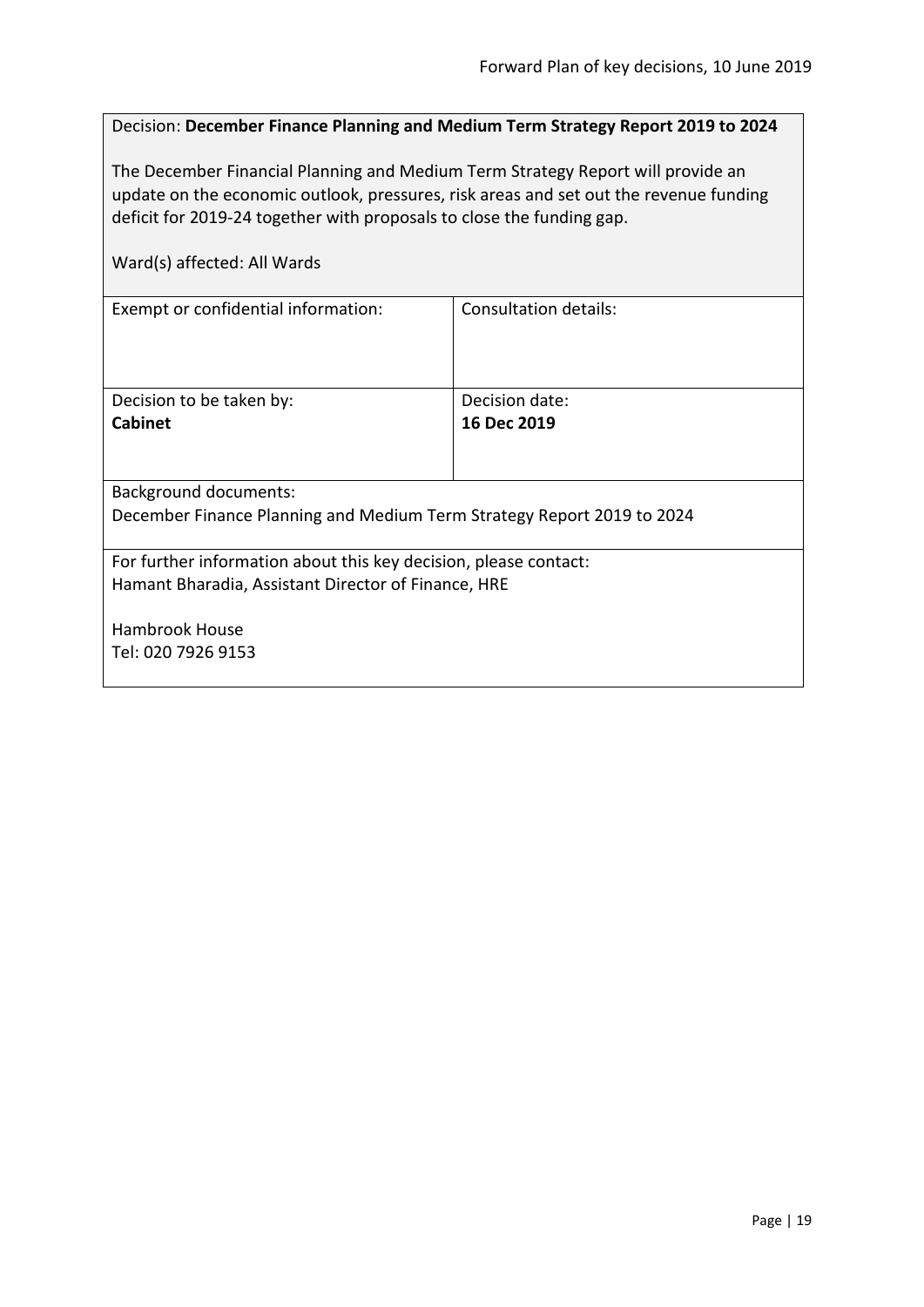<span id="page-18-0"></span>

| Decision: December Finance Planning and Medium Term Strategy Report 2019 to 2024                                                                                                                                                                  |                               |  |
|---------------------------------------------------------------------------------------------------------------------------------------------------------------------------------------------------------------------------------------------------|-------------------------------|--|
| The December Financial Planning and Medium Term Strategy Report will provide an<br>update on the economic outlook, pressures, risk areas and set out the revenue funding<br>deficit for 2019-24 together with proposals to close the funding gap. |                               |  |
| Ward(s) affected: All Wards                                                                                                                                                                                                                       |                               |  |
| Exempt or confidential information:                                                                                                                                                                                                               | Consultation details:         |  |
| Decision to be taken by:<br>Cabinet                                                                                                                                                                                                               | Decision date:<br>16 Dec 2019 |  |
| <b>Background documents:</b>                                                                                                                                                                                                                      |                               |  |
| December Finance Planning and Medium Term Strategy Report 2019 to 2024                                                                                                                                                                            |                               |  |
| For further information about this key decision, please contact:<br>Hamant Bharadia, Assistant Director of Finance, HRE                                                                                                                           |                               |  |
| <b>Hambrook House</b>                                                                                                                                                                                                                             |                               |  |
| Tel: 020 7926 9153                                                                                                                                                                                                                                |                               |  |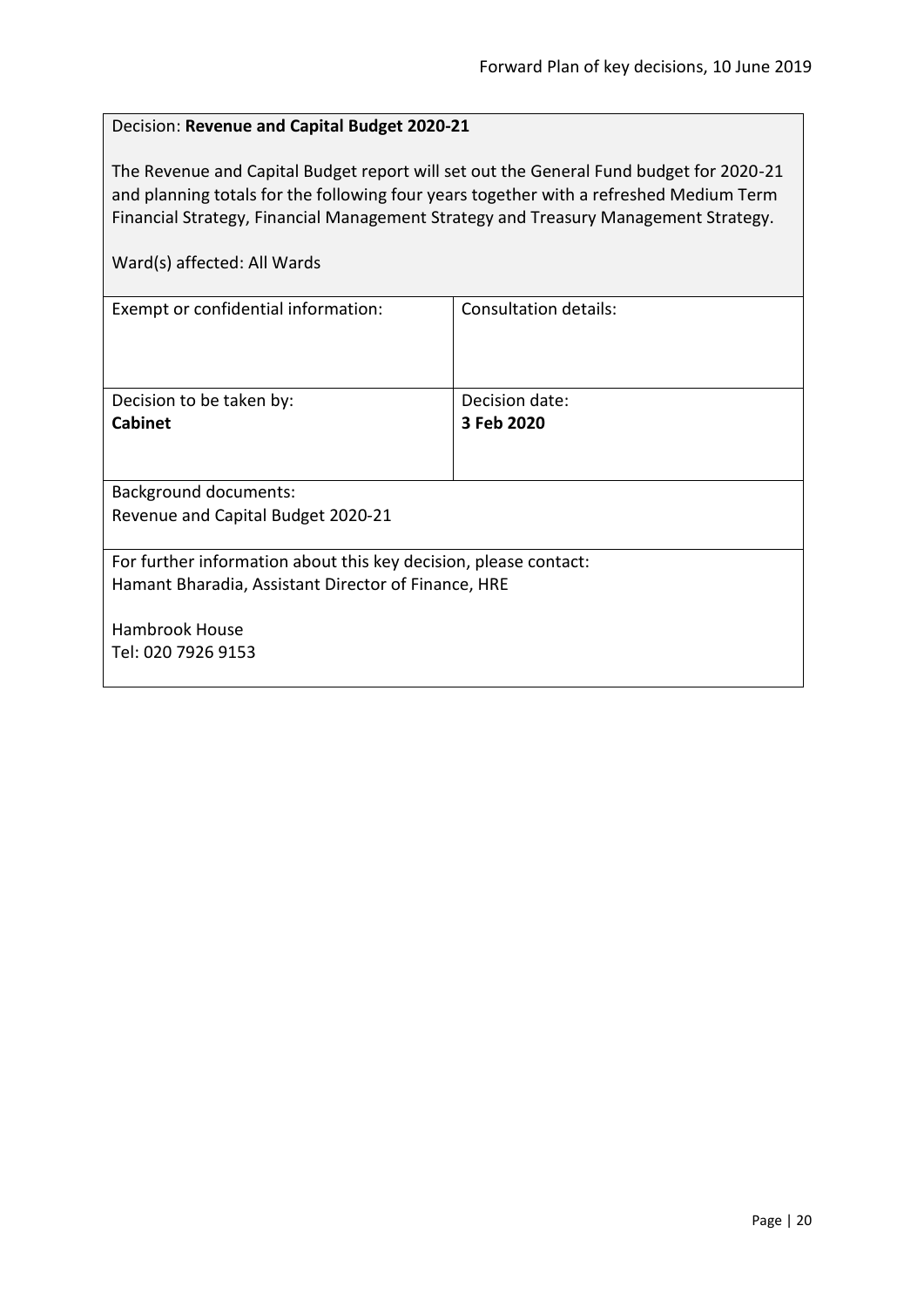# <span id="page-19-0"></span>Decision: **Revenue and Capital Budget 2020-21**

The Revenue and Capital Budget report will set out the General Fund budget for 2020-21 and planning totals for the following four years together with a refreshed Medium Term Financial Strategy, Financial Management Strategy and Treasury Management Strategy.

| Exempt or confidential information:                              | Consultation details: |  |
|------------------------------------------------------------------|-----------------------|--|
|                                                                  |                       |  |
|                                                                  |                       |  |
| Decision to be taken by:                                         | Decision date:        |  |
| <b>Cabinet</b>                                                   | 3 Feb 2020            |  |
|                                                                  |                       |  |
|                                                                  |                       |  |
| Background documents:                                            |                       |  |
| Revenue and Capital Budget 2020-21                               |                       |  |
|                                                                  |                       |  |
| For further information about this key decision, please contact: |                       |  |
| Hamant Bharadia, Assistant Director of Finance, HRE              |                       |  |
|                                                                  |                       |  |
| Hambrook House                                                   |                       |  |
| Tel: 020 7926 9153                                               |                       |  |
|                                                                  |                       |  |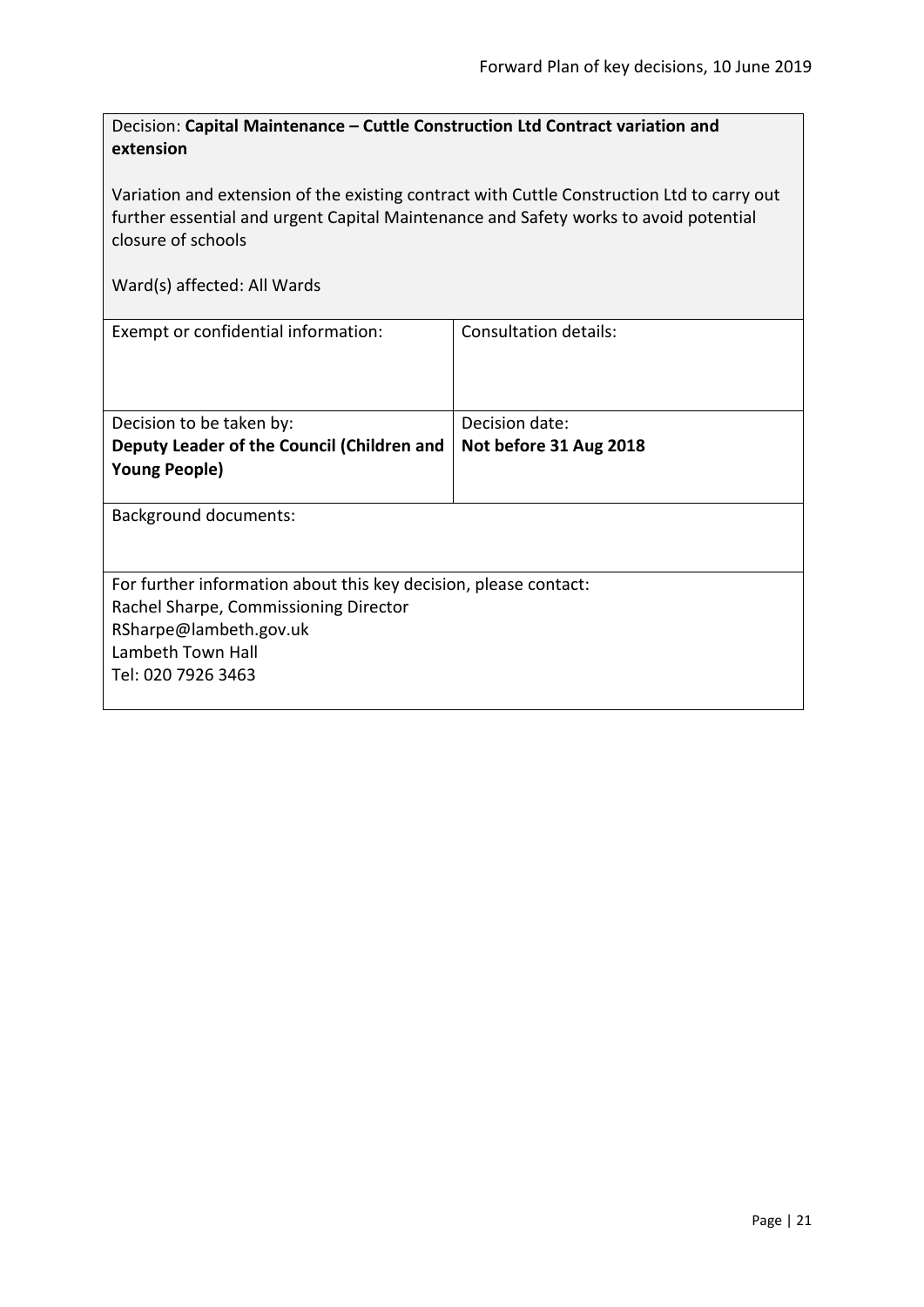<span id="page-20-0"></span>

| Decision: Capital Maintenance – Cuttle Construction Ltd Contract variation and |
|--------------------------------------------------------------------------------|
| extension                                                                      |

Variation and extension of the existing contract with Cuttle Construction Ltd to carry out further essential and urgent Capital Maintenance and Safety works to avoid potential closure of schools

| Exempt or confidential information:                              | Consultation details:  |  |
|------------------------------------------------------------------|------------------------|--|
| Decision to be taken by:                                         | Decision date:         |  |
|                                                                  |                        |  |
| Deputy Leader of the Council (Children and                       | Not before 31 Aug 2018 |  |
| <b>Young People)</b>                                             |                        |  |
|                                                                  |                        |  |
| <b>Background documents:</b>                                     |                        |  |
|                                                                  |                        |  |
| For further information about this key decision, please contact: |                        |  |
| Rachel Sharpe, Commissioning Director                            |                        |  |
| RSharpe@lambeth.gov.uk                                           |                        |  |
| Lambeth Town Hall                                                |                        |  |
| Tel: 020 7926 3463                                               |                        |  |
|                                                                  |                        |  |
|                                                                  |                        |  |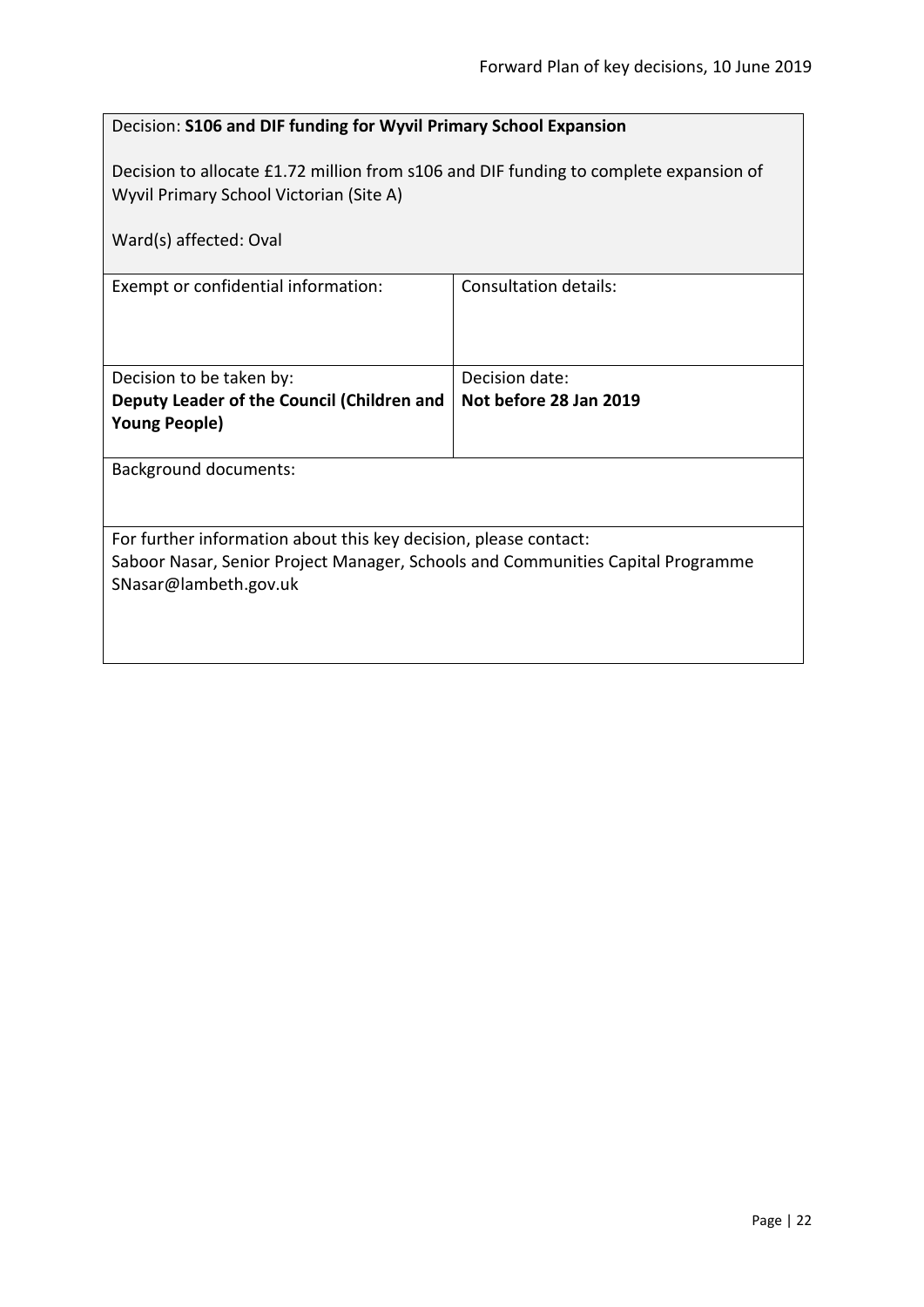<span id="page-21-0"></span>

| Decision: S106 and DIF funding for Wyvil Primary School Expansion                                                                                                            |                |  |  |
|------------------------------------------------------------------------------------------------------------------------------------------------------------------------------|----------------|--|--|
| Decision to allocate £1.72 million from s106 and DIF funding to complete expansion of<br>Wyvil Primary School Victorian (Site A)                                             |                |  |  |
| Ward(s) affected: Oval                                                                                                                                                       |                |  |  |
| <b>Consultation details:</b><br>Exempt or confidential information:                                                                                                          |                |  |  |
| Decision to be taken by:                                                                                                                                                     | Decision date: |  |  |
| Not before 28 Jan 2019<br>Deputy Leader of the Council (Children and<br><b>Young People)</b>                                                                                 |                |  |  |
| <b>Background documents:</b>                                                                                                                                                 |                |  |  |
| For further information about this key decision, please contact:<br>Saboor Nasar, Senior Project Manager, Schools and Communities Capital Programme<br>SNasar@lambeth.gov.uk |                |  |  |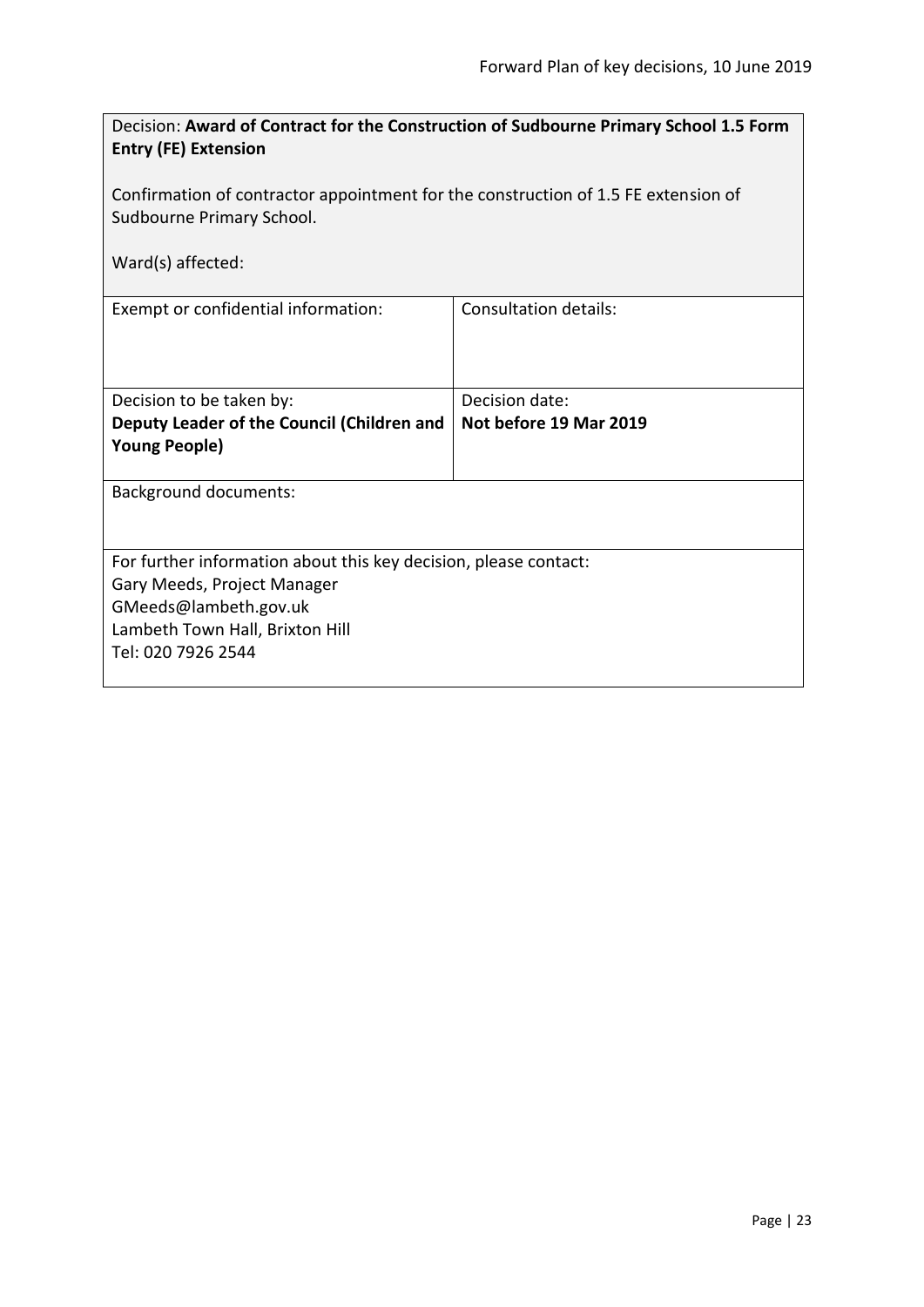<span id="page-22-0"></span>

| Decision: Award of Contract for the Construction of Sudbourne Primary School 1.5 Form<br><b>Entry (FE) Extension</b>                                                              |                        |  |
|-----------------------------------------------------------------------------------------------------------------------------------------------------------------------------------|------------------------|--|
| Confirmation of contractor appointment for the construction of 1.5 FE extension of<br>Sudbourne Primary School.                                                                   |                        |  |
| Ward(s) affected:                                                                                                                                                                 |                        |  |
| Exempt or confidential information:                                                                                                                                               | Consultation details:  |  |
| Decision to be taken by:                                                                                                                                                          | Decision date:         |  |
| Deputy Leader of the Council (Children and<br><b>Young People)</b>                                                                                                                | Not before 19 Mar 2019 |  |
| <b>Background documents:</b>                                                                                                                                                      |                        |  |
| For further information about this key decision, please contact:<br>Gary Meeds, Project Manager<br>GMeeds@lambeth.gov.uk<br>Lambeth Town Hall, Brixton Hill<br>Tel: 020 7926 2544 |                        |  |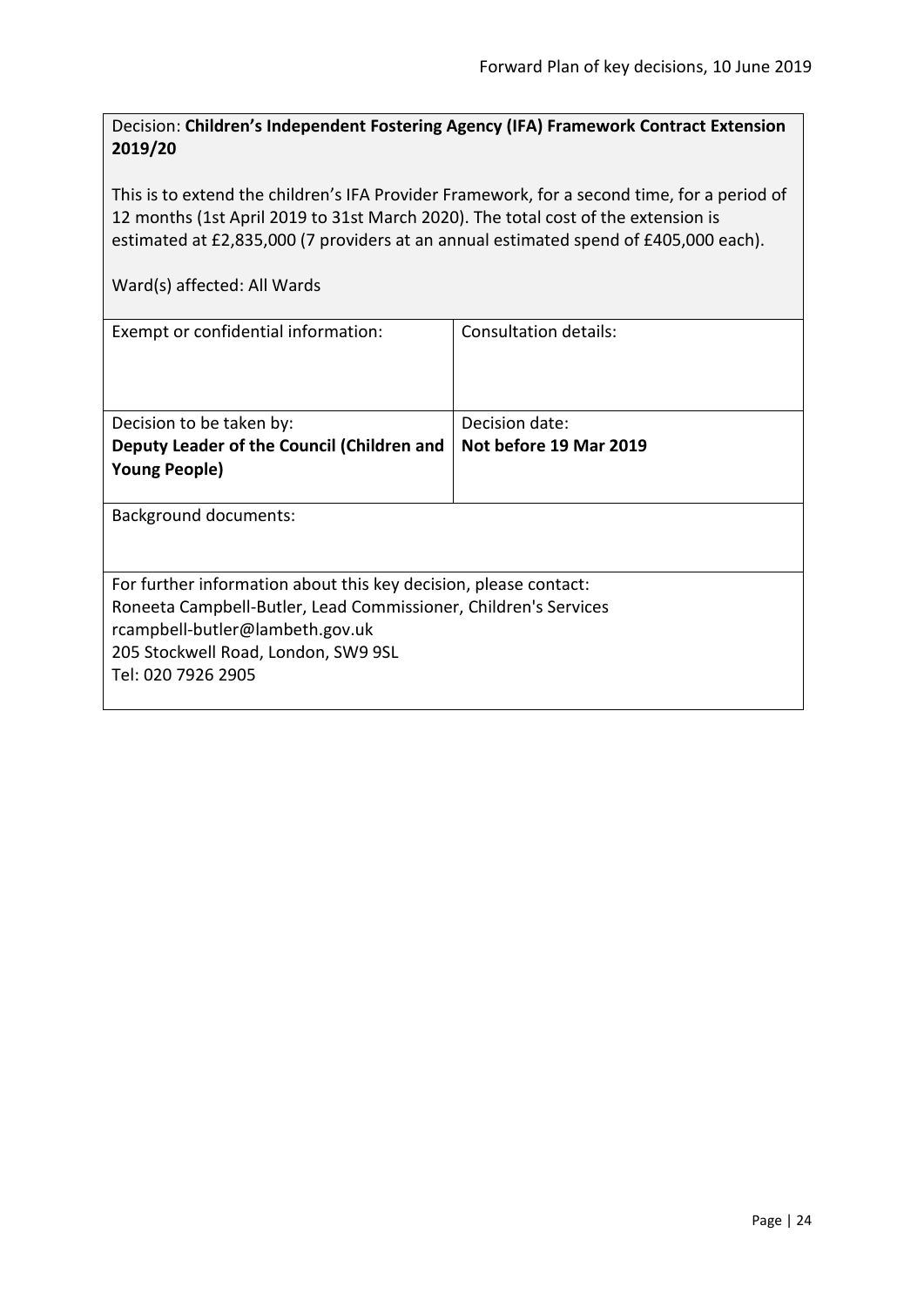<span id="page-23-0"></span>Decision: **Children's Independent Fostering Agency (IFA) Framework Contract Extension 2019/20**

This is to extend the children's IFA Provider Framework, for a second time, for a period of 12 months (1st April 2019 to 31st March 2020). The total cost of the extension is estimated at £2,835,000 (7 providers at an annual estimated spend of £405,000 each).

| Exempt or confidential information:                              | Consultation details:  |  |
|------------------------------------------------------------------|------------------------|--|
| Decision to be taken by:                                         | Decision date:         |  |
| Deputy Leader of the Council (Children and                       | Not before 19 Mar 2019 |  |
| <b>Young People)</b>                                             |                        |  |
| Background documents:                                            |                        |  |
| For further information about this key decision, please contact: |                        |  |
| Roneeta Campbell-Butler, Lead Commissioner, Children's Services  |                        |  |
| rcampbell-butler@lambeth.gov.uk                                  |                        |  |
| 205 Stockwell Road, London, SW9 9SL                              |                        |  |
| Tel: 020 7926 2905                                               |                        |  |
|                                                                  |                        |  |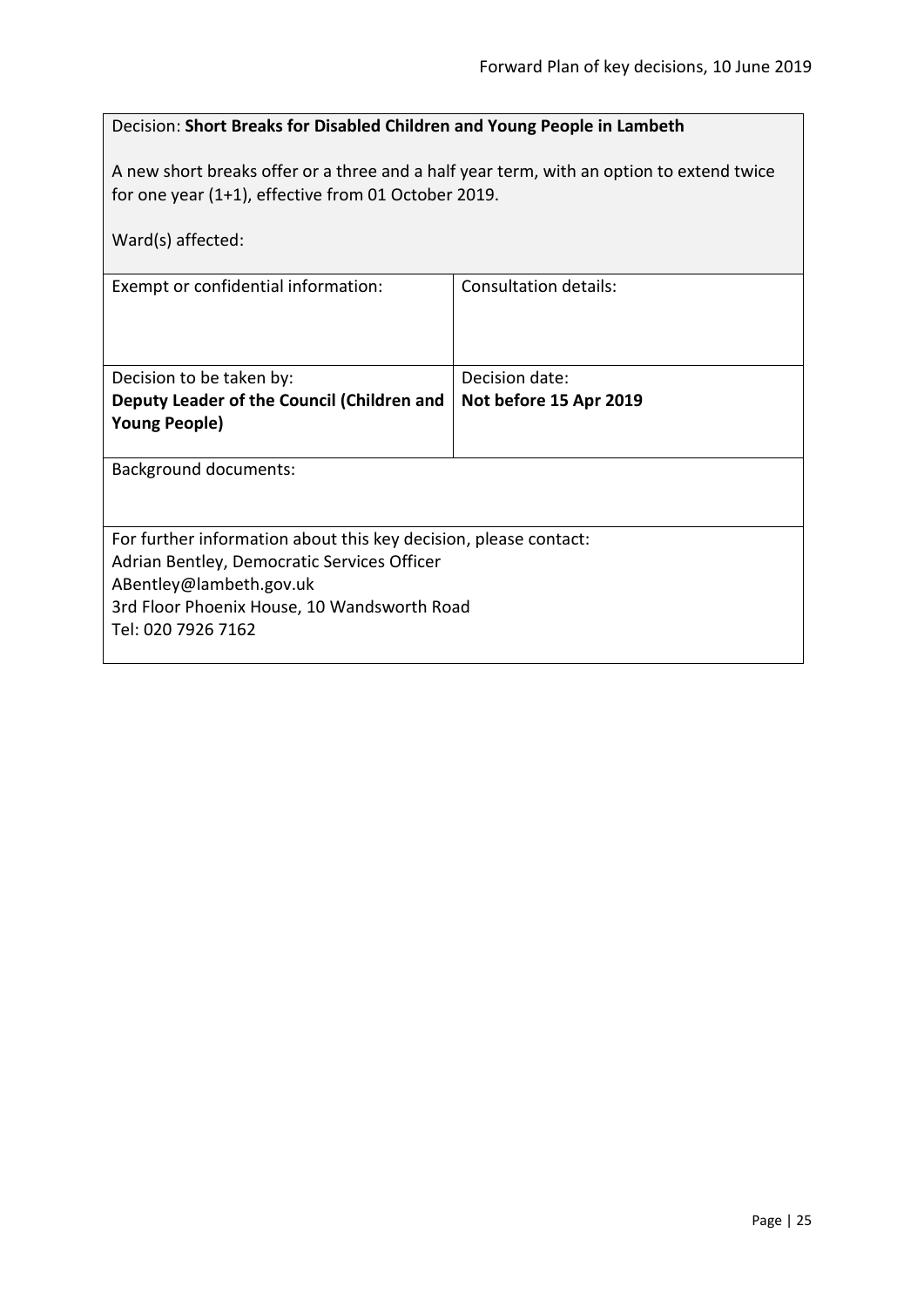# <span id="page-24-0"></span>Decision: **Short Breaks for Disabled Children and Young People in Lambeth**

A new short breaks offer or a three and a half year term, with an option to extend twice for one year (1+1), effective from 01 October 2019.

| Ward(s) affected:                                                      |                        |  |
|------------------------------------------------------------------------|------------------------|--|
| Exempt or confidential information:                                    | Consultation details:  |  |
| Decision to be taken by:                                               | Decision date:         |  |
| Deputy Leader of the Council (Children and                             | Not before 15 Apr 2019 |  |
| <b>Young People)</b>                                                   |                        |  |
| Background documents:                                                  |                        |  |
| For further information about this key decision, please contact:       |                        |  |
| Adrian Bentley, Democratic Services Officer                            |                        |  |
| ABentley@lambeth.gov.uk<br>3rd Floor Phoenix House, 10 Wandsworth Road |                        |  |
| Tel: 020 7926 7162                                                     |                        |  |
|                                                                        |                        |  |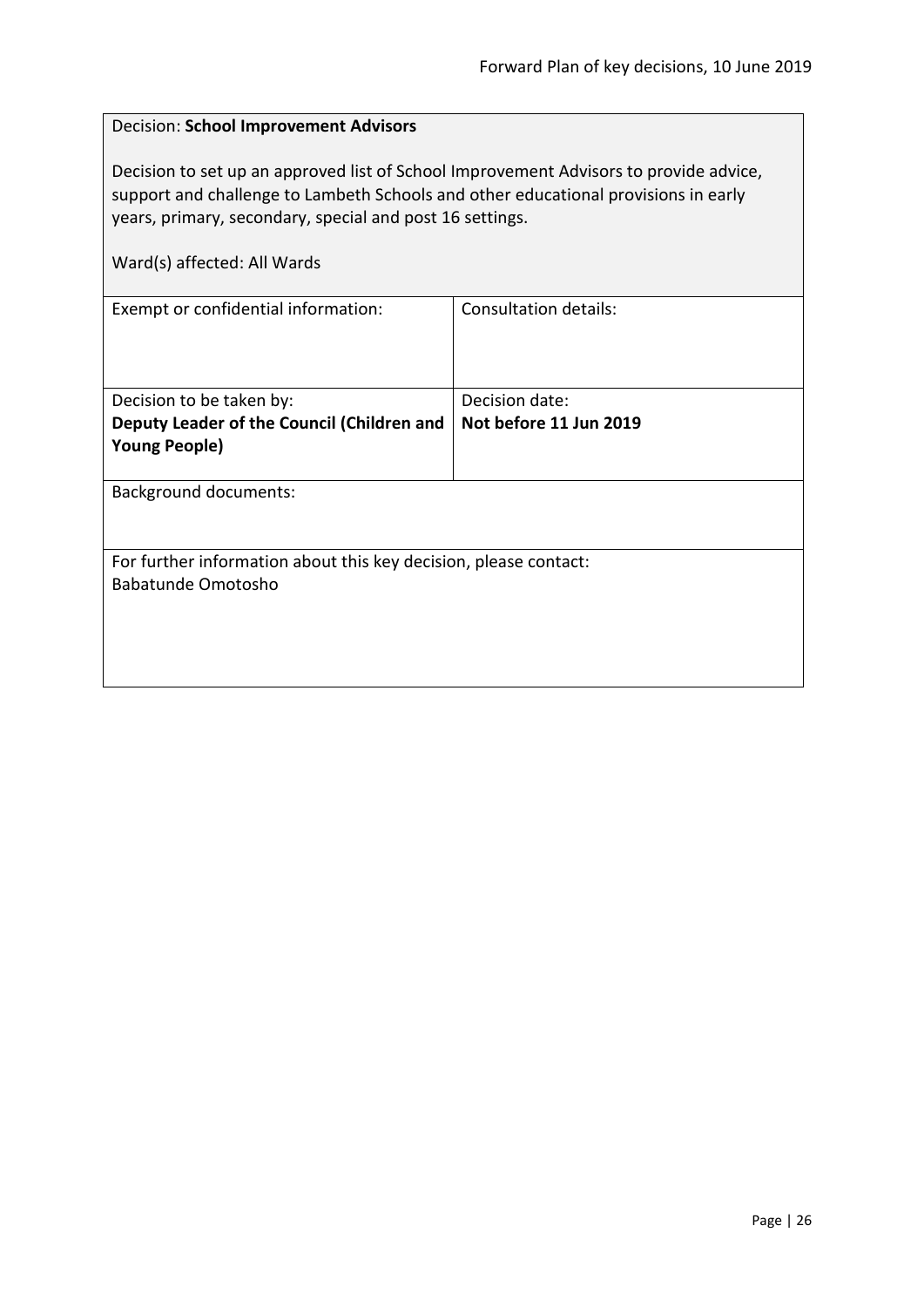<span id="page-25-0"></span>

| Decision: School Improvement Advisors                                                                                                                                                                                                                                  |                              |  |
|------------------------------------------------------------------------------------------------------------------------------------------------------------------------------------------------------------------------------------------------------------------------|------------------------------|--|
| Decision to set up an approved list of School Improvement Advisors to provide advice,<br>support and challenge to Lambeth Schools and other educational provisions in early<br>years, primary, secondary, special and post 16 settings.<br>Ward(s) affected: All Wards |                              |  |
| Exempt or confidential information:                                                                                                                                                                                                                                    | <b>Consultation details:</b> |  |
|                                                                                                                                                                                                                                                                        |                              |  |
| Decision to be taken by:                                                                                                                                                                                                                                               | Decision date:               |  |
| Deputy Leader of the Council (Children and                                                                                                                                                                                                                             | Not before 11 Jun 2019       |  |
| <b>Young People)</b>                                                                                                                                                                                                                                                   |                              |  |
| <b>Background documents:</b>                                                                                                                                                                                                                                           |                              |  |
|                                                                                                                                                                                                                                                                        |                              |  |
| For further information about this key decision, please contact:                                                                                                                                                                                                       |                              |  |
| <b>Babatunde Omotosho</b>                                                                                                                                                                                                                                              |                              |  |
|                                                                                                                                                                                                                                                                        |                              |  |
|                                                                                                                                                                                                                                                                        |                              |  |
|                                                                                                                                                                                                                                                                        |                              |  |
|                                                                                                                                                                                                                                                                        |                              |  |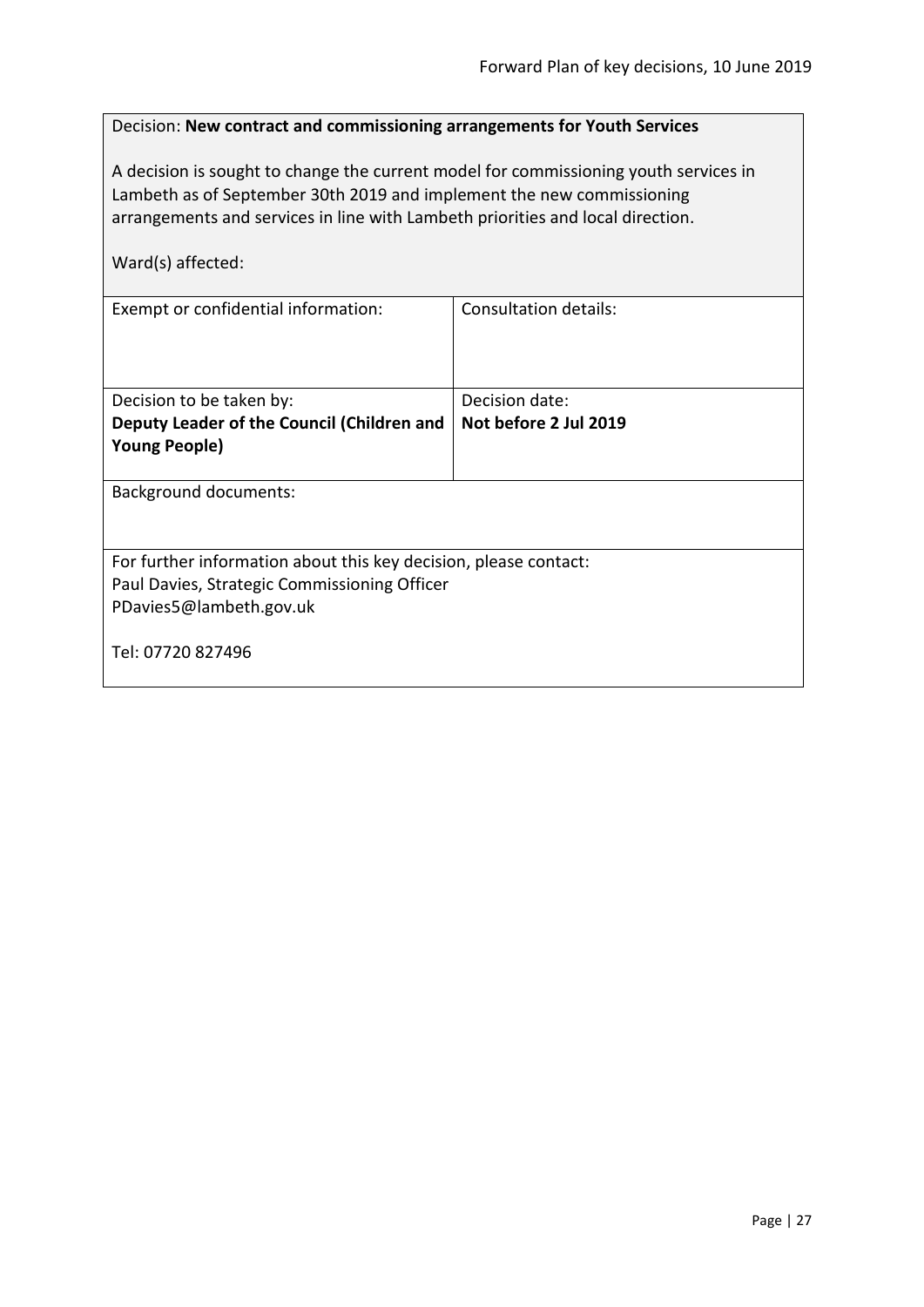<span id="page-26-0"></span>

| Decision: New contract and commissioning arrangements for Youth Services |  |
|--------------------------------------------------------------------------|--|
|--------------------------------------------------------------------------|--|

A decision is sought to change the current model for commissioning youth services in Lambeth as of September 30th 2019 and implement the new commissioning arrangements and services in line with Lambeth priorities and local direction.

| Ward(s) affected:                                                |                              |  |
|------------------------------------------------------------------|------------------------------|--|
| Exempt or confidential information:                              | <b>Consultation details:</b> |  |
| Decision to be taken by:                                         | Decision date:               |  |
| Deputy Leader of the Council (Children and                       | Not before 2 Jul 2019        |  |
| <b>Young People)</b>                                             |                              |  |
| <b>Background documents:</b>                                     |                              |  |
| For further information about this key decision, please contact: |                              |  |
| Paul Davies, Strategic Commissioning Officer                     |                              |  |
| PDavies5@lambeth.gov.uk                                          |                              |  |
| Tel: 07720 827496                                                |                              |  |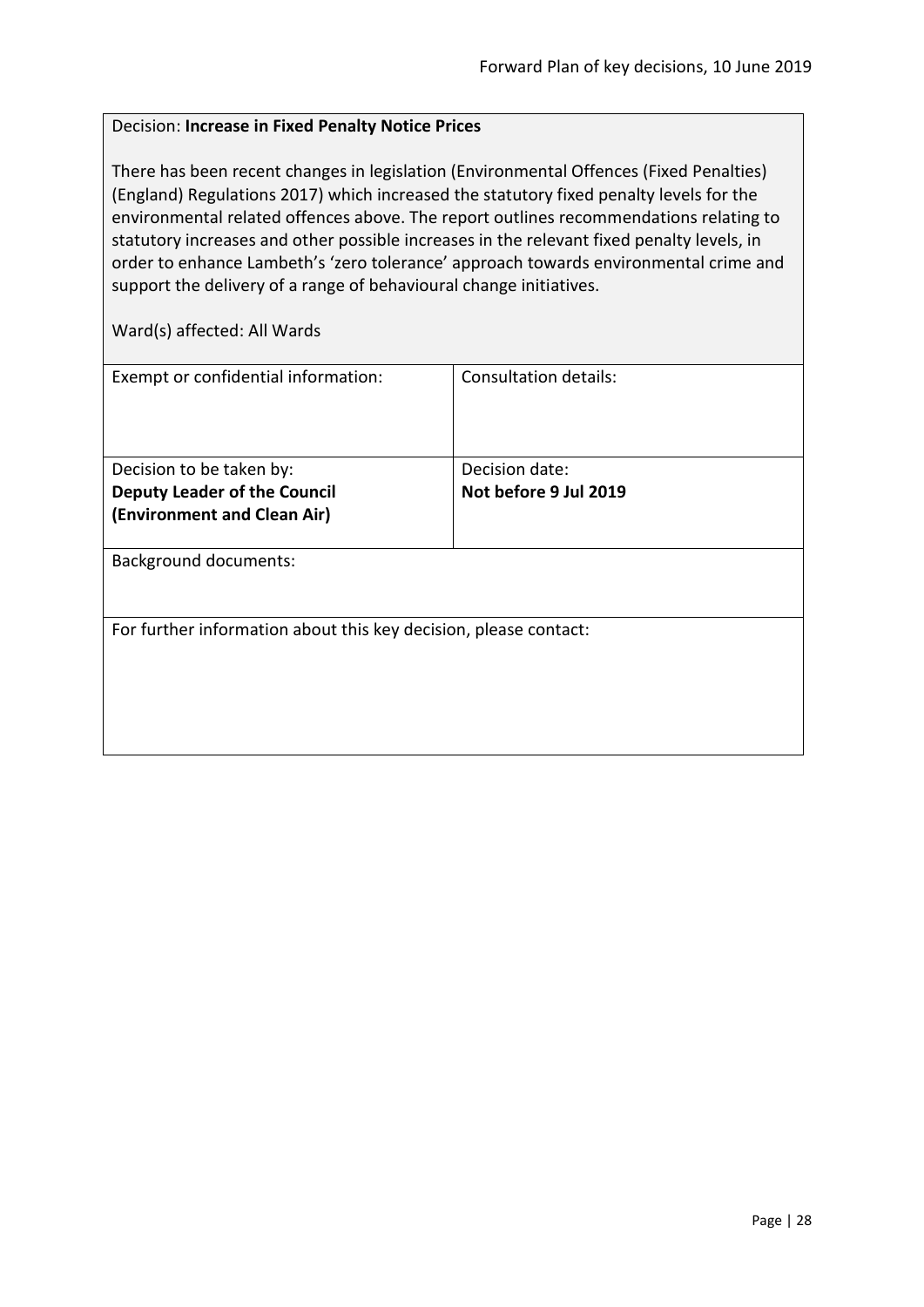#### <span id="page-27-0"></span>Decision: **Increase in Fixed Penalty Notice Prices**

There has been recent changes in legislation (Environmental Offences (Fixed Penalties) (England) Regulations 2017) which increased the statutory fixed penalty levels for the environmental related offences above. The report outlines recommendations relating to statutory increases and other possible increases in the relevant fixed penalty levels, in order to enhance Lambeth's 'zero tolerance' approach towards environmental crime and support the delivery of a range of behavioural change initiatives.

| Exempt or confidential information:                              | Consultation details: |
|------------------------------------------------------------------|-----------------------|
|                                                                  |                       |
|                                                                  |                       |
|                                                                  |                       |
| Decision to be taken by:                                         | Decision date:        |
| <b>Deputy Leader of the Council</b>                              | Not before 9 Jul 2019 |
| (Environment and Clean Air)                                      |                       |
|                                                                  |                       |
| <b>Background documents:</b>                                     |                       |
|                                                                  |                       |
|                                                                  |                       |
|                                                                  |                       |
| For further information about this key decision, please contact: |                       |
|                                                                  |                       |
|                                                                  |                       |
|                                                                  |                       |
|                                                                  |                       |
|                                                                  |                       |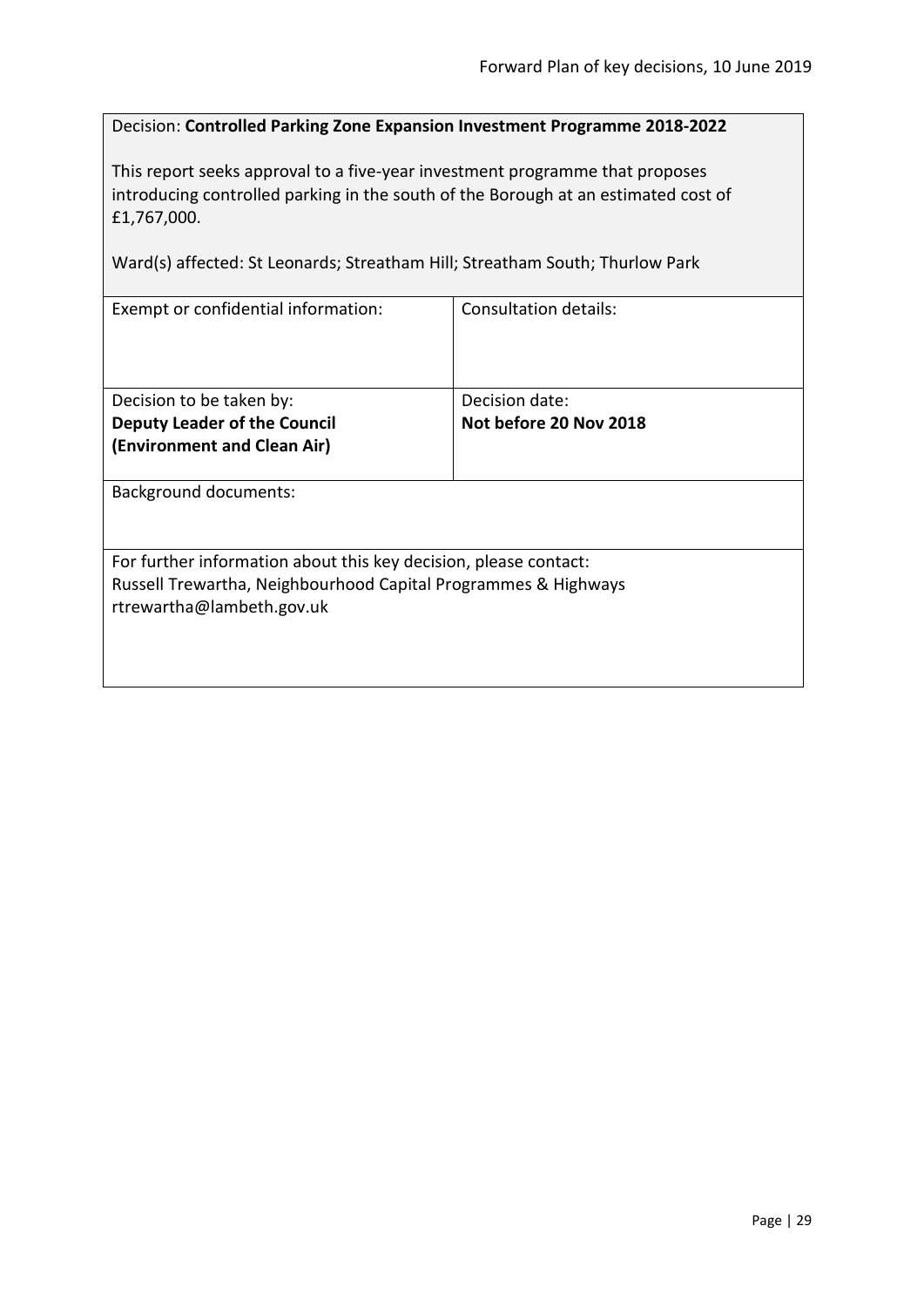<span id="page-28-0"></span>Decision: **Controlled Parking Zone Expansion Investment Programme 2018-2022**

This report seeks approval to a five-year investment programme that proposes introducing controlled parking in the south of the Borough at an estimated cost of £1,767,000.

Ward(s) affected: St Leonards; Streatham Hill; Streatham South; Thurlow Park

| Exempt or confidential information:                              | Consultation details:  |
|------------------------------------------------------------------|------------------------|
|                                                                  |                        |
|                                                                  |                        |
|                                                                  |                        |
|                                                                  |                        |
| Decision to be taken by:                                         | Decision date:         |
| <b>Deputy Leader of the Council</b>                              | Not before 20 Nov 2018 |
| (Environment and Clean Air)                                      |                        |
|                                                                  |                        |
| <b>Background documents:</b>                                     |                        |
|                                                                  |                        |
|                                                                  |                        |
|                                                                  |                        |
| For further information about this key decision, please contact: |                        |
| Russell Trewartha, Neighbourhood Capital Programmes & Highways   |                        |
| rtrewartha@lambeth.gov.uk                                        |                        |
|                                                                  |                        |
|                                                                  |                        |
|                                                                  |                        |
|                                                                  |                        |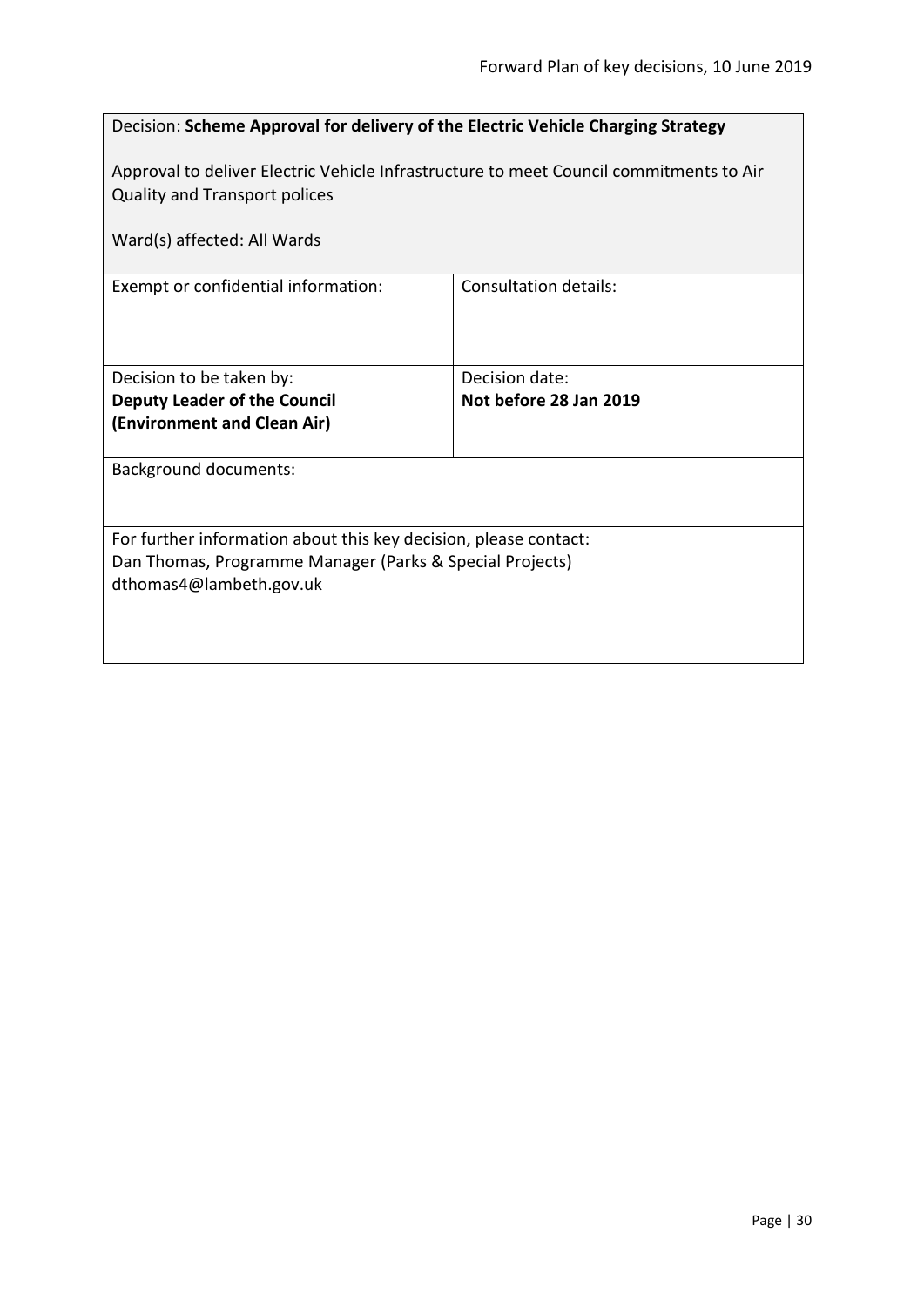<span id="page-29-0"></span>

| Decision: Scheme Approval for delivery of the Electric Vehicle Charging Strategy                                                                        |                              |  |
|---------------------------------------------------------------------------------------------------------------------------------------------------------|------------------------------|--|
| Approval to deliver Electric Vehicle Infrastructure to meet Council commitments to Air<br><b>Quality and Transport polices</b>                          |                              |  |
| Ward(s) affected: All Wards                                                                                                                             |                              |  |
| Exempt or confidential information:                                                                                                                     | <b>Consultation details:</b> |  |
| Decision to be taken by:                                                                                                                                | Decision date:               |  |
| <b>Deputy Leader of the Council</b><br>(Environment and Clean Air)                                                                                      | Not before 28 Jan 2019       |  |
| <b>Background documents:</b>                                                                                                                            |                              |  |
| For further information about this key decision, please contact:<br>Dan Thomas, Programme Manager (Parks & Special Projects)<br>dthomas4@lambeth.gov.uk |                              |  |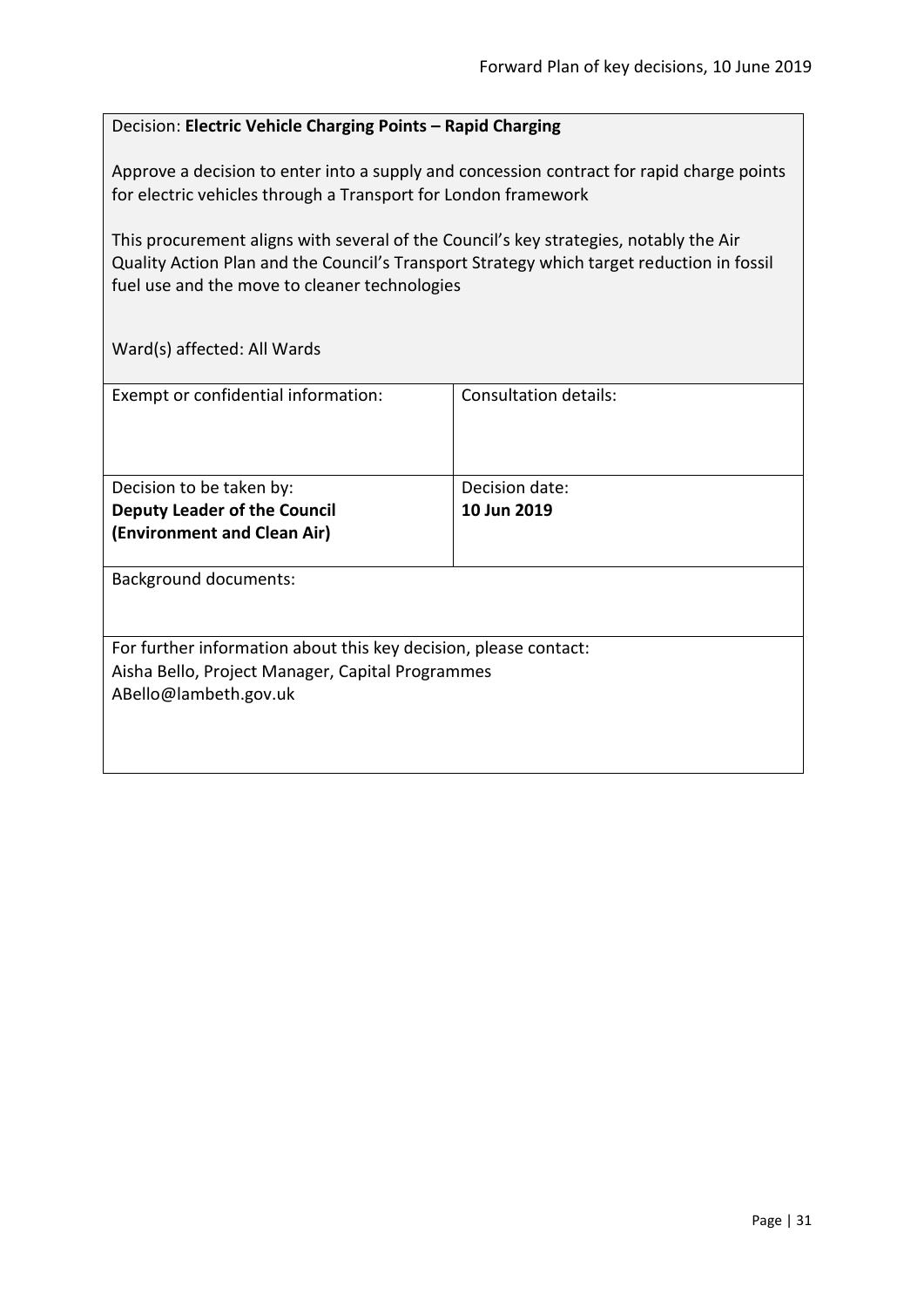#### <span id="page-30-0"></span>Decision: **Electric Vehicle Charging Points – Rapid Charging**

Approve a decision to enter into a supply and concession contract for rapid charge points for electric vehicles through a Transport for London framework

This procurement aligns with several of the Council's key strategies, notably the Air Quality Action Plan and the Council's Transport Strategy which target reduction in fossil fuel use and the move to cleaner technologies

| Exempt or confidential information:                                                                                                           | <b>Consultation details:</b>  |
|-----------------------------------------------------------------------------------------------------------------------------------------------|-------------------------------|
| Decision to be taken by:<br><b>Deputy Leader of the Council</b><br>(Environment and Clean Air)                                                | Decision date:<br>10 Jun 2019 |
| <b>Background documents:</b>                                                                                                                  |                               |
| For further information about this key decision, please contact:<br>Aisha Bello, Project Manager, Capital Programmes<br>ABello@lambeth.gov.uk |                               |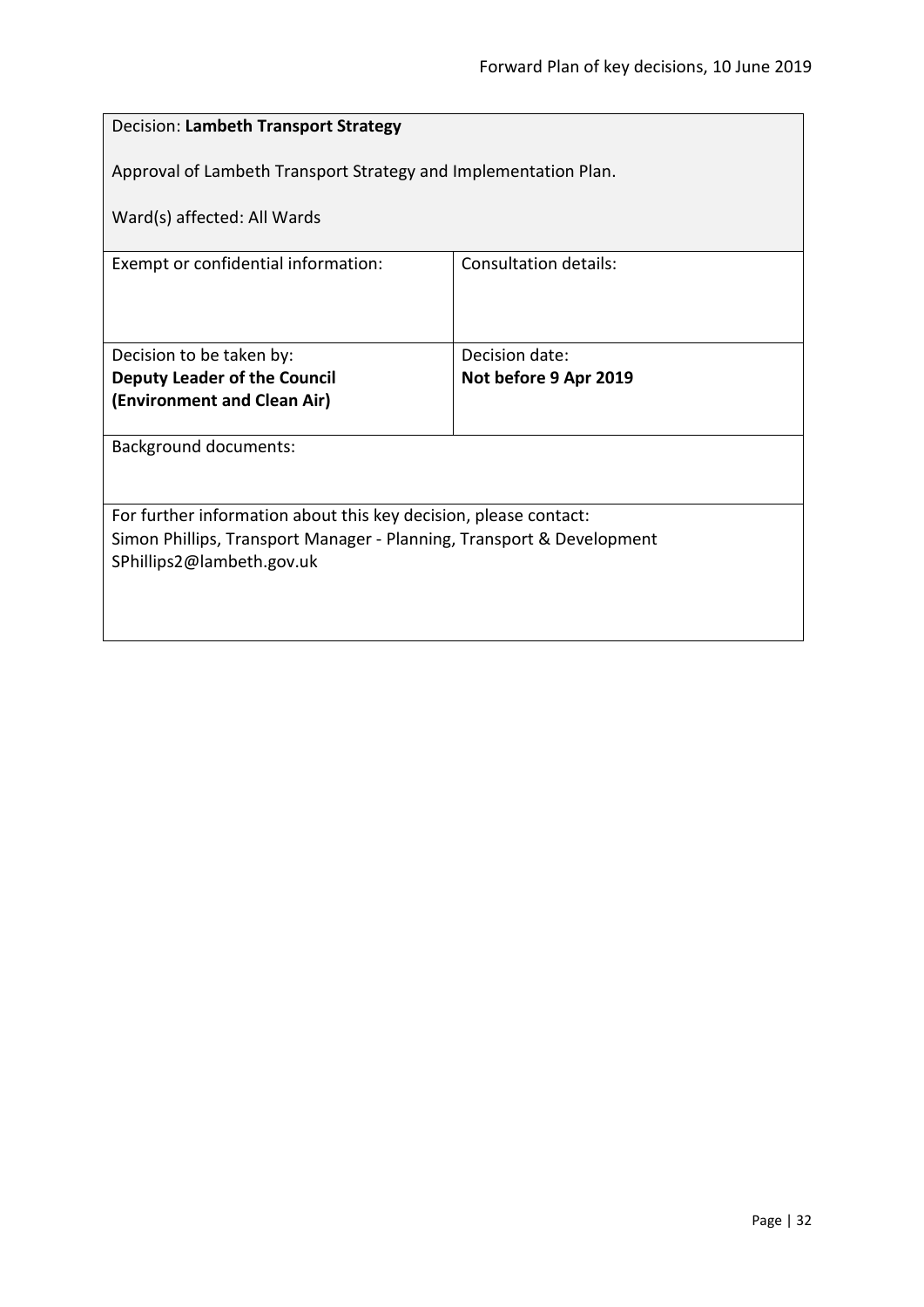<span id="page-31-0"></span>

| Decision: Lambeth Transport Strategy                                  |                              |  |
|-----------------------------------------------------------------------|------------------------------|--|
| Approval of Lambeth Transport Strategy and Implementation Plan.       |                              |  |
| Ward(s) affected: All Wards                                           |                              |  |
| Exempt or confidential information:                                   | <b>Consultation details:</b> |  |
|                                                                       |                              |  |
| Decision to be taken by:                                              | Decision date:               |  |
| <b>Deputy Leader of the Council</b>                                   | Not before 9 Apr 2019        |  |
| (Environment and Clean Air)                                           |                              |  |
| <b>Background documents:</b>                                          |                              |  |
|                                                                       |                              |  |
| For further information about this key decision, please contact:      |                              |  |
| Simon Phillips, Transport Manager - Planning, Transport & Development |                              |  |
| SPhillips2@lambeth.gov.uk                                             |                              |  |
|                                                                       |                              |  |
|                                                                       |                              |  |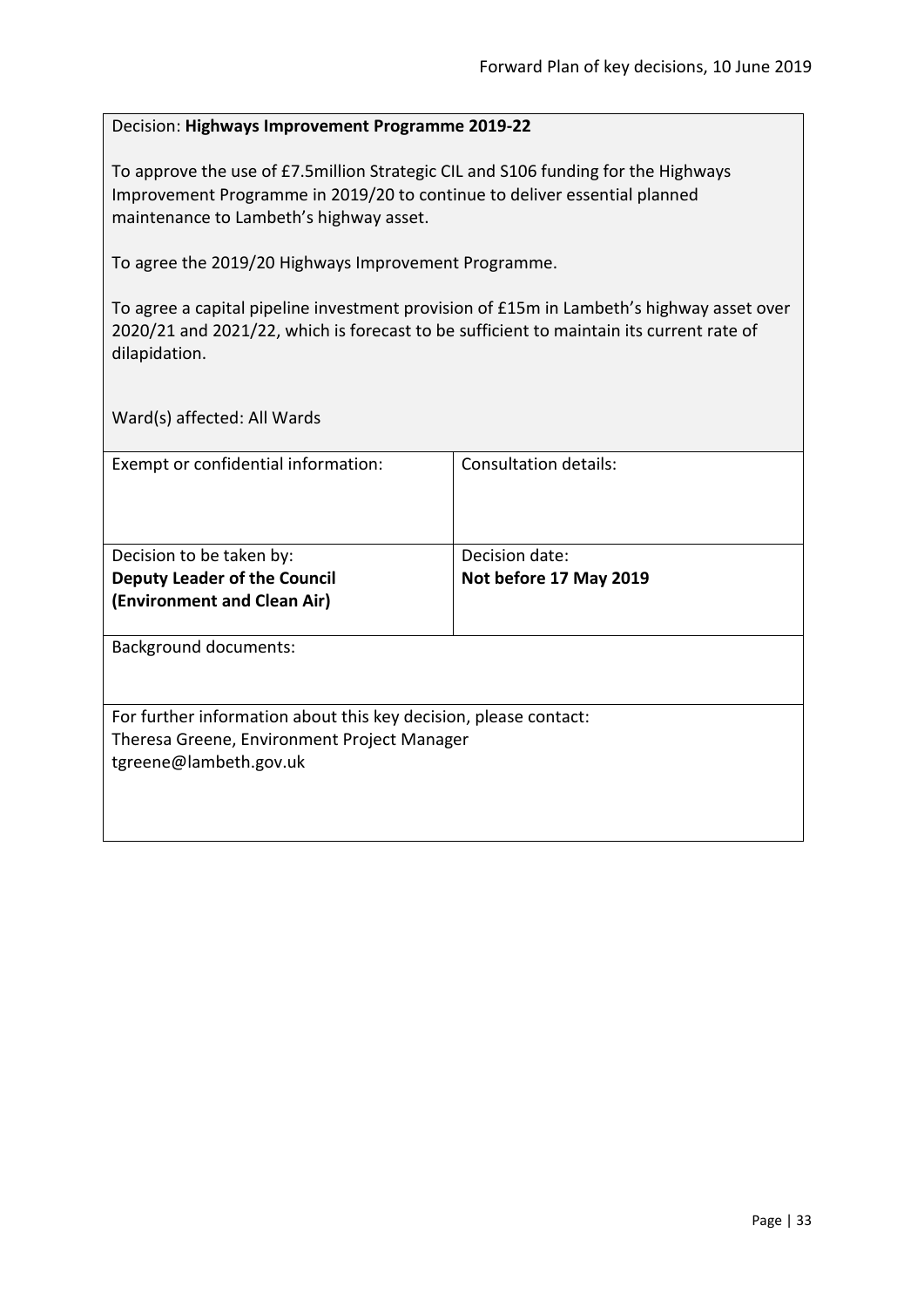#### <span id="page-32-0"></span>Decision: **Highways Improvement Programme 2019-22**

To approve the use of £7.5million Strategic CIL and S106 funding for the Highways Improvement Programme in 2019/20 to continue to deliver essential planned maintenance to Lambeth's highway asset.

To agree the 2019/20 Highways Improvement Programme.

To agree a capital pipeline investment provision of £15m in Lambeth's highway asset over 2020/21 and 2021/22, which is forecast to be sufficient to maintain its current rate of dilapidation.

| Exempt or confidential information:                              | Consultation details:  |
|------------------------------------------------------------------|------------------------|
|                                                                  |                        |
|                                                                  |                        |
| Decision to be taken by:                                         | Decision date:         |
| <b>Deputy Leader of the Council</b>                              | Not before 17 May 2019 |
| (Environment and Clean Air)                                      |                        |
|                                                                  |                        |
| <b>Background documents:</b>                                     |                        |
|                                                                  |                        |
|                                                                  |                        |
| For further information about this key decision, please contact: |                        |
| Theresa Greene, Environment Project Manager                      |                        |
| tgreene@lambeth.gov.uk                                           |                        |
|                                                                  |                        |
|                                                                  |                        |
|                                                                  |                        |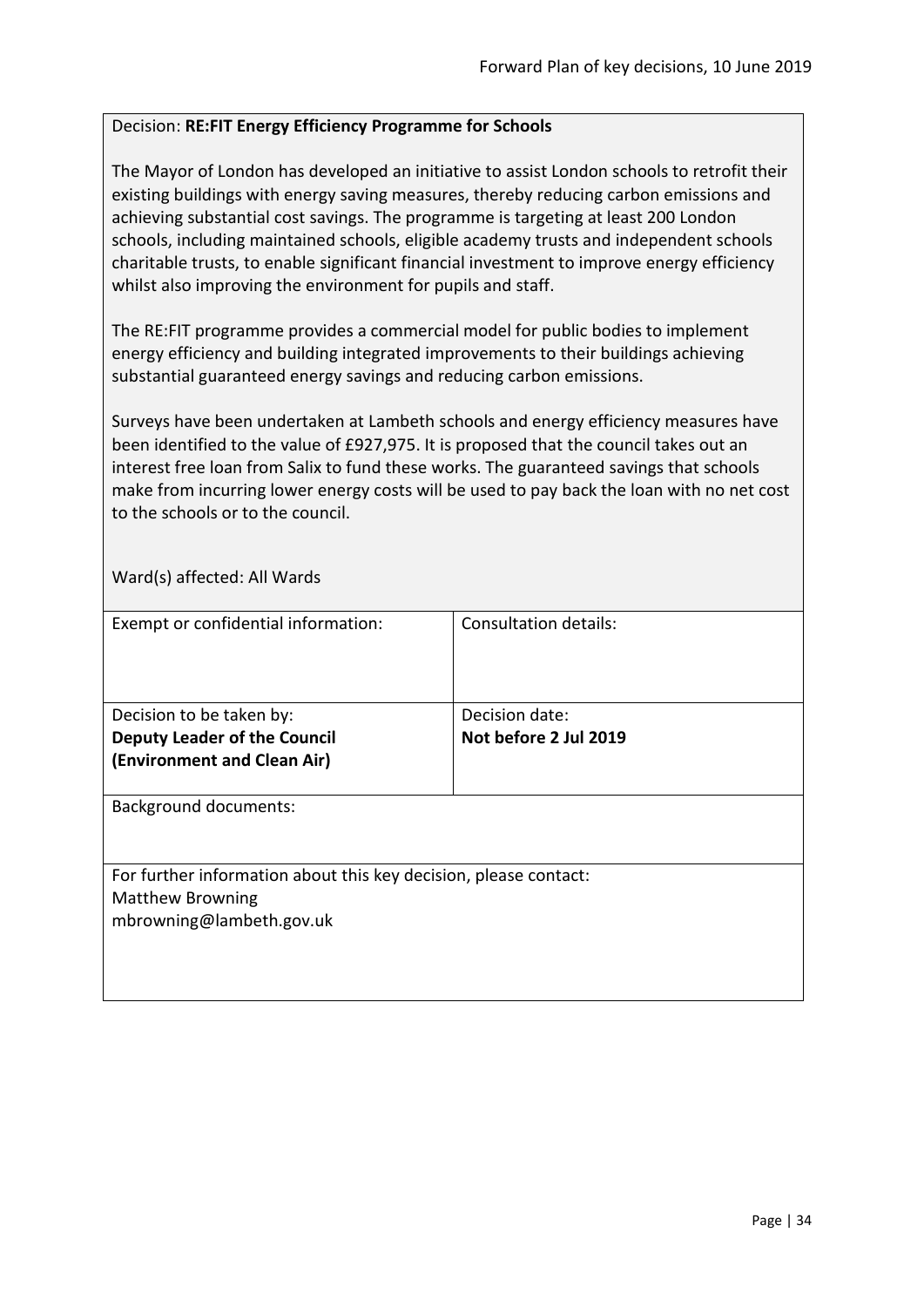#### <span id="page-33-0"></span>Decision: **RE:FIT Energy Efficiency Programme for Schools**

The Mayor of London has developed an initiative to assist London schools to retrofit their existing buildings with energy saving measures, thereby reducing carbon emissions and achieving substantial cost savings. The programme is targeting at least 200 London schools, including maintained schools, eligible academy trusts and independent schools charitable trusts, to enable significant financial investment to improve energy efficiency whilst also improving the environment for pupils and staff.

The RE:FIT programme provides a commercial model for public bodies to implement energy efficiency and building integrated improvements to their buildings achieving substantial guaranteed energy savings and reducing carbon emissions.

Surveys have been undertaken at Lambeth schools and energy efficiency measures have been identified to the value of £927,975. It is proposed that the council takes out an interest free loan from Salix to fund these works. The guaranteed savings that schools make from incurring lower energy costs will be used to pay back the loan with no net cost to the schools or to the council.

| Exempt or confidential information:                                                                                     | <b>Consultation details:</b>            |
|-------------------------------------------------------------------------------------------------------------------------|-----------------------------------------|
| Decision to be taken by:<br><b>Deputy Leader of the Council</b><br>(Environment and Clean Air)                          | Decision date:<br>Not before 2 Jul 2019 |
| <b>Background documents:</b>                                                                                            |                                         |
| For further information about this key decision, please contact:<br><b>Matthew Browning</b><br>mbrowning@lambeth.gov.uk |                                         |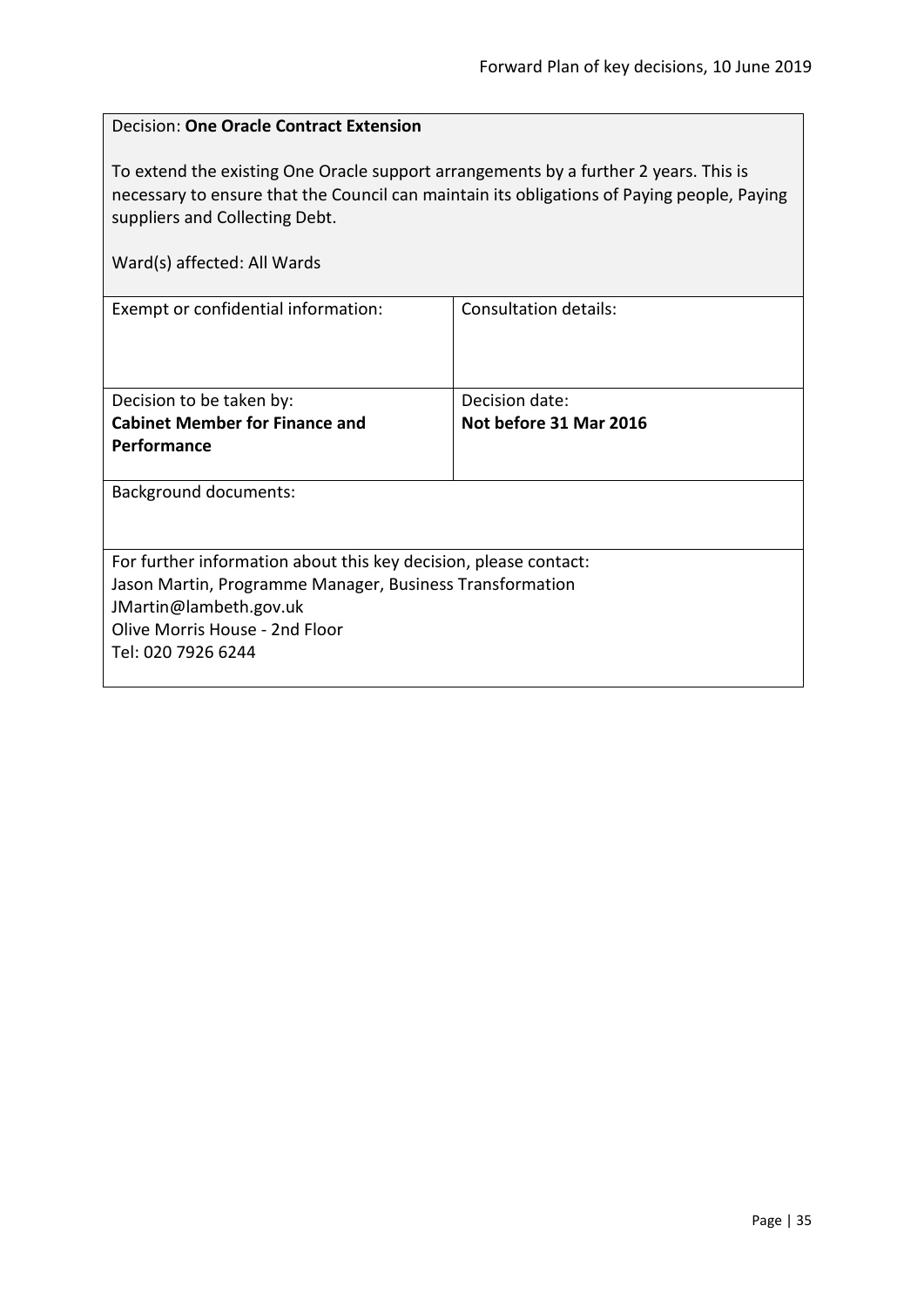<span id="page-34-0"></span>

| Decision: One Oracle Contract Extension                                                                                                                                                                                                             |                              |  |
|-----------------------------------------------------------------------------------------------------------------------------------------------------------------------------------------------------------------------------------------------------|------------------------------|--|
| To extend the existing One Oracle support arrangements by a further 2 years. This is<br>necessary to ensure that the Council can maintain its obligations of Paying people, Paying<br>suppliers and Collecting Debt.<br>Ward(s) affected: All Wards |                              |  |
| Exempt or confidential information:                                                                                                                                                                                                                 | <b>Consultation details:</b> |  |
|                                                                                                                                                                                                                                                     |                              |  |
| Decision to be taken by:                                                                                                                                                                                                                            | Decision date:               |  |
| <b>Cabinet Member for Finance and</b>                                                                                                                                                                                                               | Not before 31 Mar 2016       |  |
| Performance                                                                                                                                                                                                                                         |                              |  |
| <b>Background documents:</b>                                                                                                                                                                                                                        |                              |  |
|                                                                                                                                                                                                                                                     |                              |  |
| For further information about this key decision, please contact:                                                                                                                                                                                    |                              |  |
| Jason Martin, Programme Manager, Business Transformation                                                                                                                                                                                            |                              |  |
| JMartin@lambeth.gov.uk                                                                                                                                                                                                                              |                              |  |
| Olive Morris House - 2nd Floor                                                                                                                                                                                                                      |                              |  |
| Tel: 020 7926 6244                                                                                                                                                                                                                                  |                              |  |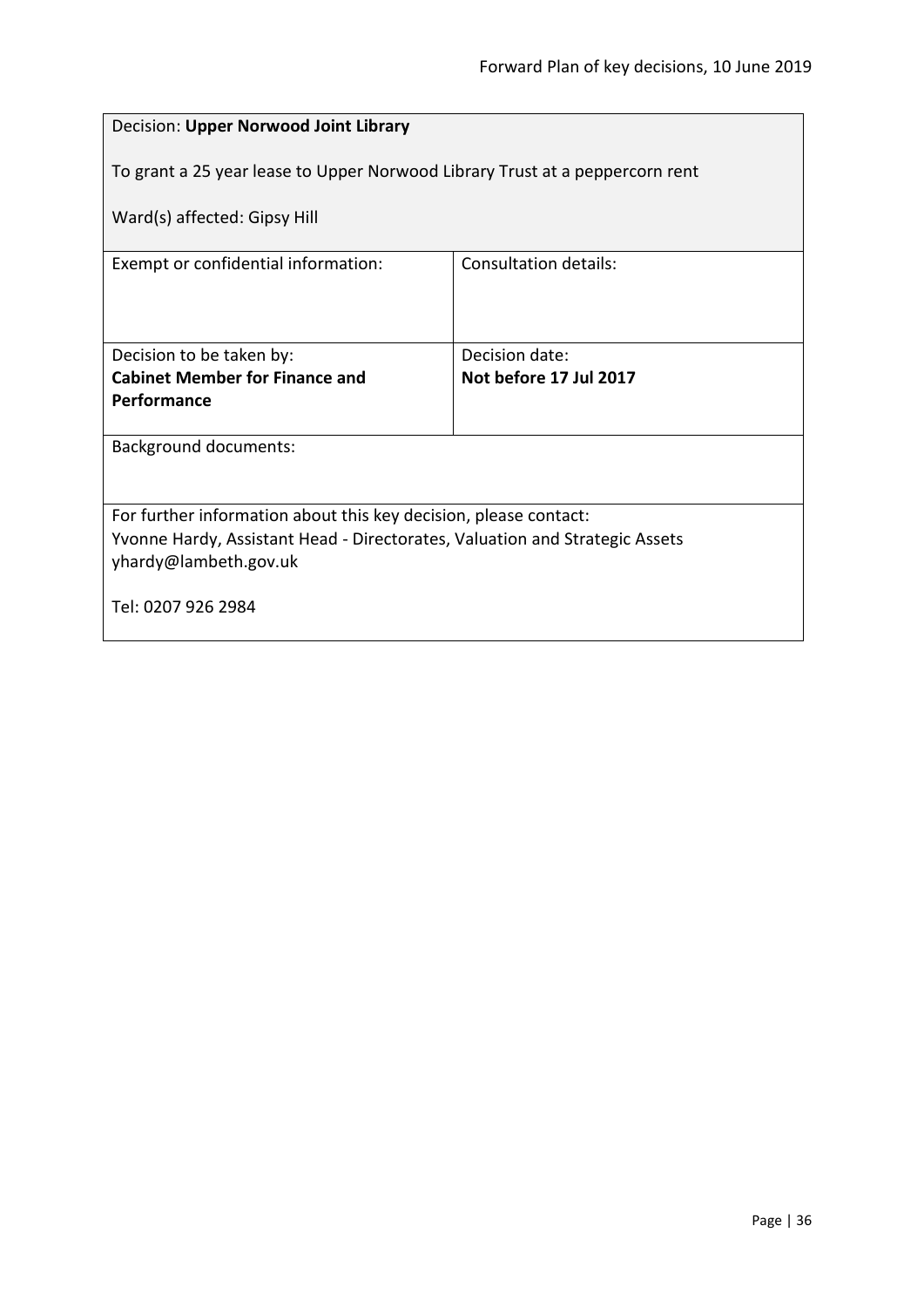<span id="page-35-0"></span>

| Decision: Upper Norwood Joint Library                                                                |                              |
|------------------------------------------------------------------------------------------------------|------------------------------|
| To grant a 25 year lease to Upper Norwood Library Trust at a peppercorn rent                         |                              |
| Ward(s) affected: Gipsy Hill                                                                         |                              |
| Exempt or confidential information:                                                                  | <b>Consultation details:</b> |
|                                                                                                      |                              |
| Decision to be taken by:                                                                             | Decision date:               |
| <b>Cabinet Member for Finance and</b><br>Performance                                                 | Not before 17 Jul 2017       |
|                                                                                                      |                              |
| <b>Background documents:</b>                                                                         |                              |
|                                                                                                      |                              |
| For further information about this key decision, please contact:                                     |                              |
| Yvonne Hardy, Assistant Head - Directorates, Valuation and Strategic Assets<br>yhardy@lambeth.gov.uk |                              |
|                                                                                                      |                              |
| Tel: 0207 926 2984                                                                                   |                              |
|                                                                                                      |                              |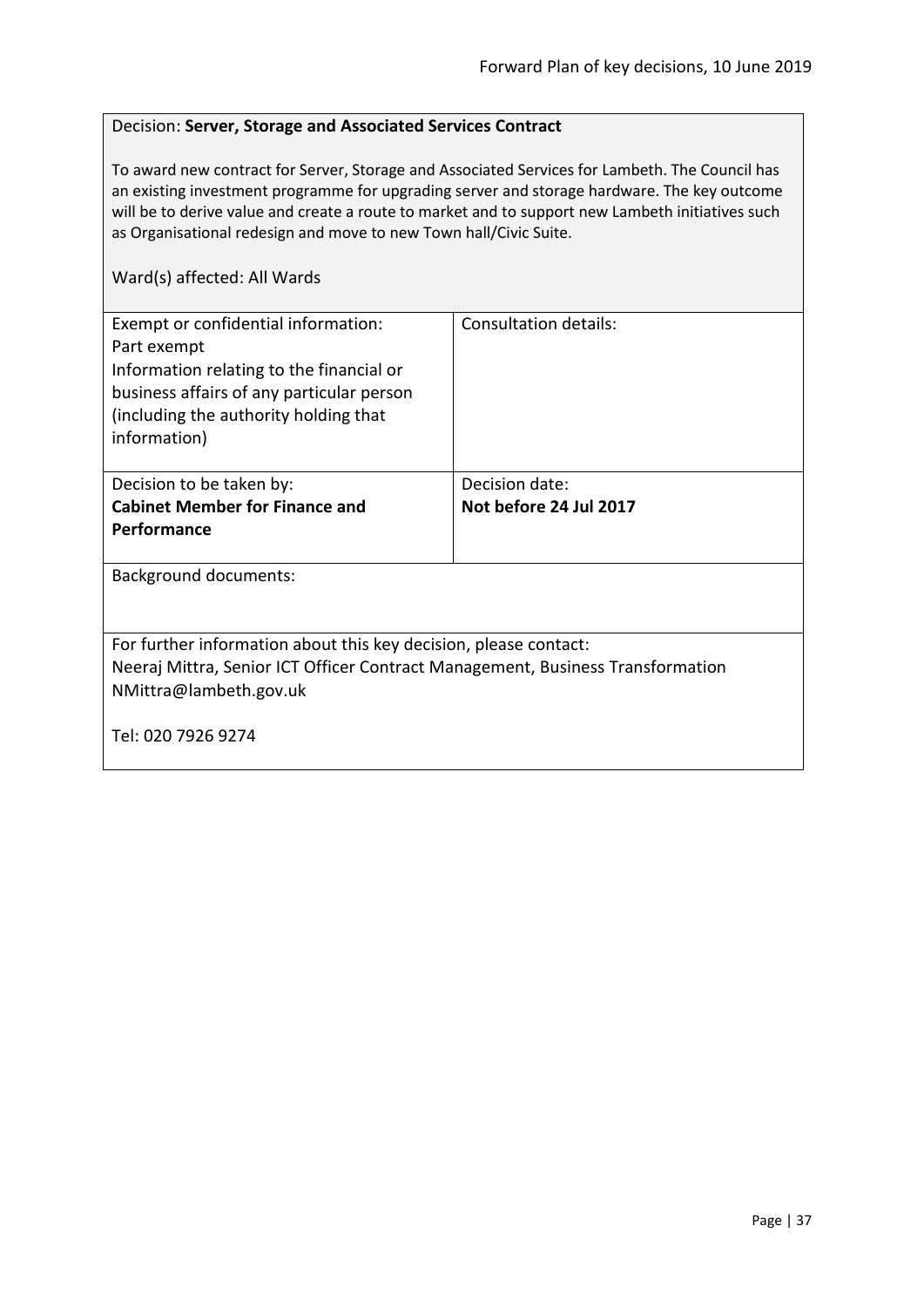### Decision: **Server, Storage and Associated Services Contract**

To award new contract for Server, Storage and Associated Services for Lambeth. The Council has an existing investment programme for upgrading server and storage hardware. The key outcome will be to derive value and create a route to market and to support new Lambeth initiatives such as Organisational redesign and move to new Town hall/Civic Suite.

| Exempt or confidential information:<br>Part exempt<br>Information relating to the financial or<br>business affairs of any particular person<br>(including the authority holding that<br>information) | Consultation details:  |
|------------------------------------------------------------------------------------------------------------------------------------------------------------------------------------------------------|------------------------|
| Decision to be taken by:                                                                                                                                                                             | Decision date:         |
| <b>Cabinet Member for Finance and</b>                                                                                                                                                                | Not before 24 Jul 2017 |
| <b>Performance</b>                                                                                                                                                                                   |                        |
|                                                                                                                                                                                                      |                        |
| <b>Background documents:</b>                                                                                                                                                                         |                        |
| For further information about this key decision, please contact:                                                                                                                                     |                        |
| Neeraj Mittra, Senior ICT Officer Contract Management, Business Transformation                                                                                                                       |                        |
| NMittra@lambeth.gov.uk                                                                                                                                                                               |                        |
| Tel: 020 7926 9274                                                                                                                                                                                   |                        |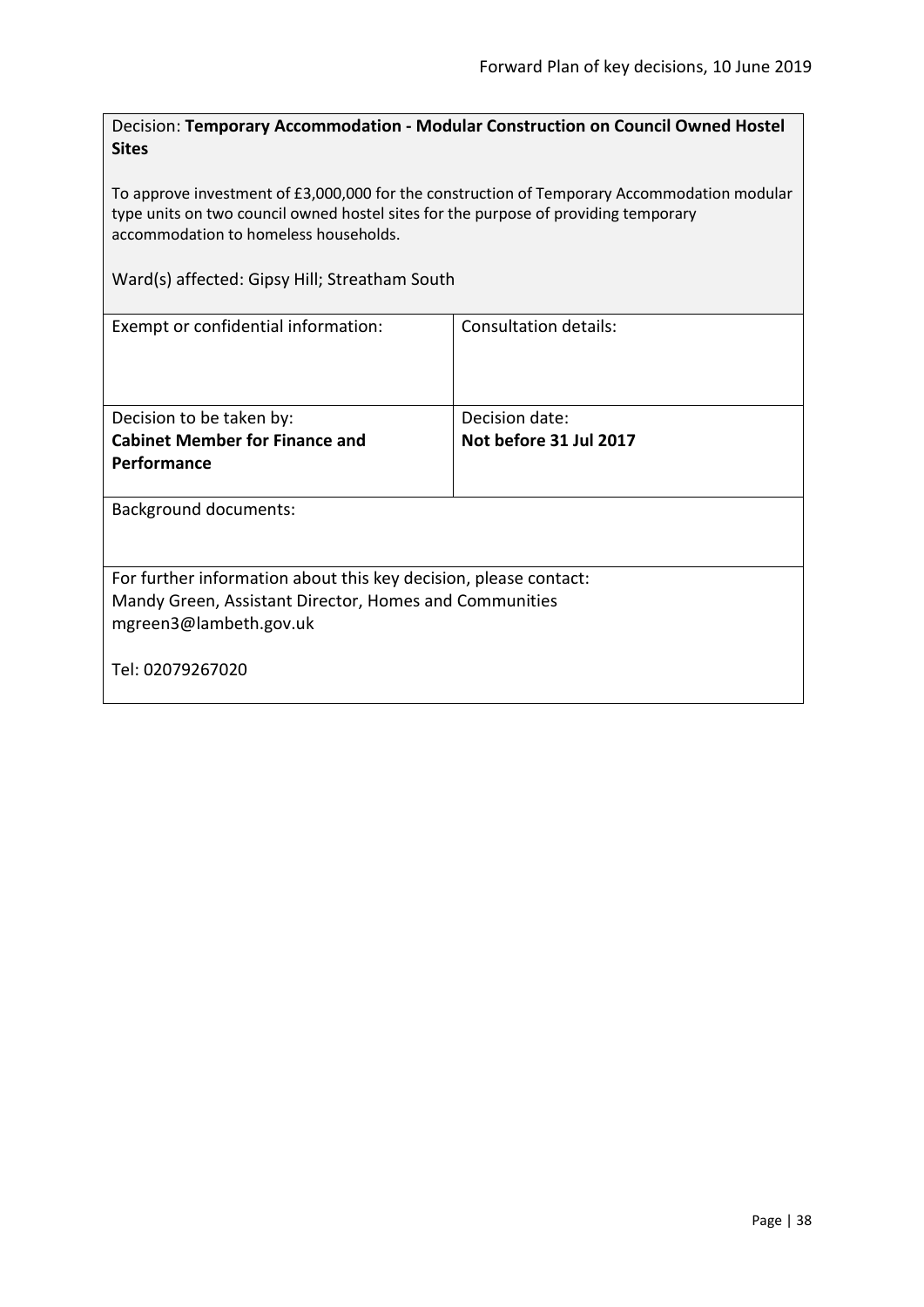Decision: **Temporary Accommodation - Modular Construction on Council Owned Hostel Sites**

To approve investment of £3,000,000 for the construction of Temporary Accommodation modular type units on two council owned hostel sites for the purpose of providing temporary accommodation to homeless households.

Ward(s) affected: Gipsy Hill; Streatham South

| Exempt or confidential information:                                                                                                                  | Consultation details:  |  |
|------------------------------------------------------------------------------------------------------------------------------------------------------|------------------------|--|
| Decision to be taken by:                                                                                                                             | Decision date:         |  |
| <b>Cabinet Member for Finance and</b>                                                                                                                | Not before 31 Jul 2017 |  |
| Performance                                                                                                                                          |                        |  |
| <b>Background documents:</b>                                                                                                                         |                        |  |
| For further information about this key decision, please contact:<br>Mandy Green, Assistant Director, Homes and Communities<br>mgreen3@lambeth.gov.uk |                        |  |
| Tel: 02079267020                                                                                                                                     |                        |  |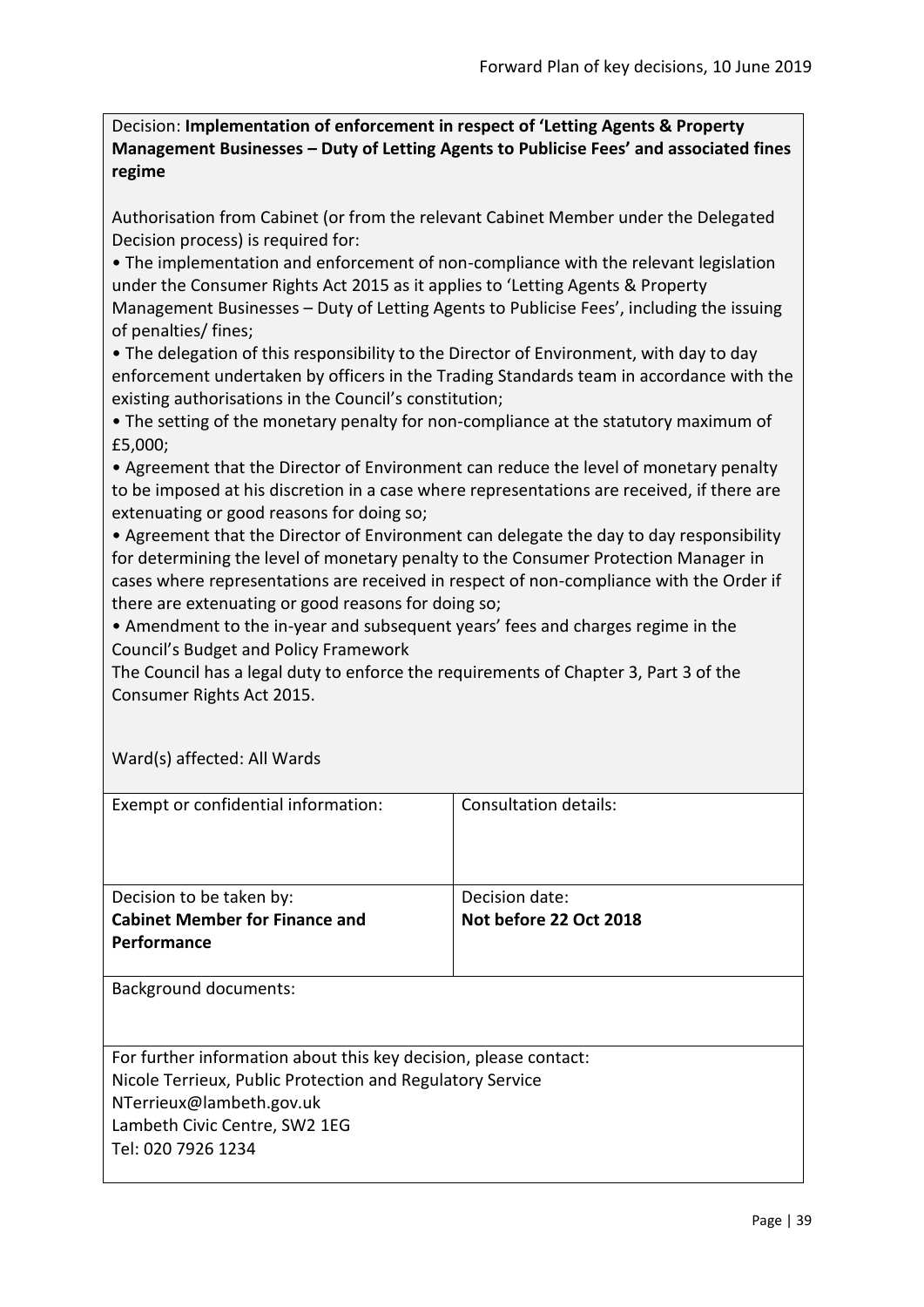Decision: **Implementation of enforcement in respect of 'Letting Agents & Property Management Businesses – Duty of Letting Agents to Publicise Fees' and associated fines regime**

Authorisation from Cabinet (or from the relevant Cabinet Member under the Delegated Decision process) is required for:

• The implementation and enforcement of non-compliance with the relevant legislation under the Consumer Rights Act 2015 as it applies to 'Letting Agents & Property Management Businesses – Duty of Letting Agents to Publicise Fees', including the issuing of penalties/ fines;

• The delegation of this responsibility to the Director of Environment, with day to day enforcement undertaken by officers in the Trading Standards team in accordance with the existing authorisations in the Council's constitution;

• The setting of the monetary penalty for non-compliance at the statutory maximum of £5,000;

• Agreement that the Director of Environment can reduce the level of monetary penalty to be imposed at his discretion in a case where representations are received, if there are extenuating or good reasons for doing so;

• Agreement that the Director of Environment can delegate the day to day responsibility for determining the level of monetary penalty to the Consumer Protection Manager in cases where representations are received in respect of non-compliance with the Order if there are extenuating or good reasons for doing so;

• Amendment to the in-year and subsequent years' fees and charges regime in the Council's Budget and Policy Framework

The Council has a legal duty to enforce the requirements of Chapter 3, Part 3 of the Consumer Rights Act 2015.

| Exempt or confidential information:                              | Consultation details:  |
|------------------------------------------------------------------|------------------------|
| Decision to be taken by:                                         | Decision date:         |
| <b>Cabinet Member for Finance and</b>                            | Not before 22 Oct 2018 |
| <b>Performance</b>                                               |                        |
| Background documents:                                            |                        |
| For further information about this key decision, please contact: |                        |
| Nicole Terrieux, Public Protection and Regulatory Service        |                        |
| NTerrieux@lambeth.gov.uk                                         |                        |
| Lambeth Civic Centre, SW2 1EG                                    |                        |
| Tel: 020 7926 1234                                               |                        |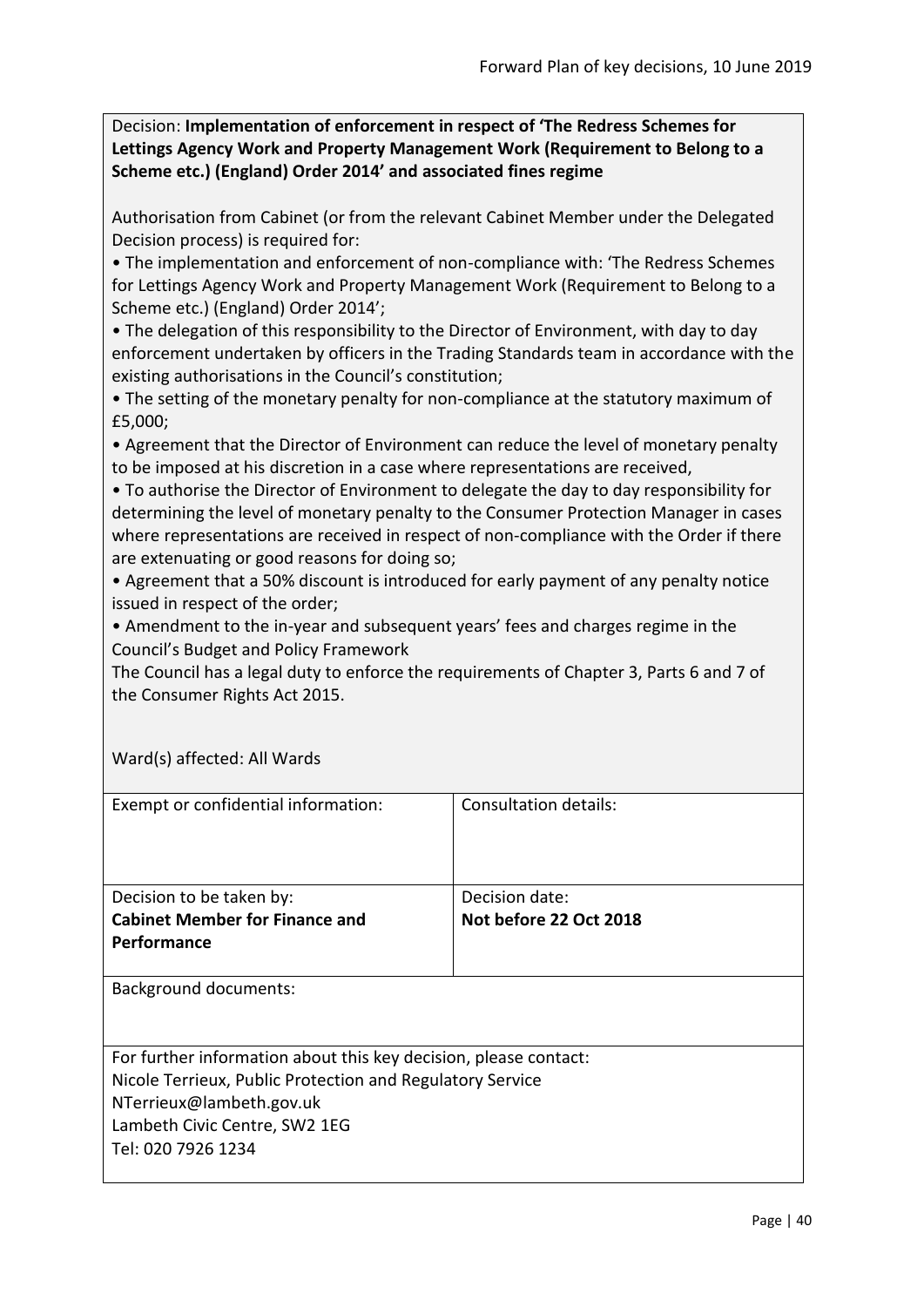Decision: **Implementation of enforcement in respect of 'The Redress Schemes for Lettings Agency Work and Property Management Work (Requirement to Belong to a Scheme etc.) (England) Order 2014' and associated fines regime**

Authorisation from Cabinet (or from the relevant Cabinet Member under the Delegated Decision process) is required for:

• The implementation and enforcement of non-compliance with: 'The Redress Schemes for Lettings Agency Work and Property Management Work (Requirement to Belong to a Scheme etc.) (England) Order 2014';

• The delegation of this responsibility to the Director of Environment, with day to day enforcement undertaken by officers in the Trading Standards team in accordance with the existing authorisations in the Council's constitution;

• The setting of the monetary penalty for non-compliance at the statutory maximum of £5,000;

• Agreement that the Director of Environment can reduce the level of monetary penalty to be imposed at his discretion in a case where representations are received,

• To authorise the Director of Environment to delegate the day to day responsibility for determining the level of monetary penalty to the Consumer Protection Manager in cases where representations are received in respect of non-compliance with the Order if there are extenuating or good reasons for doing so;

• Agreement that a 50% discount is introduced for early payment of any penalty notice issued in respect of the order;

• Amendment to the in-year and subsequent years' fees and charges regime in the Council's Budget and Policy Framework

The Council has a legal duty to enforce the requirements of Chapter 3, Parts 6 and 7 of the Consumer Rights Act 2015.

| Exempt or confidential information:                              | Consultation details:  |
|------------------------------------------------------------------|------------------------|
| Decision to be taken by:                                         | Decision date:         |
| <b>Cabinet Member for Finance and</b>                            | Not before 22 Oct 2018 |
| <b>Performance</b>                                               |                        |
| <b>Background documents:</b>                                     |                        |
| For further information about this key decision, please contact: |                        |
| Nicole Terrieux, Public Protection and Regulatory Service        |                        |
| NTerrieux@lambeth.gov.uk                                         |                        |
| Lambeth Civic Centre, SW2 1EG                                    |                        |
| Tel: 020 7926 1234                                               |                        |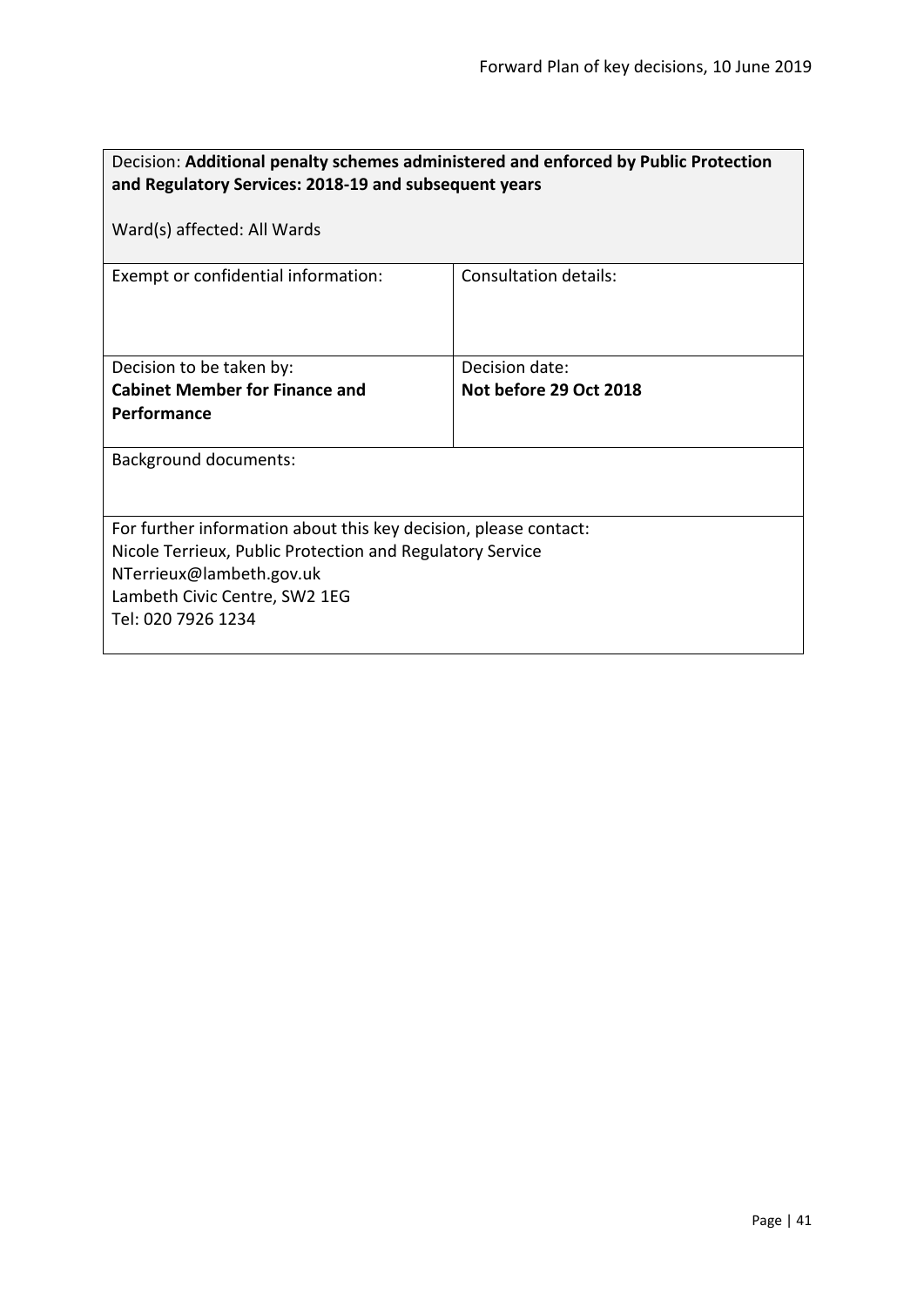| Decision: Additional penalty schemes administered and enforced by Public Protection<br>and Regulatory Services: 2018-19 and subsequent years                                                                     |                              |  |
|------------------------------------------------------------------------------------------------------------------------------------------------------------------------------------------------------------------|------------------------------|--|
| Ward(s) affected: All Wards                                                                                                                                                                                      |                              |  |
| Exempt or confidential information:                                                                                                                                                                              | <b>Consultation details:</b> |  |
| Decision to be taken by:                                                                                                                                                                                         | Decision date:               |  |
| <b>Cabinet Member for Finance and</b>                                                                                                                                                                            | Not before 29 Oct 2018       |  |
| Performance                                                                                                                                                                                                      |                              |  |
| <b>Background documents:</b>                                                                                                                                                                                     |                              |  |
| For further information about this key decision, please contact:<br>Nicole Terrieux, Public Protection and Regulatory Service<br>NTerrieux@lambeth.gov.uk<br>Lambeth Civic Centre, SW2 1EG<br>Tel: 020 7926 1234 |                              |  |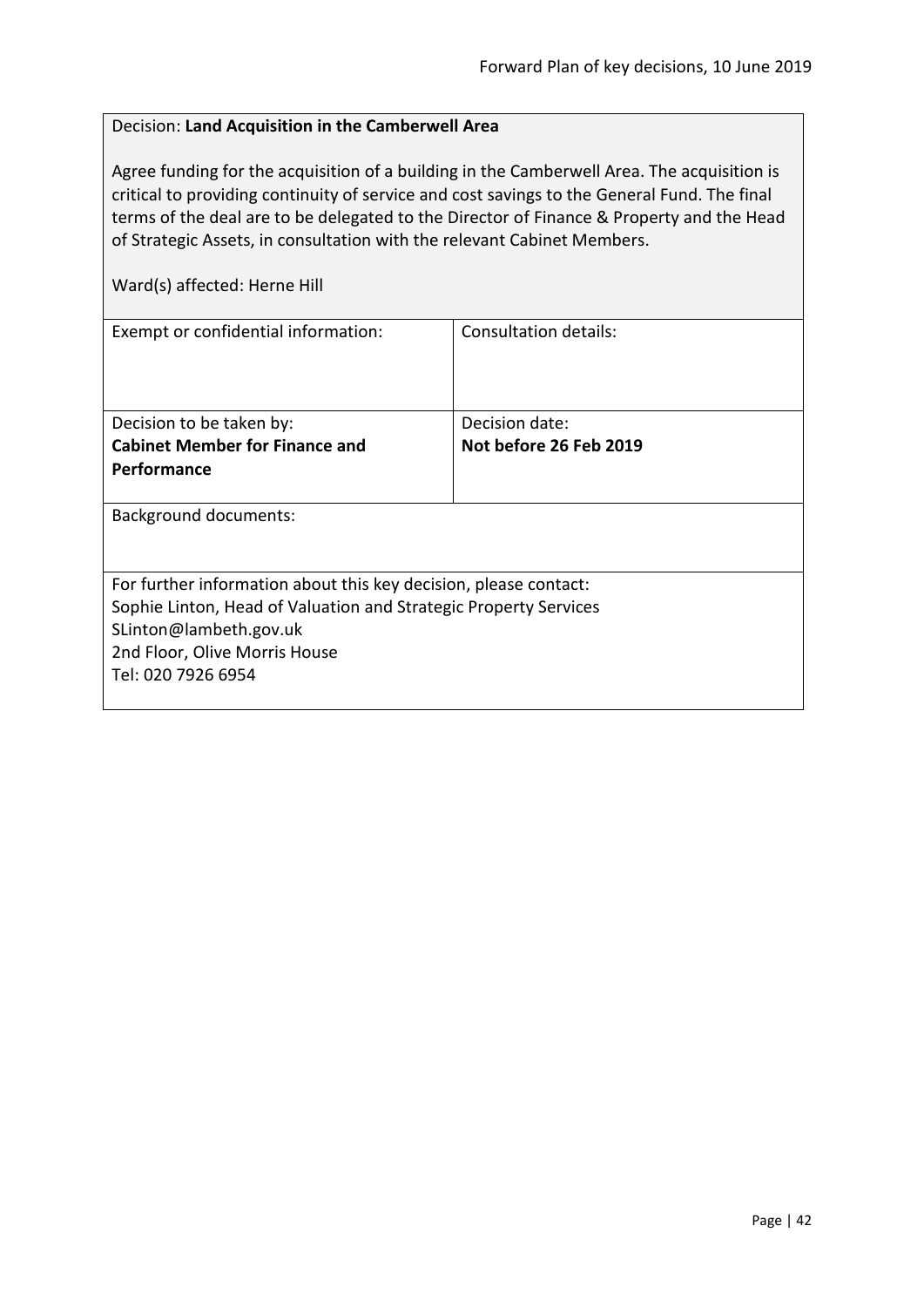# Decision: **Land Acquisition in the Camberwell Area**

Agree funding for the acquisition of a building in the Camberwell Area. The acquisition is critical to providing continuity of service and cost savings to the General Fund. The final terms of the deal are to be delegated to the Director of Finance & Property and the Head of Strategic Assets, in consultation with the relevant Cabinet Members.

Ward(s) affected: Herne Hill

| Consultation details:                                            |  |  |
|------------------------------------------------------------------|--|--|
|                                                                  |  |  |
|                                                                  |  |  |
|                                                                  |  |  |
| Decision date:                                                   |  |  |
| Not before 26 Feb 2019                                           |  |  |
|                                                                  |  |  |
|                                                                  |  |  |
| Background documents:                                            |  |  |
|                                                                  |  |  |
|                                                                  |  |  |
| For further information about this key decision, please contact: |  |  |
| Sophie Linton, Head of Valuation and Strategic Property Services |  |  |
| SLinton@lambeth.gov.uk                                           |  |  |
| 2nd Floor, Olive Morris House                                    |  |  |
|                                                                  |  |  |
|                                                                  |  |  |
|                                                                  |  |  |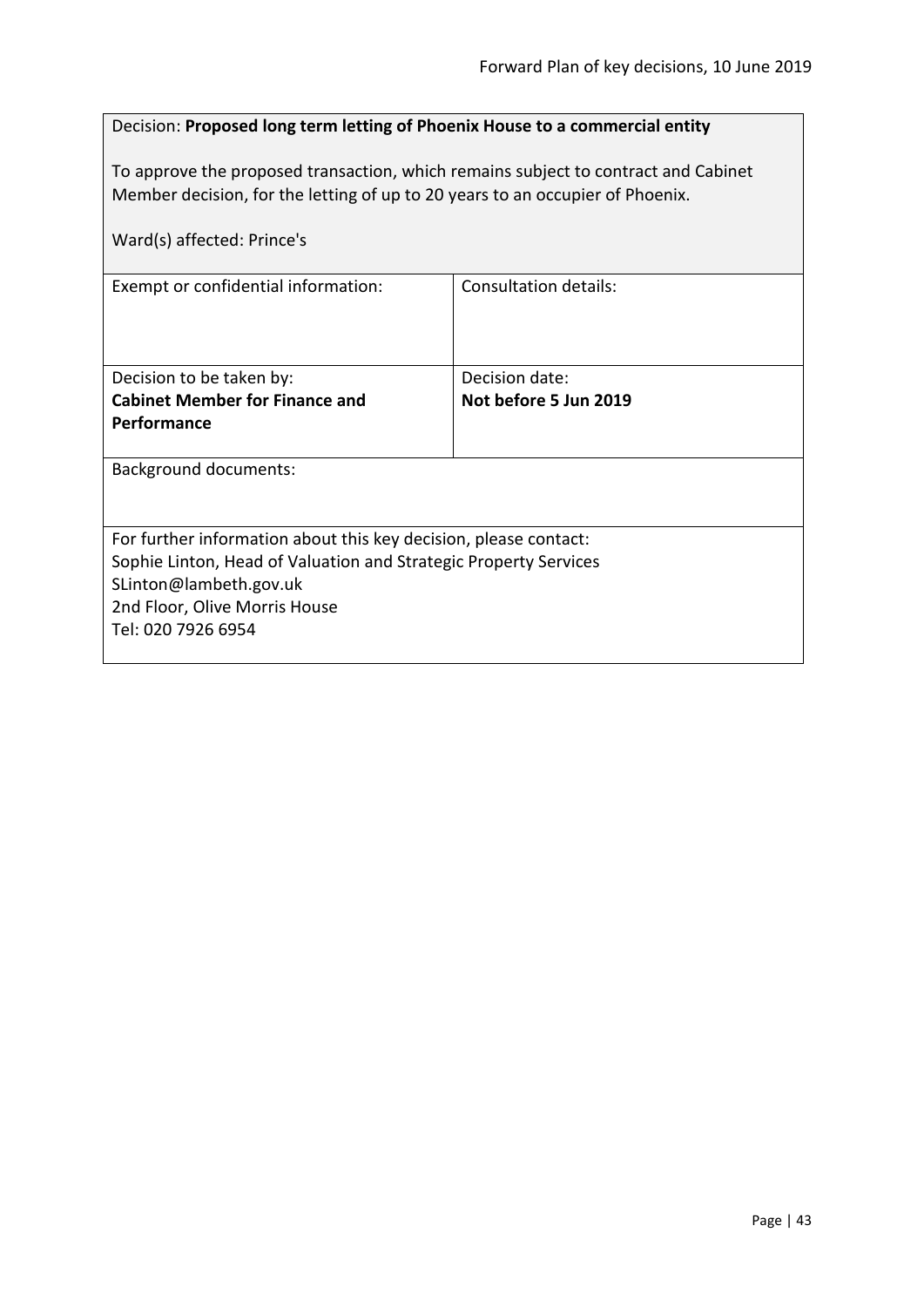## Decision: **Proposed long term letting of Phoenix House to a commercial entity**

To approve the proposed transaction, which remains subject to contract and Cabinet Member decision, for the letting of up to 20 years to an occupier of Phoenix.

| Ward(s) affected: Prince's                                                                                                                                                                                                                            |                              |
|-------------------------------------------------------------------------------------------------------------------------------------------------------------------------------------------------------------------------------------------------------|------------------------------|
| Exempt or confidential information:                                                                                                                                                                                                                   | <b>Consultation details:</b> |
|                                                                                                                                                                                                                                                       |                              |
| Decision to be taken by:                                                                                                                                                                                                                              | Decision date:               |
| <b>Cabinet Member for Finance and</b>                                                                                                                                                                                                                 | Not before 5 Jun 2019        |
| <b>Performance</b>                                                                                                                                                                                                                                    |                              |
|                                                                                                                                                                                                                                                       |                              |
|                                                                                                                                                                                                                                                       |                              |
|                                                                                                                                                                                                                                                       |                              |
|                                                                                                                                                                                                                                                       |                              |
|                                                                                                                                                                                                                                                       |                              |
|                                                                                                                                                                                                                                                       |                              |
|                                                                                                                                                                                                                                                       |                              |
|                                                                                                                                                                                                                                                       |                              |
|                                                                                                                                                                                                                                                       |                              |
| <b>Background documents:</b><br>For further information about this key decision, please contact:<br>Sophie Linton, Head of Valuation and Strategic Property Services<br>SLinton@lambeth.gov.uk<br>2nd Floor, Olive Morris House<br>Tel: 020 7926 6954 |                              |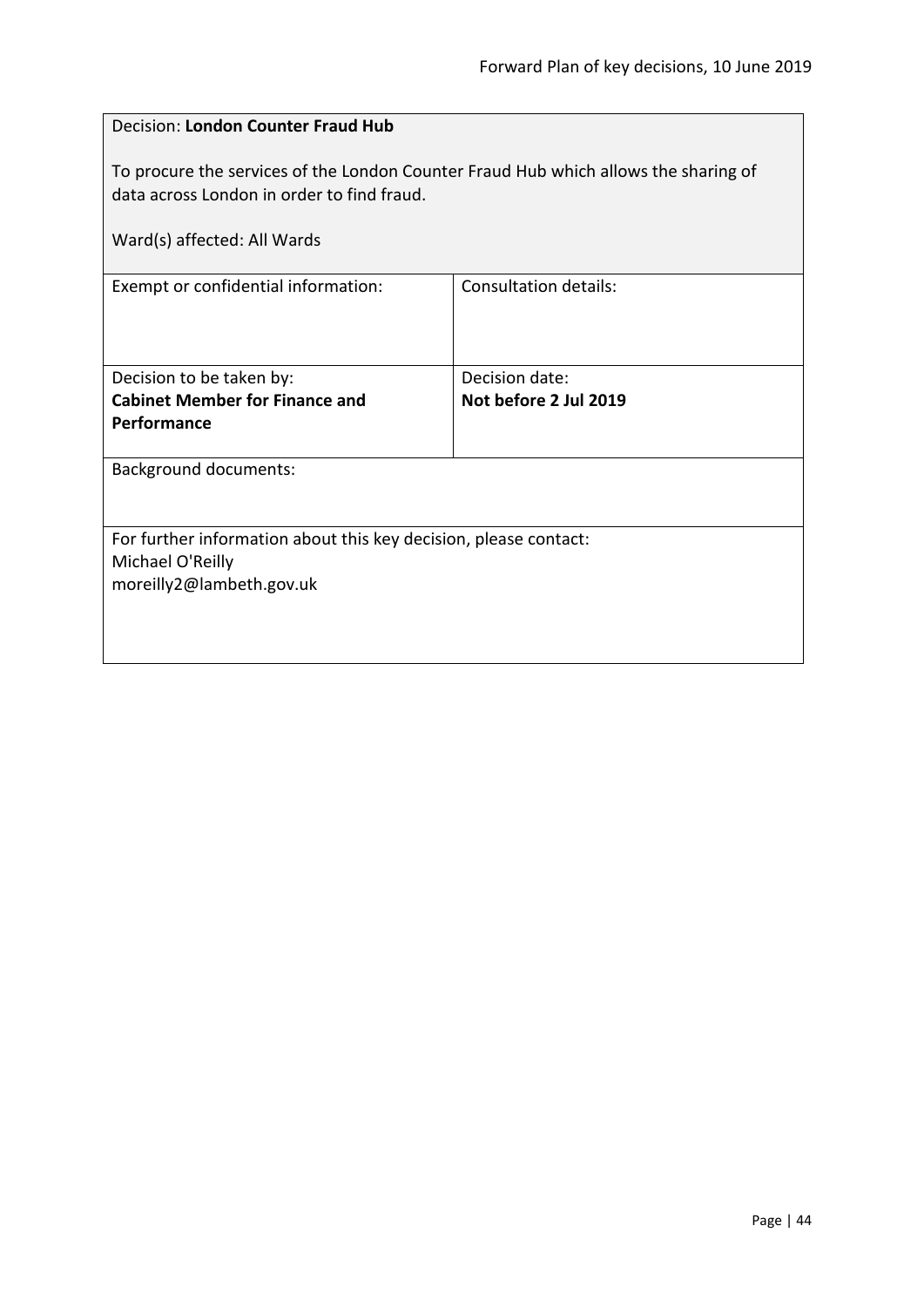| <b>Decision: London Counter Fraud Hub</b>                                                                                                                        |                              |  |
|------------------------------------------------------------------------------------------------------------------------------------------------------------------|------------------------------|--|
| To procure the services of the London Counter Fraud Hub which allows the sharing of<br>data across London in order to find fraud.<br>Ward(s) affected: All Wards |                              |  |
| Exempt or confidential information:                                                                                                                              | <b>Consultation details:</b> |  |
|                                                                                                                                                                  |                              |  |
| Decision to be taken by:                                                                                                                                         | Decision date:               |  |
| <b>Cabinet Member for Finance and</b>                                                                                                                            | Not before 2 Jul 2019        |  |
| Performance                                                                                                                                                      |                              |  |
| <b>Background documents:</b>                                                                                                                                     |                              |  |
|                                                                                                                                                                  |                              |  |
| For further information about this key decision, please contact:<br>Michael O'Reilly<br>moreilly2@lambeth.gov.uk                                                 |                              |  |
|                                                                                                                                                                  |                              |  |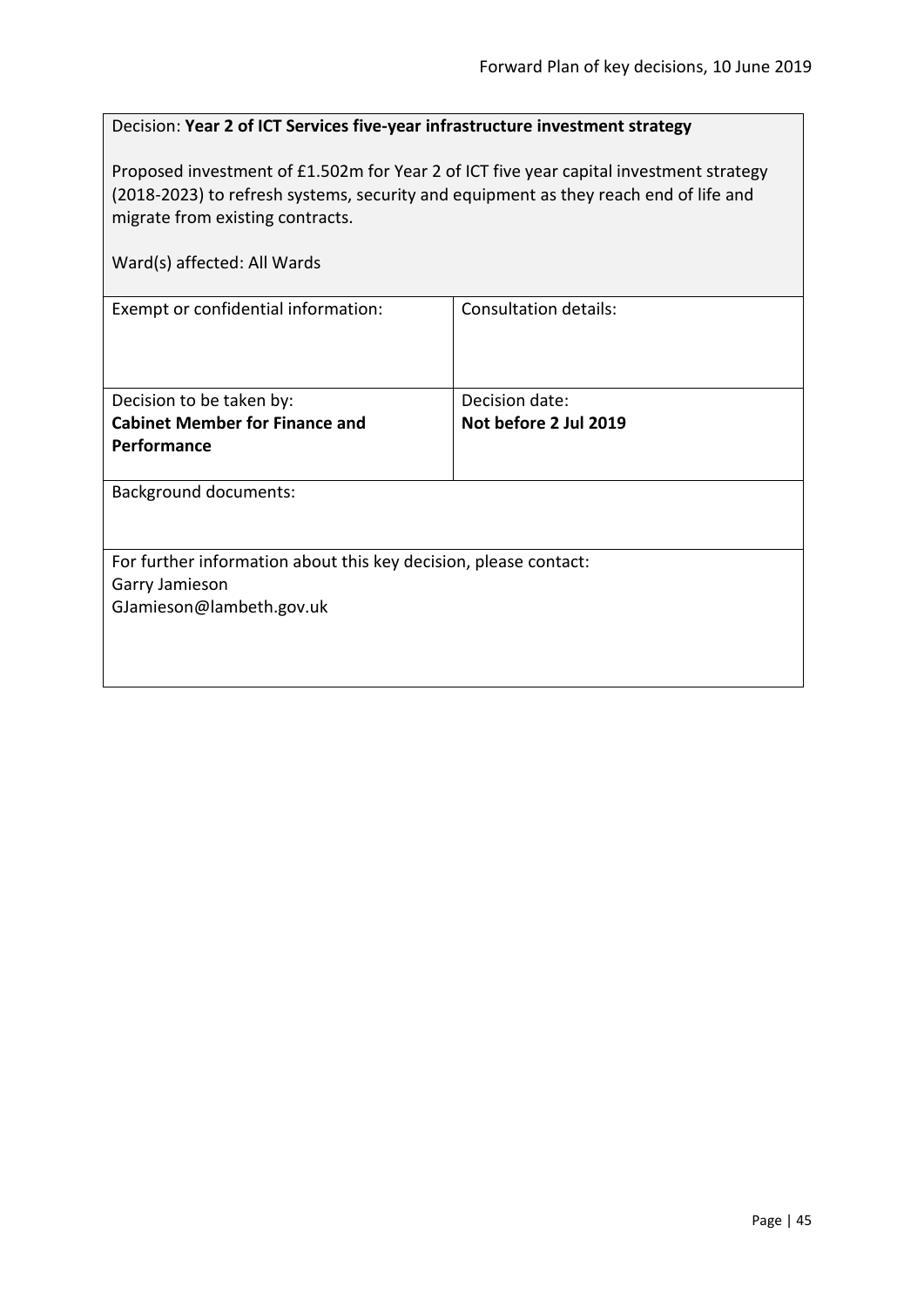| Decision: Year 2 of ICT Services five-year infrastructure investment strategy |  |
|-------------------------------------------------------------------------------|--|
|-------------------------------------------------------------------------------|--|

Proposed investment of £1.502m for Year 2 of ICT five year capital investment strategy (2018-2023) to refresh systems, security and equipment as they reach end of life and migrate from existing contracts.

| Ward(s) affected: All Wards                                                                                    |                                         |  |
|----------------------------------------------------------------------------------------------------------------|-----------------------------------------|--|
| Exempt or confidential information:                                                                            | Consultation details:                   |  |
| Decision to be taken by:<br><b>Cabinet Member for Finance and</b><br>Performance                               | Decision date:<br>Not before 2 Jul 2019 |  |
| <b>Background documents:</b>                                                                                   |                                         |  |
| For further information about this key decision, please contact:<br>Garry Jamieson<br>GJamieson@lambeth.gov.uk |                                         |  |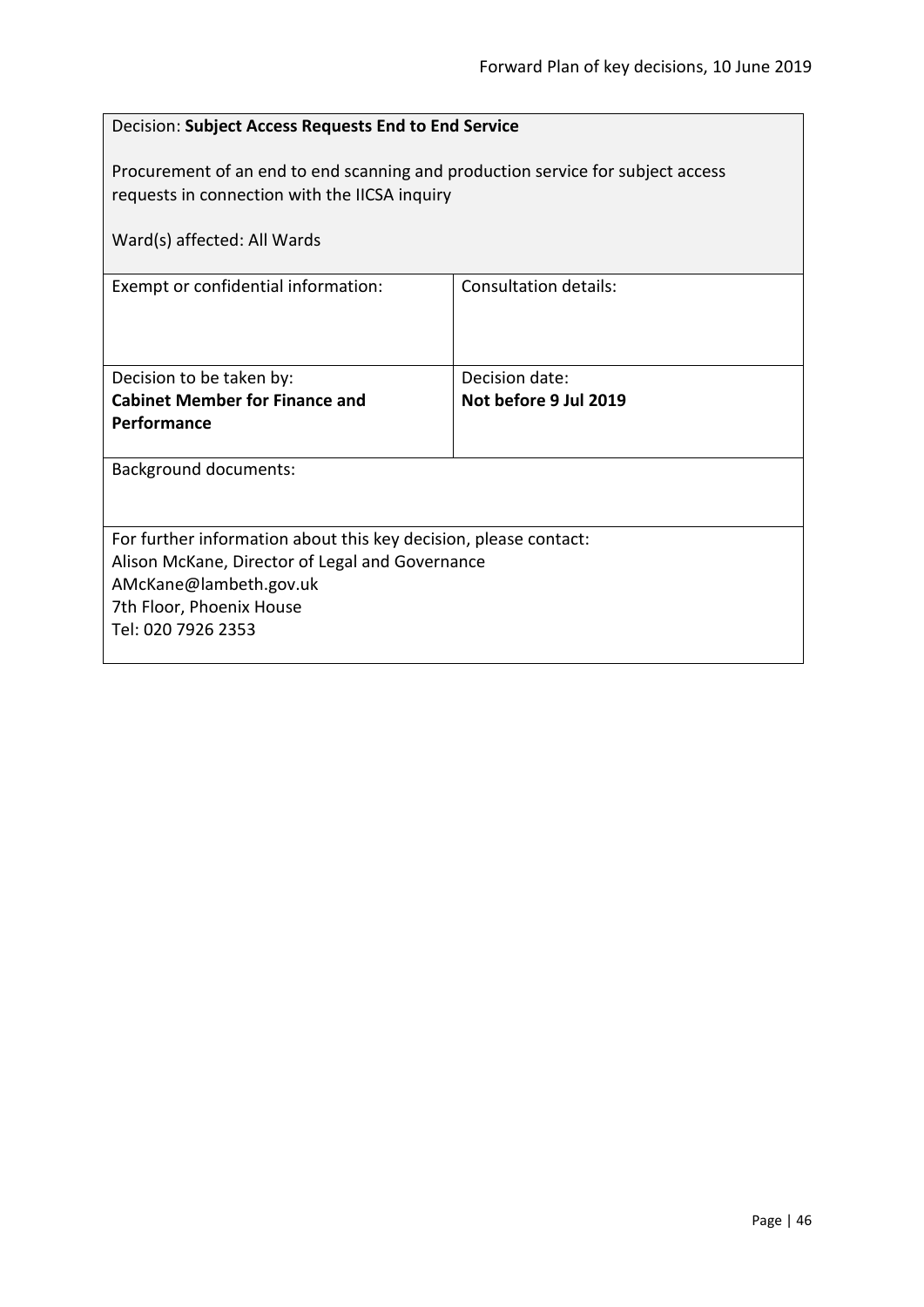| Decision: Subject Access Requests End to End Service                                                                             |                       |  |
|----------------------------------------------------------------------------------------------------------------------------------|-----------------------|--|
| Procurement of an end to end scanning and production service for subject access<br>requests in connection with the IICSA inquiry |                       |  |
| Ward(s) affected: All Wards                                                                                                      |                       |  |
| Exempt or confidential information:                                                                                              | Consultation details: |  |
| Decision to be taken by:                                                                                                         | Decision date:        |  |
| <b>Cabinet Member for Finance and</b><br>Performance                                                                             | Not before 9 Jul 2019 |  |
|                                                                                                                                  |                       |  |
| <b>Background documents:</b>                                                                                                     |                       |  |
| For further information about this key decision, please contact:                                                                 |                       |  |
| Alison McKane, Director of Legal and Governance                                                                                  |                       |  |
| AMcKane@lambeth.gov.uk                                                                                                           |                       |  |
| 7th Floor, Phoenix House<br>Tel: 020 7926 2353                                                                                   |                       |  |
|                                                                                                                                  |                       |  |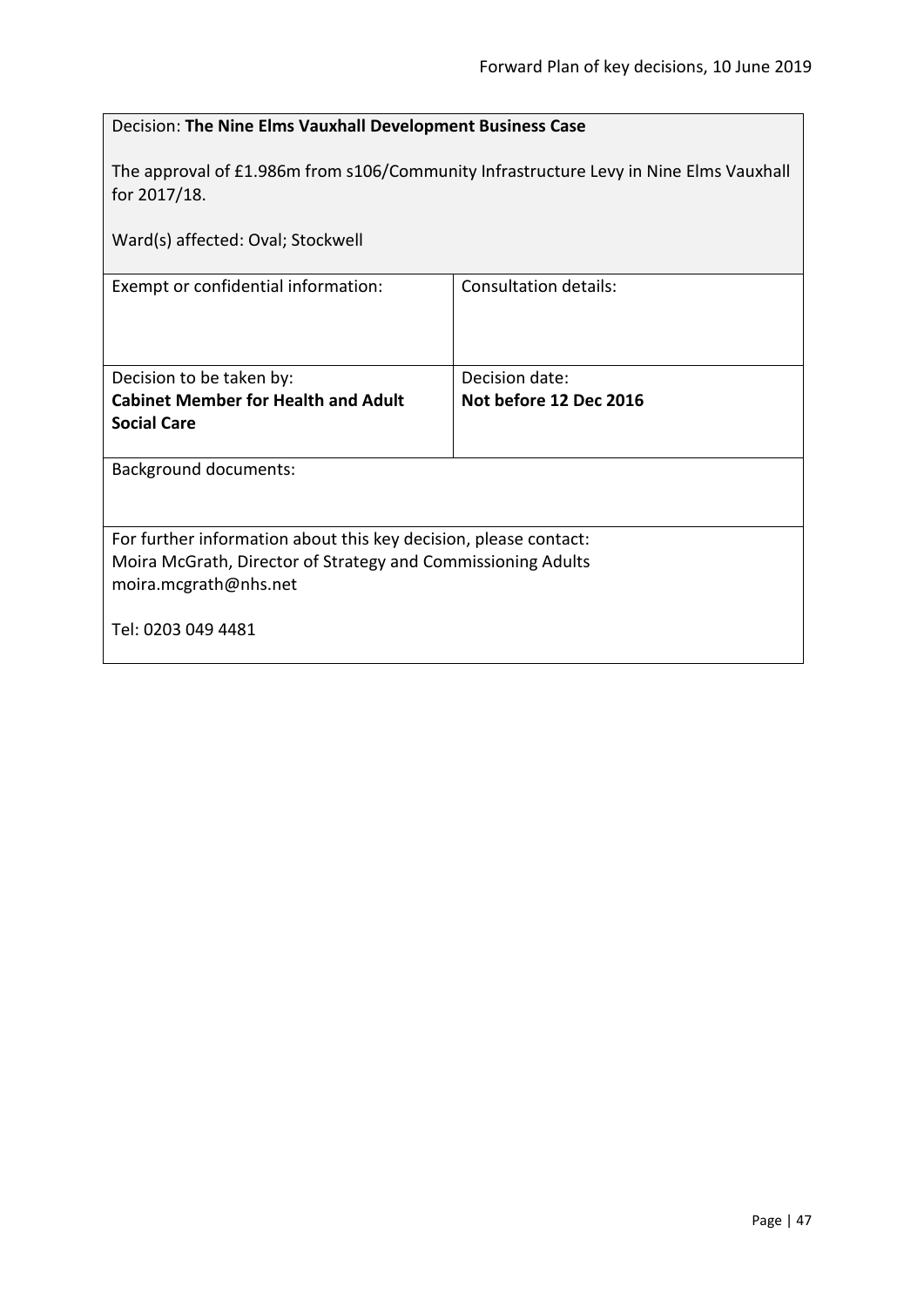| Decision: The Nine Elms Vauxhall Development Business Case                                            |                        |
|-------------------------------------------------------------------------------------------------------|------------------------|
| The approval of £1.986m from s106/Community Infrastructure Levy in Nine Elms Vauxhall<br>for 2017/18. |                        |
| Ward(s) affected: Oval; Stockwell                                                                     |                        |
| Exempt or confidential information:                                                                   | Consultation details:  |
|                                                                                                       |                        |
| Decision to be taken by:                                                                              | Decision date:         |
| <b>Cabinet Member for Health and Adult</b>                                                            | Not before 12 Dec 2016 |
| <b>Social Care</b>                                                                                    |                        |
| <b>Background documents:</b>                                                                          |                        |
|                                                                                                       |                        |
| For further information about this key decision, please contact:                                      |                        |
| Moira McGrath, Director of Strategy and Commissioning Adults                                          |                        |
| moira.mcgrath@nhs.net                                                                                 |                        |
| Tel: 0203 049 4481                                                                                    |                        |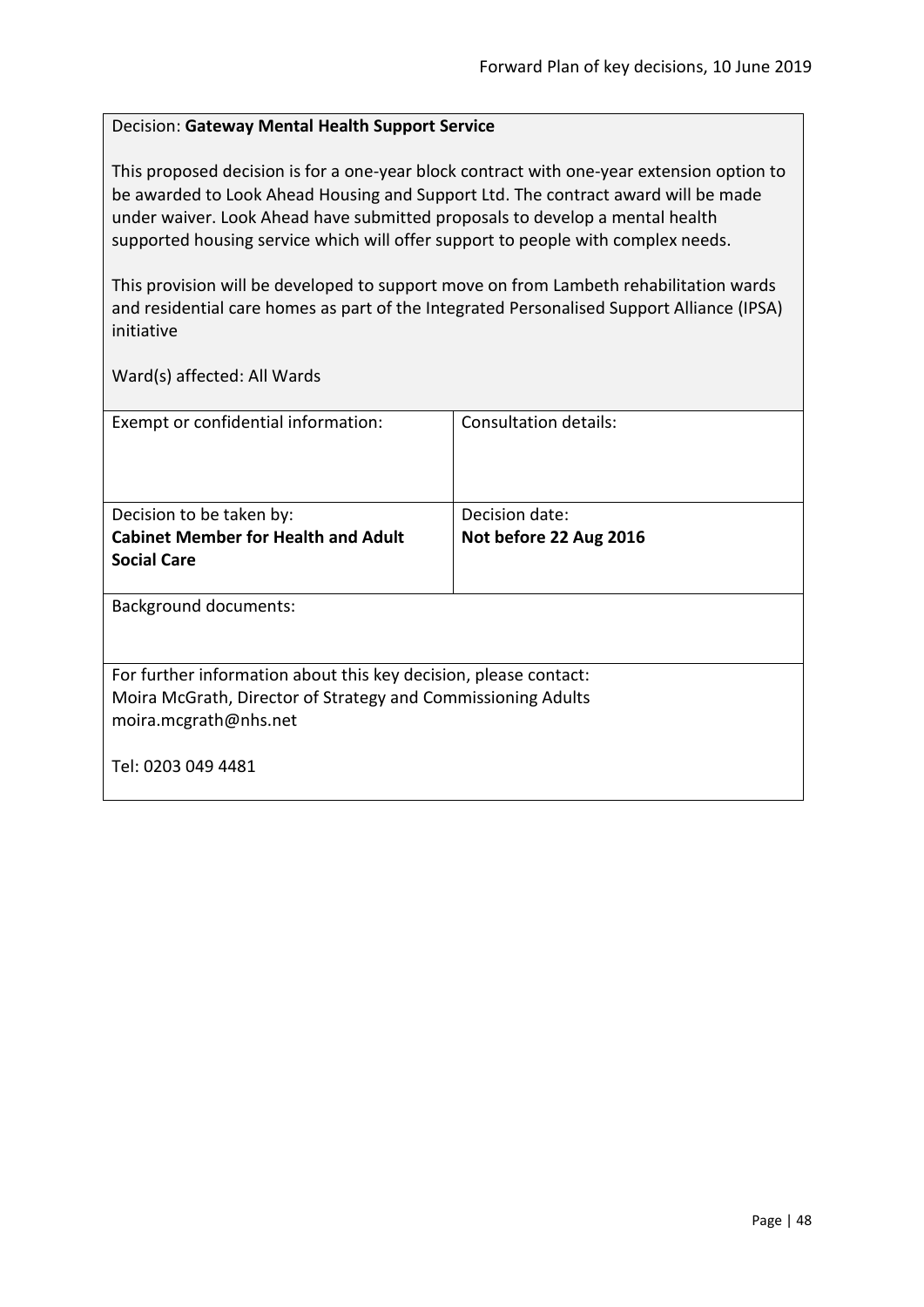### Decision: **Gateway Mental Health Support Service**

This proposed decision is for a one-year block contract with one-year extension option to be awarded to Look Ahead Housing and Support Ltd. The contract award will be made under waiver. Look Ahead have submitted proposals to develop a mental health supported housing service which will offer support to people with complex needs.

This provision will be developed to support move on from Lambeth rehabilitation wards and residential care homes as part of the Integrated Personalised Support Alliance (IPSA) initiative

| Exempt or confidential information:                                                                                                                       | Consultation details:  |
|-----------------------------------------------------------------------------------------------------------------------------------------------------------|------------------------|
| Decision to be taken by:                                                                                                                                  | Decision date:         |
| <b>Cabinet Member for Health and Adult</b>                                                                                                                | Not before 22 Aug 2016 |
| <b>Social Care</b>                                                                                                                                        |                        |
| <b>Background documents:</b>                                                                                                                              |                        |
| For further information about this key decision, please contact:<br>Moira McGrath, Director of Strategy and Commissioning Adults<br>moira.mcgrath@nhs.net |                        |
| Tel: 0203 049 4481                                                                                                                                        |                        |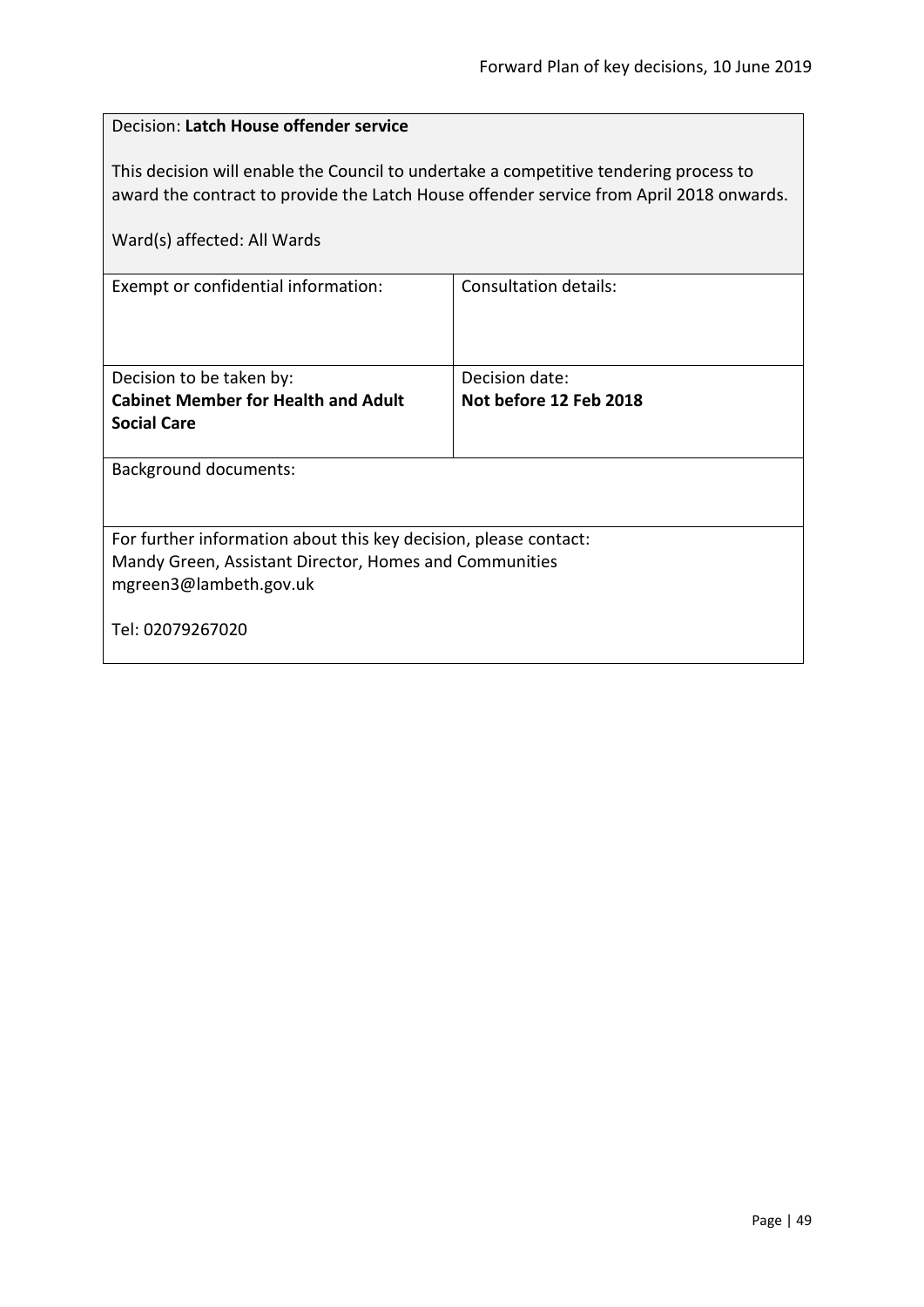| Decision: Latch House offender service                                                                                                                                           |                              |  |
|----------------------------------------------------------------------------------------------------------------------------------------------------------------------------------|------------------------------|--|
| This decision will enable the Council to undertake a competitive tendering process to<br>award the contract to provide the Latch House offender service from April 2018 onwards. |                              |  |
| Ward(s) affected: All Wards                                                                                                                                                      |                              |  |
| Exempt or confidential information:                                                                                                                                              | <b>Consultation details:</b> |  |
|                                                                                                                                                                                  |                              |  |
| Decision to be taken by:                                                                                                                                                         | Decision date:               |  |
| <b>Cabinet Member for Health and Adult</b><br><b>Social Care</b>                                                                                                                 | Not before 12 Feb 2018       |  |
|                                                                                                                                                                                  |                              |  |
| <b>Background documents:</b>                                                                                                                                                     |                              |  |
|                                                                                                                                                                                  |                              |  |
| For further information about this key decision, please contact:                                                                                                                 |                              |  |
| Mandy Green, Assistant Director, Homes and Communities                                                                                                                           |                              |  |
| mgreen3@lambeth.gov.uk                                                                                                                                                           |                              |  |
| Tel: 02079267020                                                                                                                                                                 |                              |  |
|                                                                                                                                                                                  |                              |  |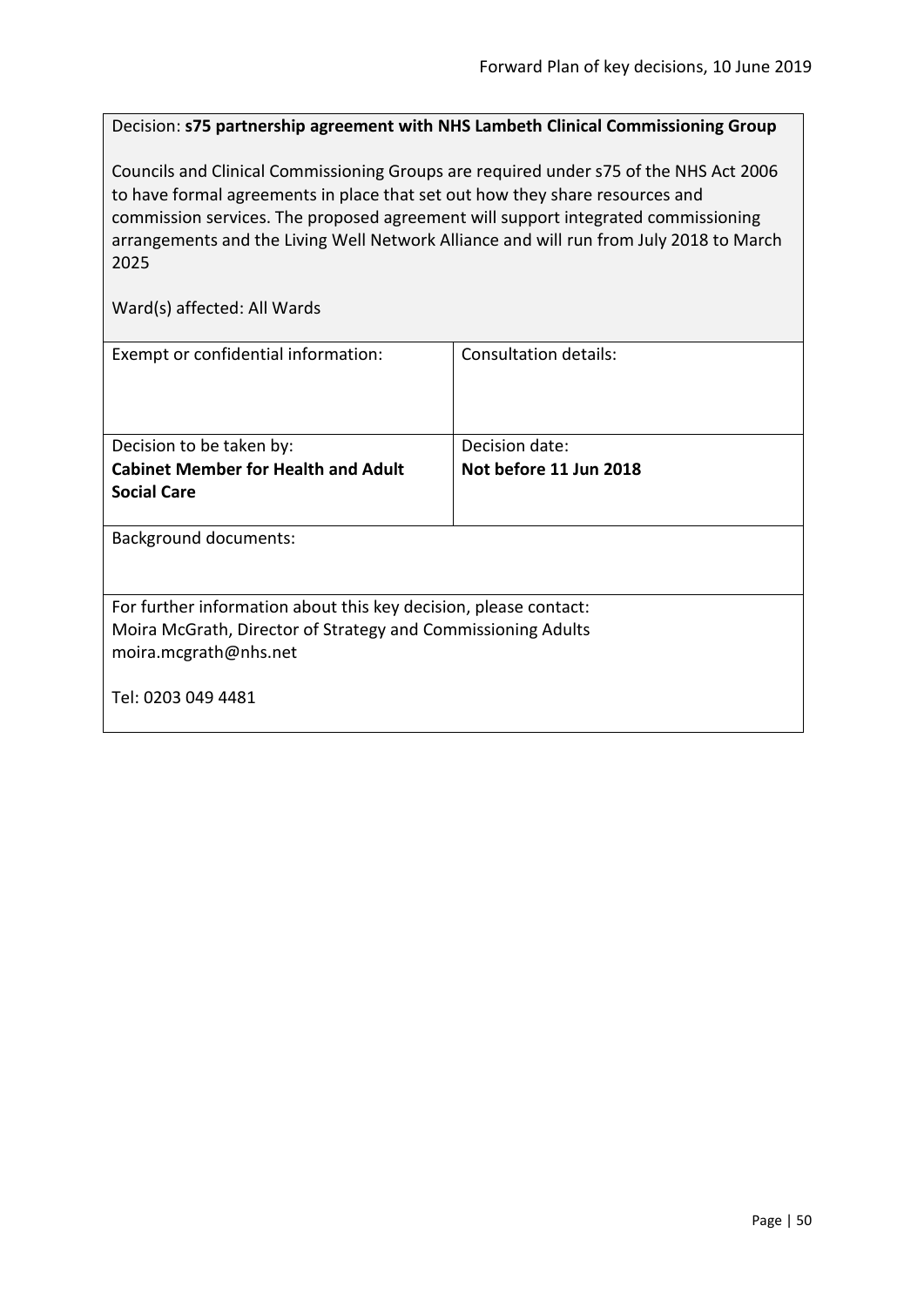Decision: **s75 partnership agreement with NHS Lambeth Clinical Commissioning Group**

Councils and Clinical Commissioning Groups are required under s75 of the NHS Act 2006 to have formal agreements in place that set out how they share resources and commission services. The proposed agreement will support integrated commissioning arrangements and the Living Well Network Alliance and will run from July 2018 to March 2025

| Exempt or confidential information:                                                                                                                       | Consultation details:  |  |
|-----------------------------------------------------------------------------------------------------------------------------------------------------------|------------------------|--|
| Decision to be taken by:                                                                                                                                  | Decision date:         |  |
| <b>Cabinet Member for Health and Adult</b>                                                                                                                | Not before 11 Jun 2018 |  |
| <b>Social Care</b>                                                                                                                                        |                        |  |
| <b>Background documents:</b>                                                                                                                              |                        |  |
| For further information about this key decision, please contact:<br>Moira McGrath, Director of Strategy and Commissioning Adults<br>moira.mcgrath@nhs.net |                        |  |
| Tel: 0203 049 4481                                                                                                                                        |                        |  |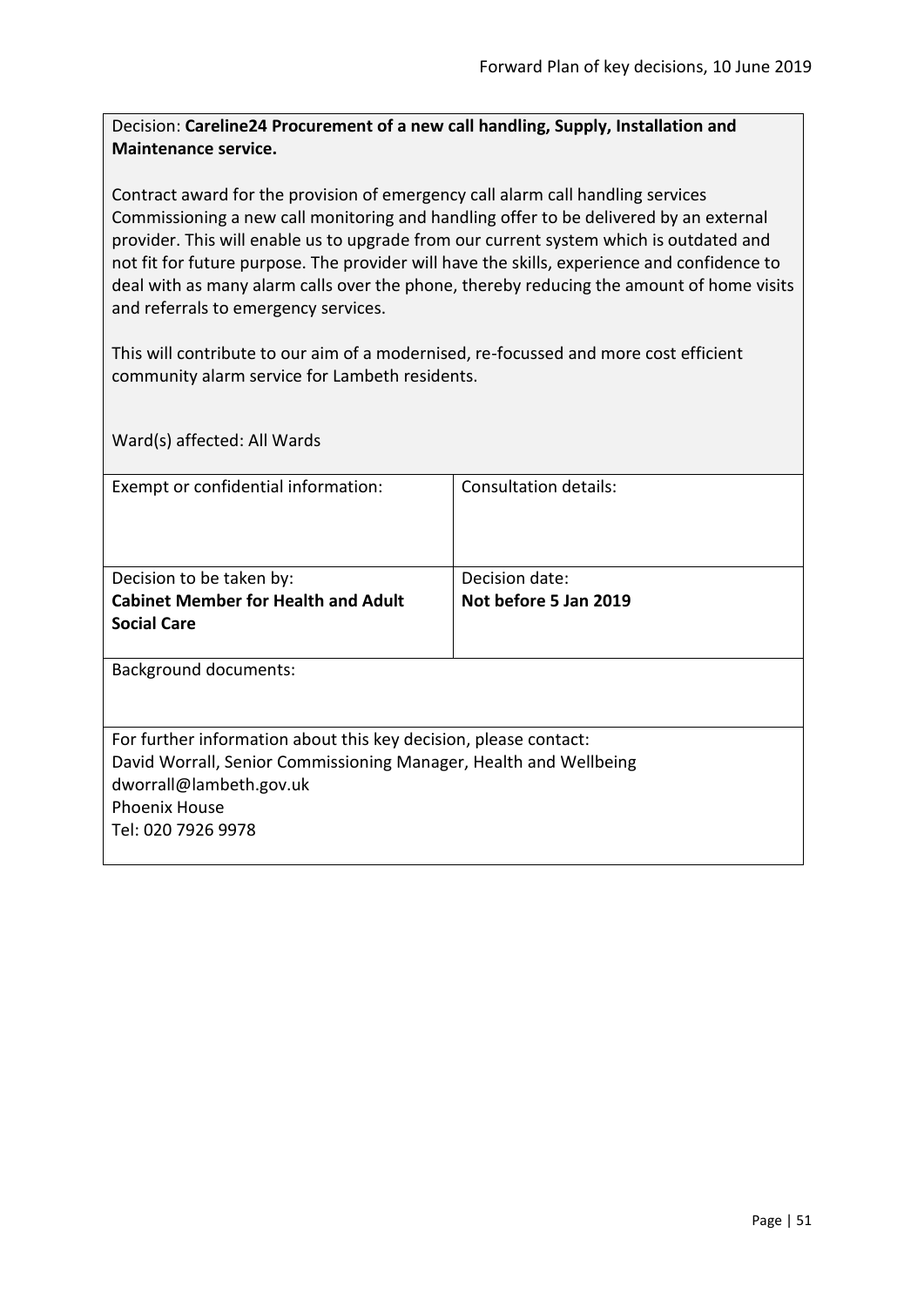Decision: **Careline24 Procurement of a new call handling, Supply, Installation and Maintenance service.**

Contract award for the provision of emergency call alarm call handling services Commissioning a new call monitoring and handling offer to be delivered by an external provider. This will enable us to upgrade from our current system which is outdated and not fit for future purpose. The provider will have the skills, experience and confidence to deal with as many alarm calls over the phone, thereby reducing the amount of home visits and referrals to emergency services.

This will contribute to our aim of a modernised, re-focussed and more cost efficient community alarm service for Lambeth residents.

Ward(s) affected: All Wards Exempt or confidential information: Consultation details: Decision to be taken by: **Cabinet Member for Health and Adult Social Care** Decision date: **Not before 5 Jan 2019** Background documents: For further information about this key decision, please contact: David Worrall, Senior Commissioning Manager, Health and Wellbeing dworrall@lambeth.gov.uk Phoenix House Tel: 020 7926 9978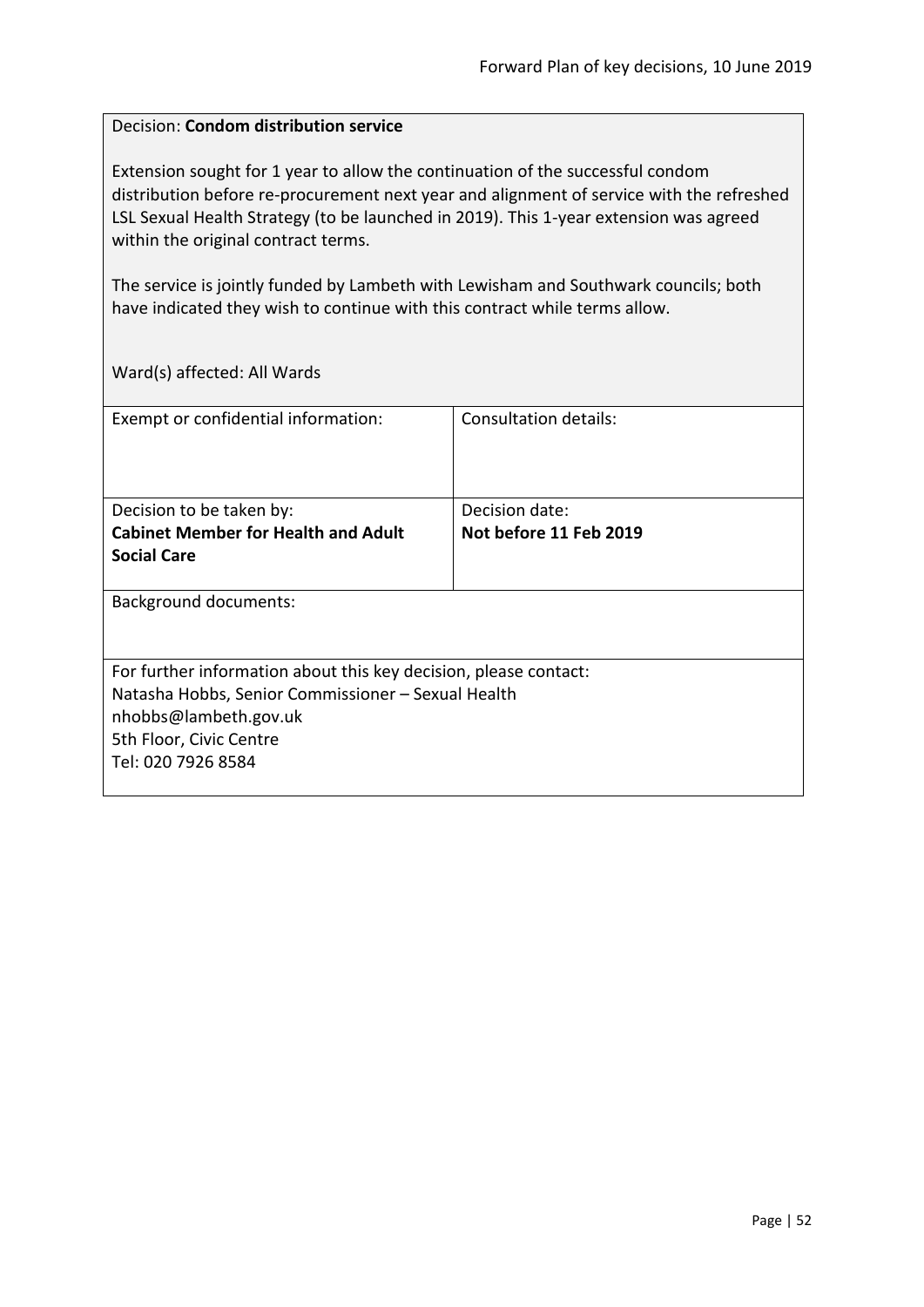#### Decision: **Condom distribution service**

Extension sought for 1 year to allow the continuation of the successful condom distribution before re-procurement next year and alignment of service with the refreshed LSL Sexual Health Strategy (to be launched in 2019). This 1-year extension was agreed within the original contract terms.

The service is jointly funded by Lambeth with Lewisham and Southwark councils; both have indicated they wish to continue with this contract while terms allow.

| Exempt or confidential information:                              | Consultation details:  |  |
|------------------------------------------------------------------|------------------------|--|
|                                                                  |                        |  |
|                                                                  |                        |  |
|                                                                  |                        |  |
| Decision to be taken by:                                         | Decision date:         |  |
| <b>Cabinet Member for Health and Adult</b>                       | Not before 11 Feb 2019 |  |
| <b>Social Care</b>                                               |                        |  |
|                                                                  |                        |  |
| Background documents:                                            |                        |  |
|                                                                  |                        |  |
|                                                                  |                        |  |
| For further information about this key decision, please contact: |                        |  |
| Natasha Hobbs, Senior Commissioner - Sexual Health               |                        |  |
| nhobbs@lambeth.gov.uk                                            |                        |  |
| 5th Floor, Civic Centre                                          |                        |  |
| Tel: 020 7926 8584                                               |                        |  |
|                                                                  |                        |  |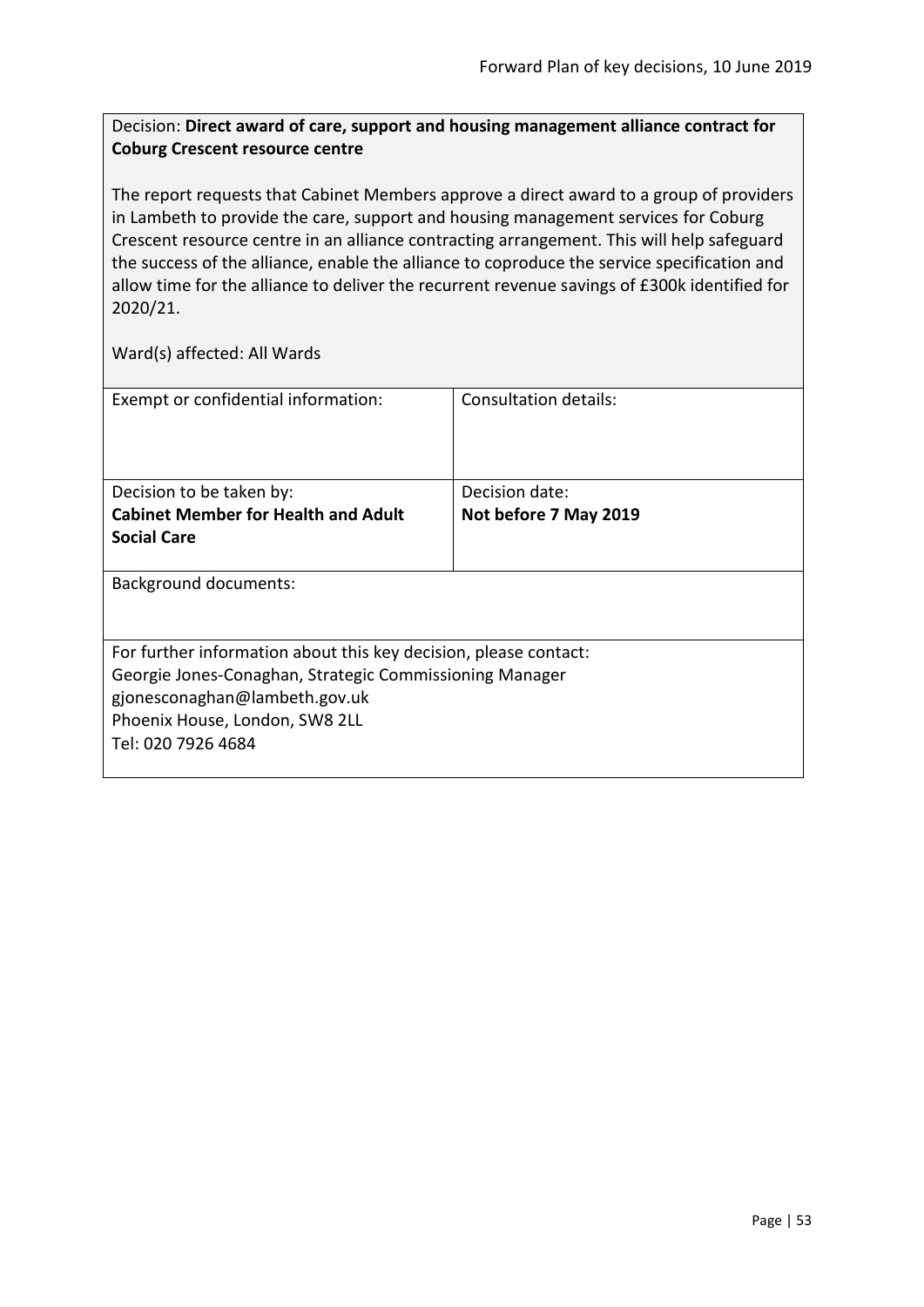## Decision: **Direct award of care, support and housing management alliance contract for Coburg Crescent resource centre**

The report requests that Cabinet Members approve a direct award to a group of providers in Lambeth to provide the care, support and housing management services for Coburg Crescent resource centre in an alliance contracting arrangement. This will help safeguard the success of the alliance, enable the alliance to coproduce the service specification and allow time for the alliance to deliver the recurrent revenue savings of £300k identified for 2020/21.

| Exempt or confidential information:                              | Consultation details: |  |
|------------------------------------------------------------------|-----------------------|--|
| Decision to be taken by:                                         | Decision date:        |  |
| <b>Cabinet Member for Health and Adult</b>                       | Not before 7 May 2019 |  |
| <b>Social Care</b>                                               |                       |  |
|                                                                  |                       |  |
| Background documents:                                            |                       |  |
|                                                                  |                       |  |
| For further information about this key decision, please contact: |                       |  |
| Georgie Jones-Conaghan, Strategic Commissioning Manager          |                       |  |
| gjonesconaghan@lambeth.gov.uk                                    |                       |  |
| Phoenix House, London, SW8 2LL                                   |                       |  |
| Tel: 020 7926 4684                                               |                       |  |
|                                                                  |                       |  |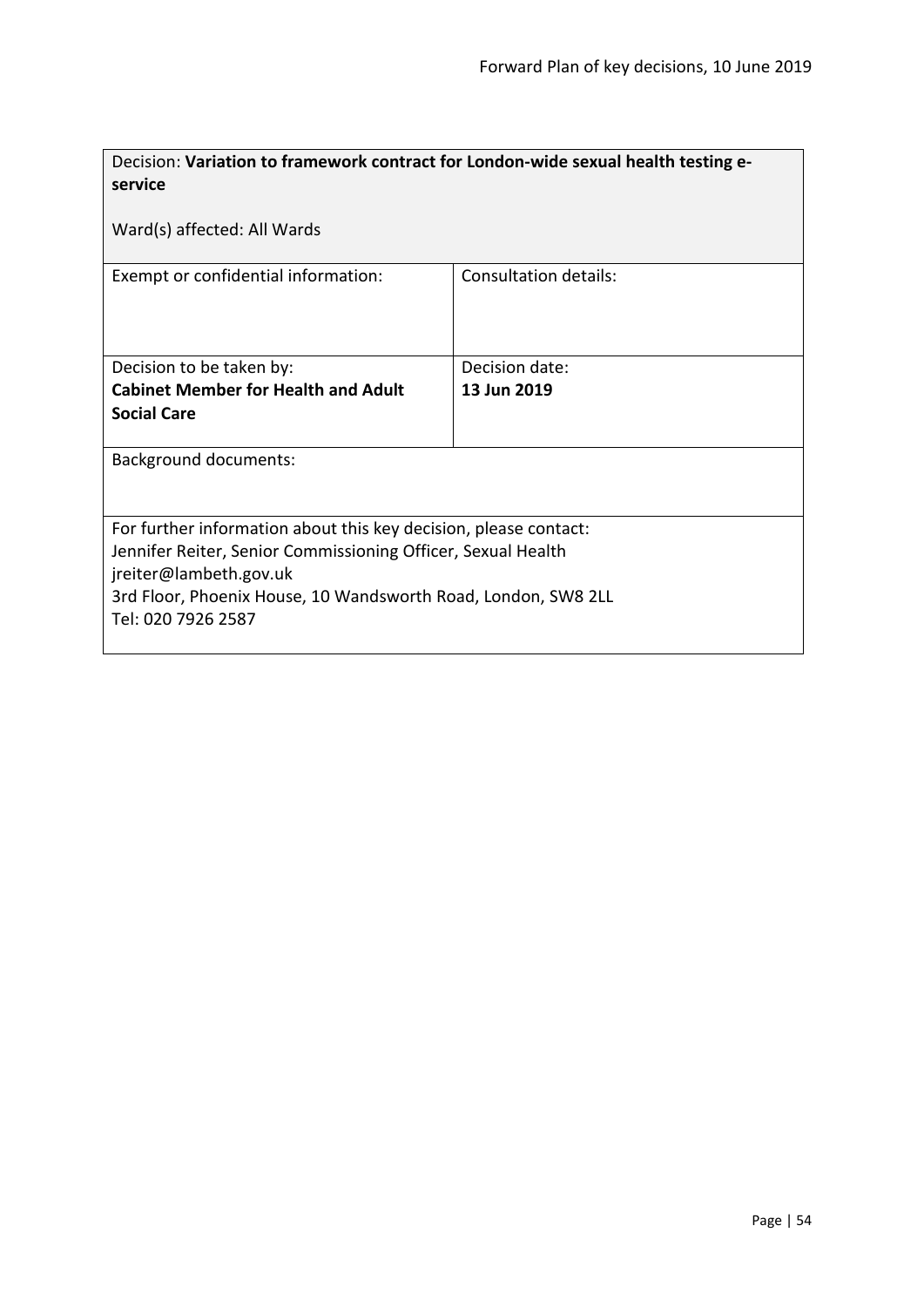| Decision: Variation to framework contract for London-wide sexual health testing e-<br>service                                                              |                              |  |
|------------------------------------------------------------------------------------------------------------------------------------------------------------|------------------------------|--|
| Ward(s) affected: All Wards                                                                                                                                |                              |  |
| Exempt or confidential information:                                                                                                                        | <b>Consultation details:</b> |  |
| Decision to be taken by:                                                                                                                                   | Decision date:               |  |
| <b>Cabinet Member for Health and Adult</b>                                                                                                                 | 13 Jun 2019                  |  |
| <b>Social Care</b>                                                                                                                                         |                              |  |
| <b>Background documents:</b>                                                                                                                               |                              |  |
| For further information about this key decision, please contact:<br>Jennifer Reiter, Senior Commissioning Officer, Sexual Health<br>jreiter@lambeth.gov.uk |                              |  |
| 3rd Floor, Phoenix House, 10 Wandsworth Road, London, SW8 2LL<br>Tel: 020 7926 2587                                                                        |                              |  |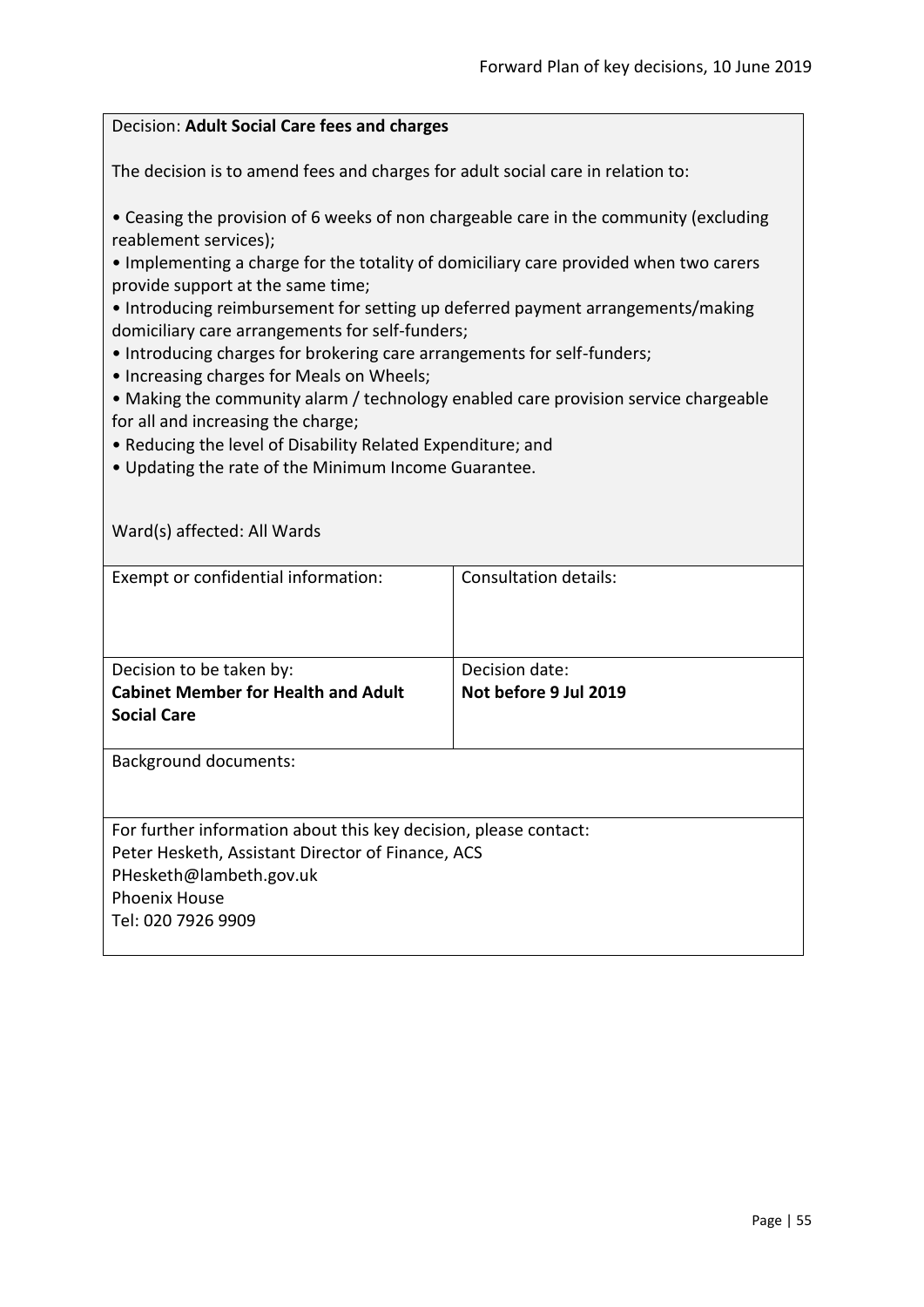### Decision: **Adult Social Care fees and charges**

The decision is to amend fees and charges for adult social care in relation to:

• Ceasing the provision of 6 weeks of non chargeable care in the community (excluding reablement services);

• Implementing a charge for the totality of domiciliary care provided when two carers provide support at the same time;

• Introducing reimbursement for setting up deferred payment arrangements/making domiciliary care arrangements for self-funders;

- Introducing charges for brokering care arrangements for self-funders;
- Increasing charges for Meals on Wheels;

• Making the community alarm / technology enabled care provision service chargeable for all and increasing the charge;

• Reducing the level of Disability Related Expenditure; and

• Updating the rate of the Minimum Income Guarantee.

| Ward(s) affected: All Wards                                      |                       |
|------------------------------------------------------------------|-----------------------|
| Exempt or confidential information:                              | Consultation details: |
| Decision to be taken by:                                         | Decision date:        |
| <b>Cabinet Member for Health and Adult</b>                       | Not before 9 Jul 2019 |
| <b>Social Care</b>                                               |                       |
| <b>Background documents:</b>                                     |                       |
| For further information about this key decision, please contact: |                       |
| Peter Hesketh, Assistant Director of Finance, ACS                |                       |
| PHesketh@lambeth.gov.uk                                          |                       |
| <b>Phoenix House</b>                                             |                       |
| Tel: 020 7926 9909                                               |                       |
|                                                                  |                       |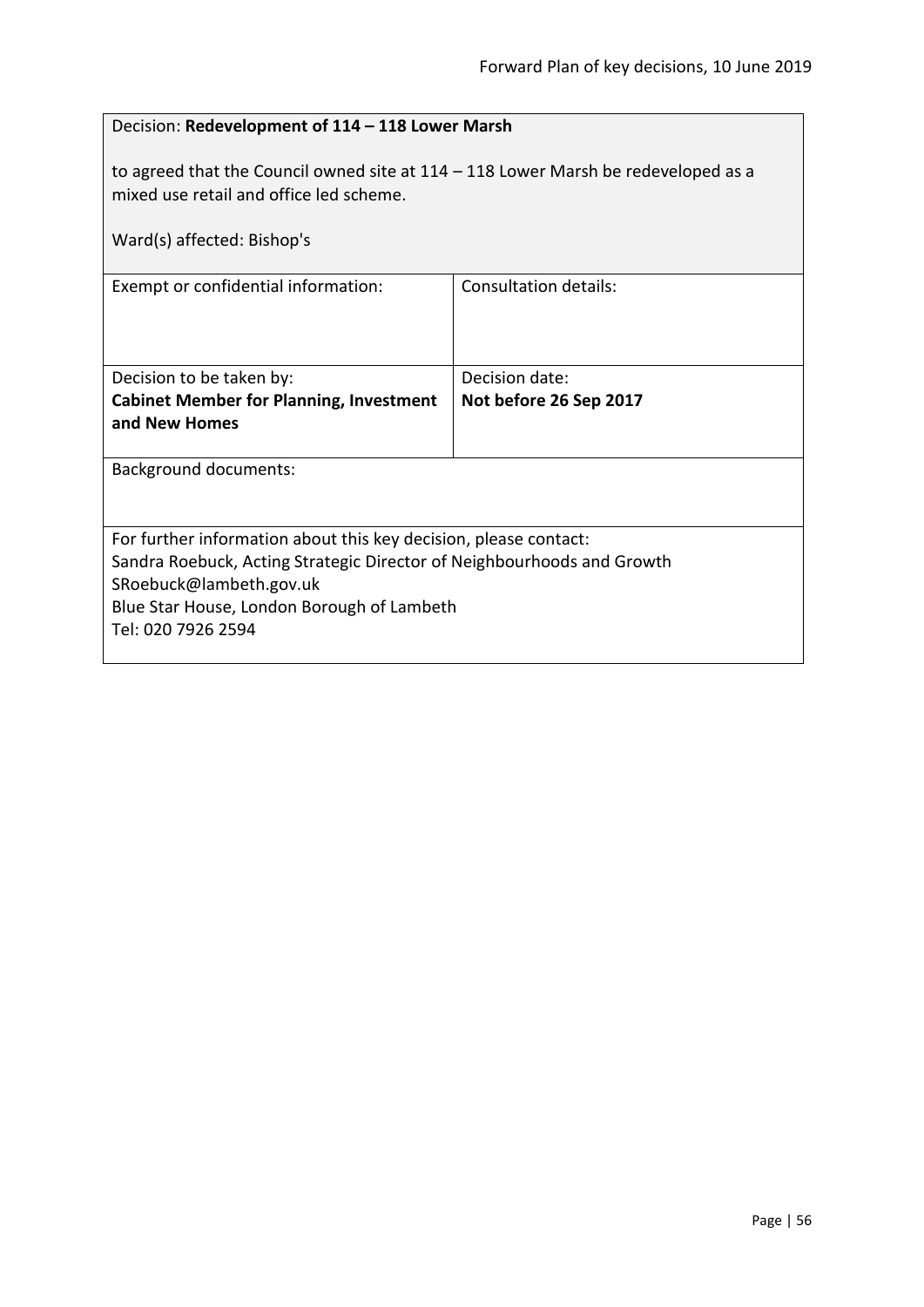| Decision: Redevelopment of 114 - 118 Lower Marsh                                                                                                                                                                                          |                        |  |
|-------------------------------------------------------------------------------------------------------------------------------------------------------------------------------------------------------------------------------------------|------------------------|--|
| to agreed that the Council owned site at $114 - 118$ Lower Marsh be redeveloped as a<br>mixed use retail and office led scheme.<br>Ward(s) affected: Bishop's                                                                             |                        |  |
|                                                                                                                                                                                                                                           |                        |  |
| Exempt or confidential information:                                                                                                                                                                                                       | Consultation details:  |  |
|                                                                                                                                                                                                                                           |                        |  |
| Decision to be taken by:                                                                                                                                                                                                                  | Decision date:         |  |
| <b>Cabinet Member for Planning, Investment</b><br>and New Homes                                                                                                                                                                           | Not before 26 Sep 2017 |  |
| <b>Background documents:</b>                                                                                                                                                                                                              |                        |  |
| For further information about this key decision, please contact:<br>Sandra Roebuck, Acting Strategic Director of Neighbourhoods and Growth<br>SRoebuck@lambeth.gov.uk<br>Blue Star House, London Borough of Lambeth<br>Tel: 020 7926 2594 |                        |  |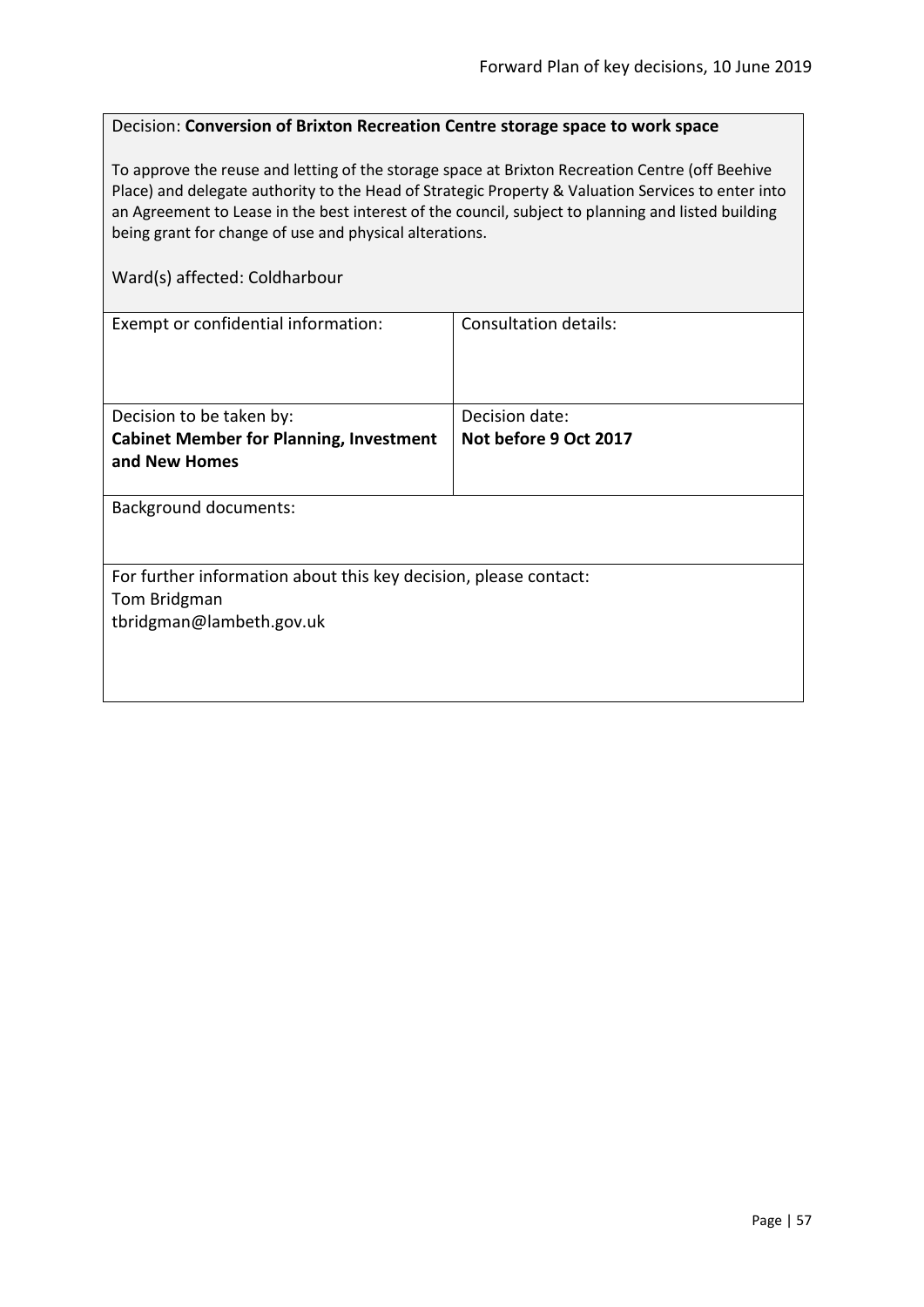## Decision: **Conversion of Brixton Recreation Centre storage space to work space**

To approve the reuse and letting of the storage space at Brixton Recreation Centre (off Beehive Place) and delegate authority to the Head of Strategic Property & Valuation Services to enter into an Agreement to Lease in the best interest of the council, subject to planning and listed building being grant for change of use and physical alterations.

Ward(s) affected: Coldharbour

| Exempt or confidential information:                                              | Consultation details: |  |
|----------------------------------------------------------------------------------|-----------------------|--|
|                                                                                  |                       |  |
|                                                                                  |                       |  |
| Decision to be taken by:                                                         | Decision date:        |  |
| <b>Cabinet Member for Planning, Investment</b>                                   | Not before 9 Oct 2017 |  |
| and New Homes                                                                    |                       |  |
|                                                                                  |                       |  |
| <b>Background documents:</b>                                                     |                       |  |
|                                                                                  |                       |  |
|                                                                                  |                       |  |
| For further information about this key decision, please contact:<br>Tom Bridgman |                       |  |
| tbridgman@lambeth.gov.uk                                                         |                       |  |
|                                                                                  |                       |  |
|                                                                                  |                       |  |
|                                                                                  |                       |  |
|                                                                                  |                       |  |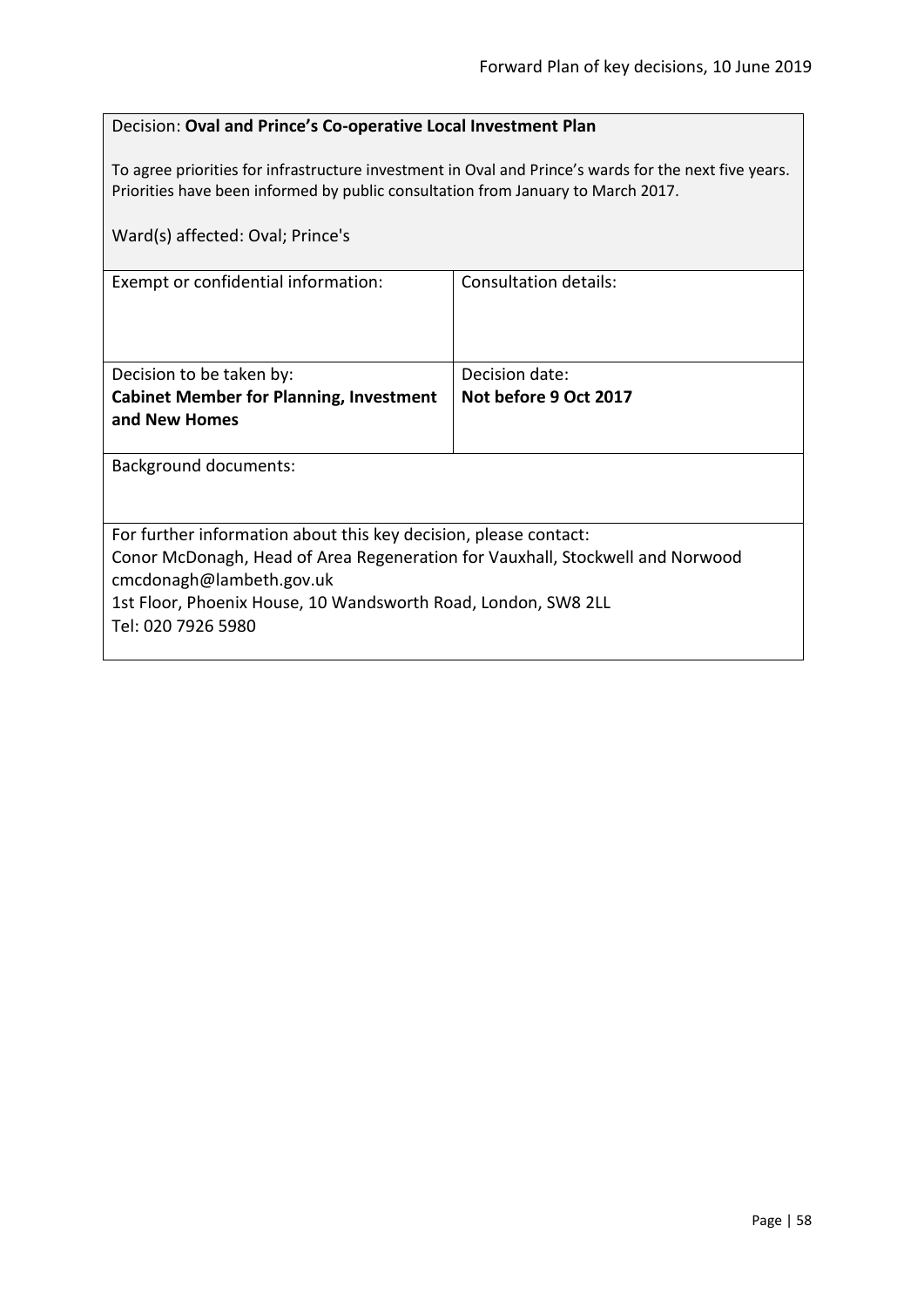### Decision: **Oval and Prince's Co-operative Local Investment Plan**

To agree priorities for infrastructure investment in Oval and Prince's wards for the next five years. Priorities have been informed by public consultation from January to March 2017.

| Ward(s) affected: Oval; Prince's                                                                          |                       |  |
|-----------------------------------------------------------------------------------------------------------|-----------------------|--|
| Exempt or confidential information:                                                                       | Consultation details: |  |
| Decision to be taken by:                                                                                  | Decision date:        |  |
| <b>Cabinet Member for Planning, Investment</b>                                                            | Not before 9 Oct 2017 |  |
| and New Homes                                                                                             |                       |  |
| Background documents:                                                                                     |                       |  |
| For further information about this key decision, please contact:                                          |                       |  |
| Conor McDonagh, Head of Area Regeneration for Vauxhall, Stockwell and Norwood<br>cmcdonagh@lambeth.gov.uk |                       |  |
| 1st Floor, Phoenix House, 10 Wandsworth Road, London, SW8 2LL                                             |                       |  |
| Tel: 020 7926 5980                                                                                        |                       |  |
|                                                                                                           |                       |  |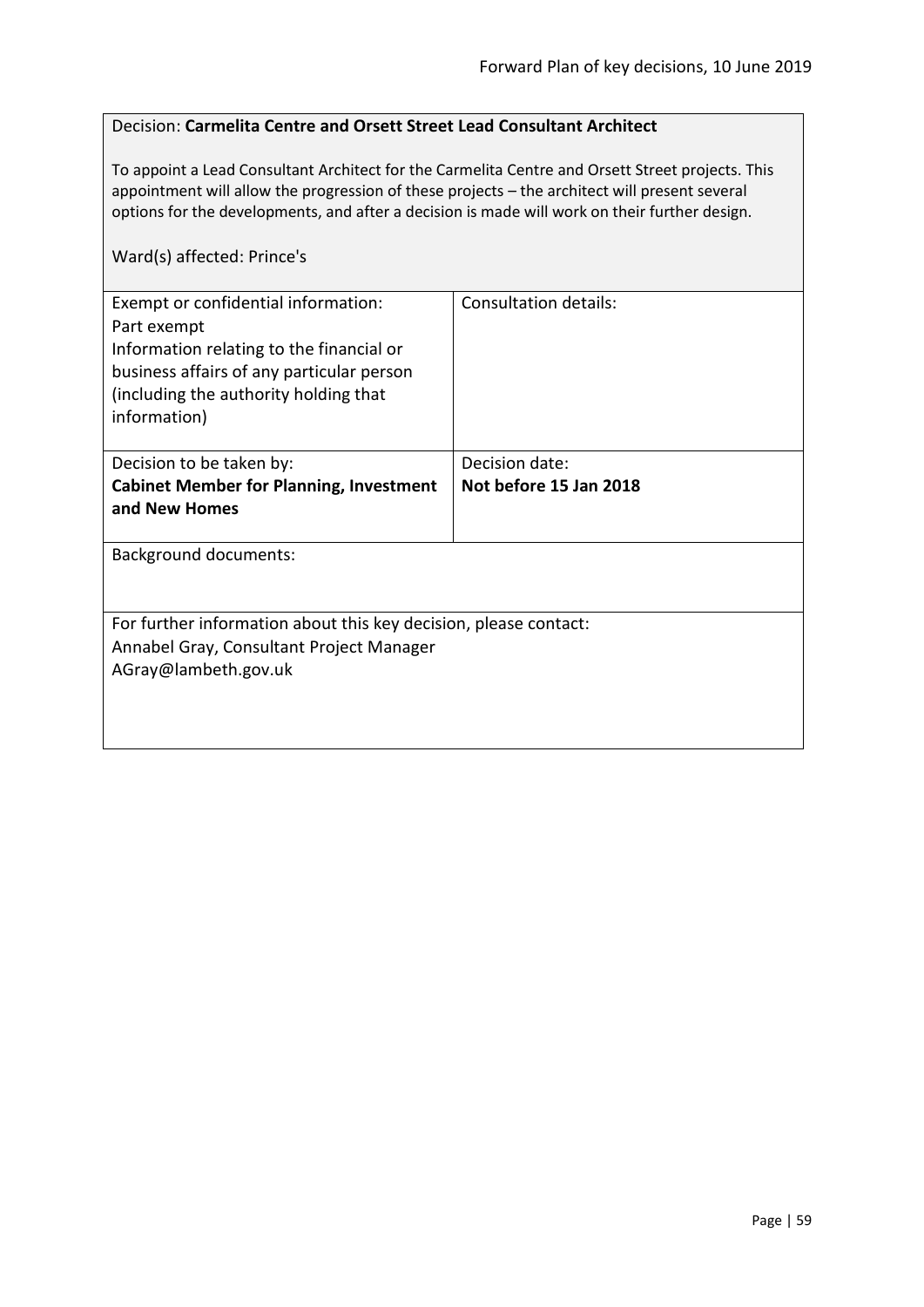### Decision: **Carmelita Centre and Orsett Street Lead Consultant Architect**

To appoint a Lead Consultant Architect for the Carmelita Centre and Orsett Street projects. This appointment will allow the progression of these projects – the architect will present several options for the developments, and after a decision is made will work on their further design.

### Ward(s) affected: Prince's

| Exempt or confidential information:<br>Part exempt<br>Information relating to the financial or<br>business affairs of any particular person<br>(including the authority holding that<br>information) | <b>Consultation details:</b> |
|------------------------------------------------------------------------------------------------------------------------------------------------------------------------------------------------------|------------------------------|
| Decision to be taken by:                                                                                                                                                                             | Decision date:               |
| <b>Cabinet Member for Planning, Investment</b><br>and New Homes                                                                                                                                      | Not before 15 Jan 2018       |
| <b>Background documents:</b>                                                                                                                                                                         |                              |
| For further information about this key decision, please contact:<br>Annabel Gray, Consultant Project Manager<br>AGray@lambeth.gov.uk                                                                 |                              |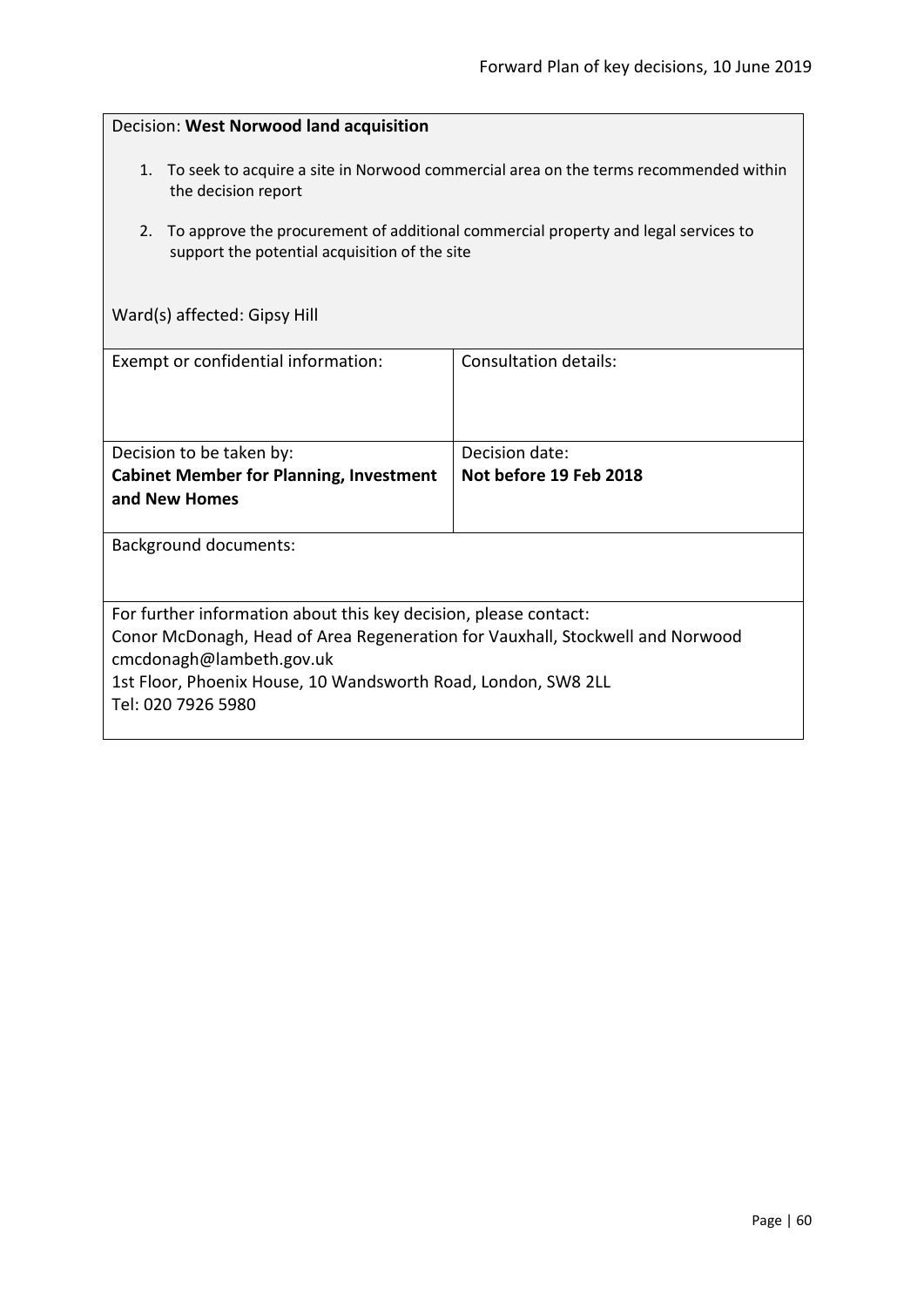| Decision: West Norwood land acquisition                                                                                                                                                                                                                              |                              |  |
|----------------------------------------------------------------------------------------------------------------------------------------------------------------------------------------------------------------------------------------------------------------------|------------------------------|--|
| 1. To seek to acquire a site in Norwood commercial area on the terms recommended within<br>the decision report<br>2.<br>To approve the procurement of additional commercial property and legal services to<br>support the potential acquisition of the site          |                              |  |
| Ward(s) affected: Gipsy Hill                                                                                                                                                                                                                                         |                              |  |
| Exempt or confidential information:                                                                                                                                                                                                                                  | <b>Consultation details:</b> |  |
|                                                                                                                                                                                                                                                                      |                              |  |
| Decision to be taken by:                                                                                                                                                                                                                                             | Decision date:               |  |
| <b>Cabinet Member for Planning, Investment</b><br>and New Homes                                                                                                                                                                                                      | Not before 19 Feb 2018       |  |
| <b>Background documents:</b>                                                                                                                                                                                                                                         |                              |  |
|                                                                                                                                                                                                                                                                      |                              |  |
| For further information about this key decision, please contact:<br>Conor McDonagh, Head of Area Regeneration for Vauxhall, Stockwell and Norwood<br>cmcdonagh@lambeth.gov.uk<br>1st Floor, Phoenix House, 10 Wandsworth Road, London, SW8 2LL<br>Tel: 020 7926 5980 |                              |  |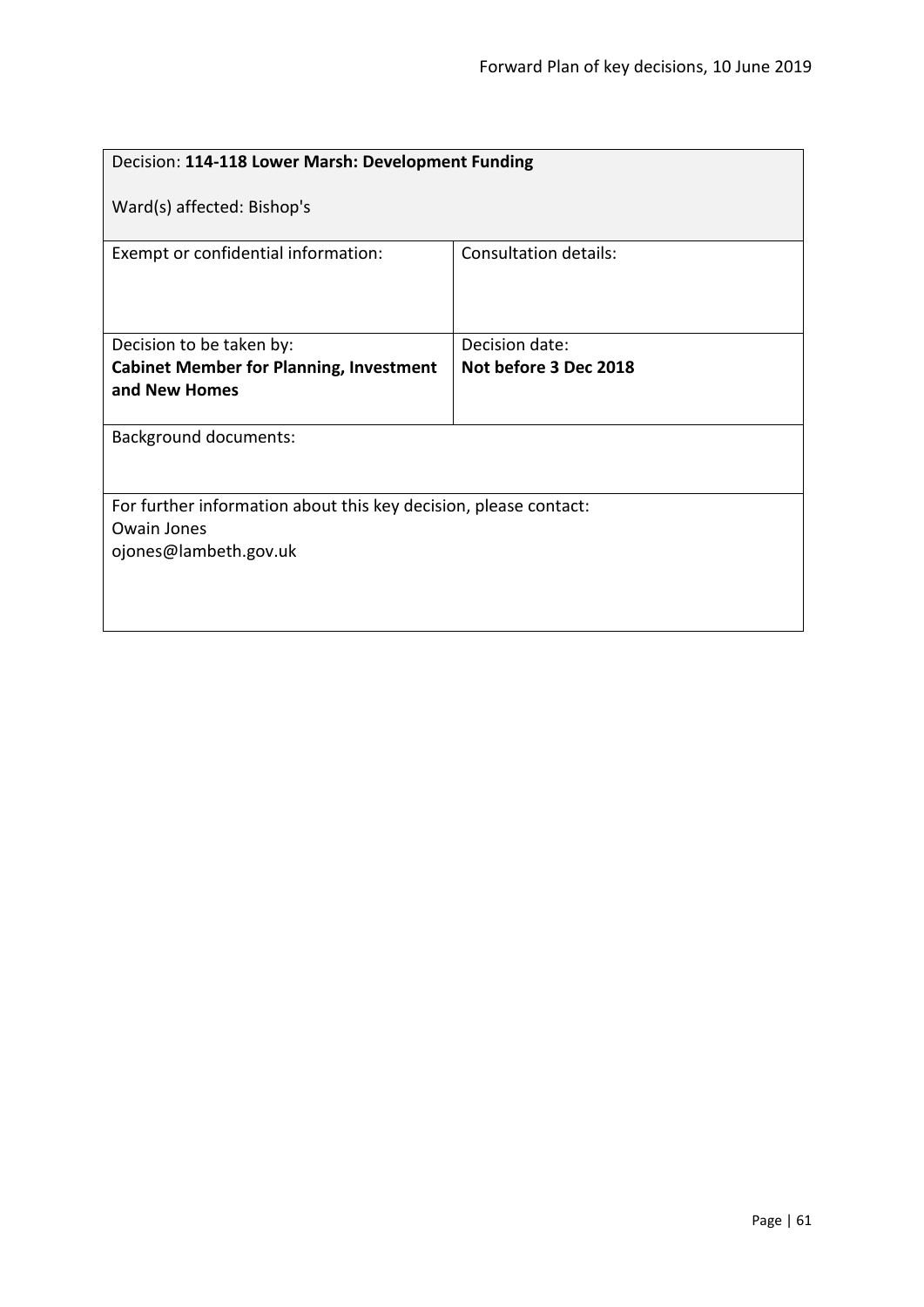| Decision: 114-118 Lower Marsh: Development Funding               |                       |  |
|------------------------------------------------------------------|-----------------------|--|
| Ward(s) affected: Bishop's                                       |                       |  |
| Exempt or confidential information:                              | Consultation details: |  |
| Decision to be taken by:                                         | Decision date:        |  |
| <b>Cabinet Member for Planning, Investment</b>                   | Not before 3 Dec 2018 |  |
| and New Homes                                                    |                       |  |
| <b>Background documents:</b>                                     |                       |  |
| For further information about this key decision, please contact: |                       |  |
| <b>Owain Jones</b>                                               |                       |  |
| ojones@lambeth.gov.uk                                            |                       |  |
|                                                                  |                       |  |
|                                                                  |                       |  |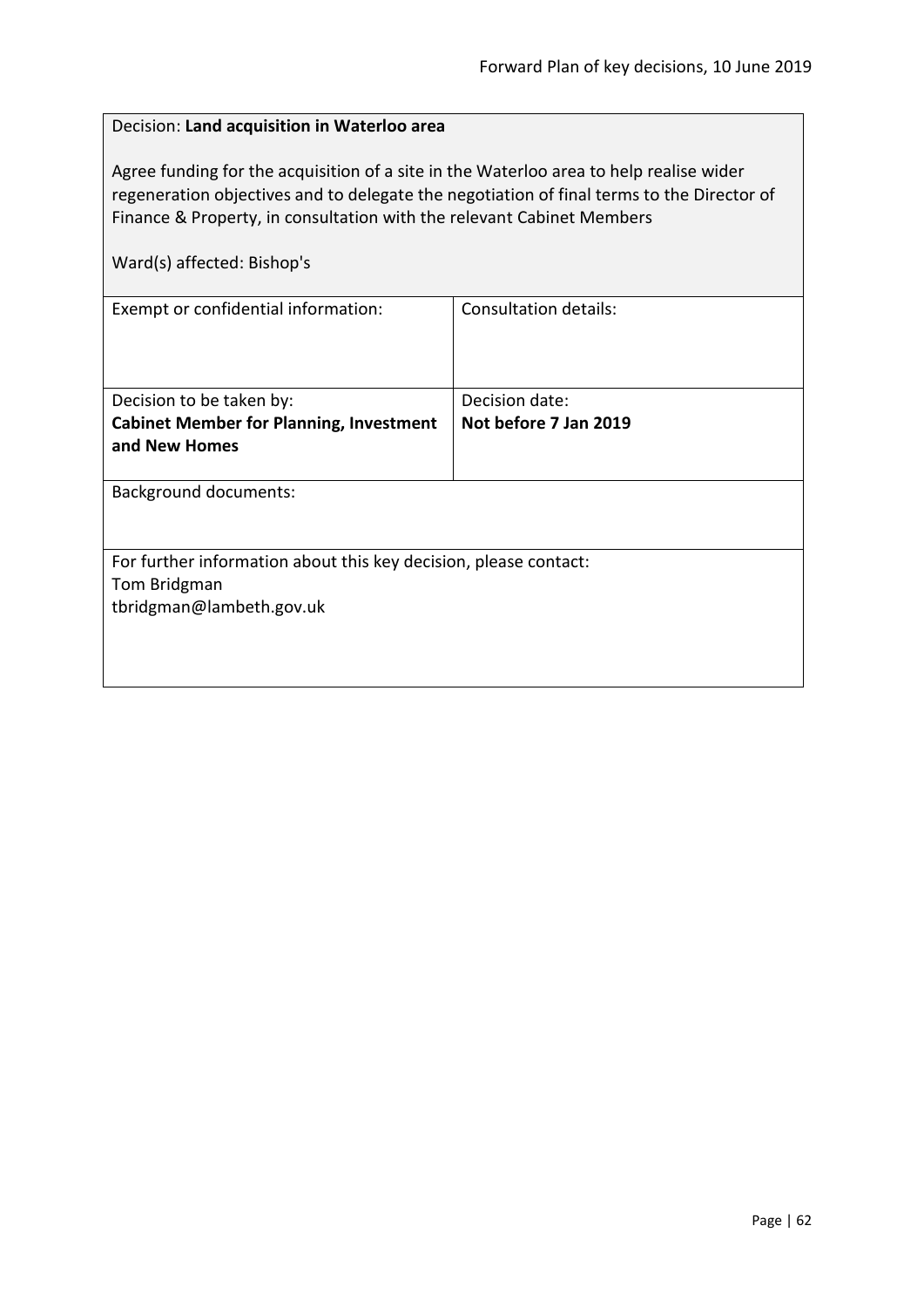| Decision: Land acquisition in Waterloo area                                                                                                                                                                                                                                                |                       |  |
|--------------------------------------------------------------------------------------------------------------------------------------------------------------------------------------------------------------------------------------------------------------------------------------------|-----------------------|--|
| Agree funding for the acquisition of a site in the Waterloo area to help realise wider<br>regeneration objectives and to delegate the negotiation of final terms to the Director of<br>Finance & Property, in consultation with the relevant Cabinet Members<br>Ward(s) affected: Bishop's |                       |  |
| Exempt or confidential information:                                                                                                                                                                                                                                                        | Consultation details: |  |
|                                                                                                                                                                                                                                                                                            |                       |  |
| Decision to be taken by:                                                                                                                                                                                                                                                                   | Decision date:        |  |
| <b>Cabinet Member for Planning, Investment</b><br>and New Homes                                                                                                                                                                                                                            | Not before 7 Jan 2019 |  |
| <b>Background documents:</b>                                                                                                                                                                                                                                                               |                       |  |
|                                                                                                                                                                                                                                                                                            |                       |  |
| For further information about this key decision, please contact:                                                                                                                                                                                                                           |                       |  |
| Tom Bridgman                                                                                                                                                                                                                                                                               |                       |  |
| tbridgman@lambeth.gov.uk                                                                                                                                                                                                                                                                   |                       |  |
|                                                                                                                                                                                                                                                                                            |                       |  |
|                                                                                                                                                                                                                                                                                            |                       |  |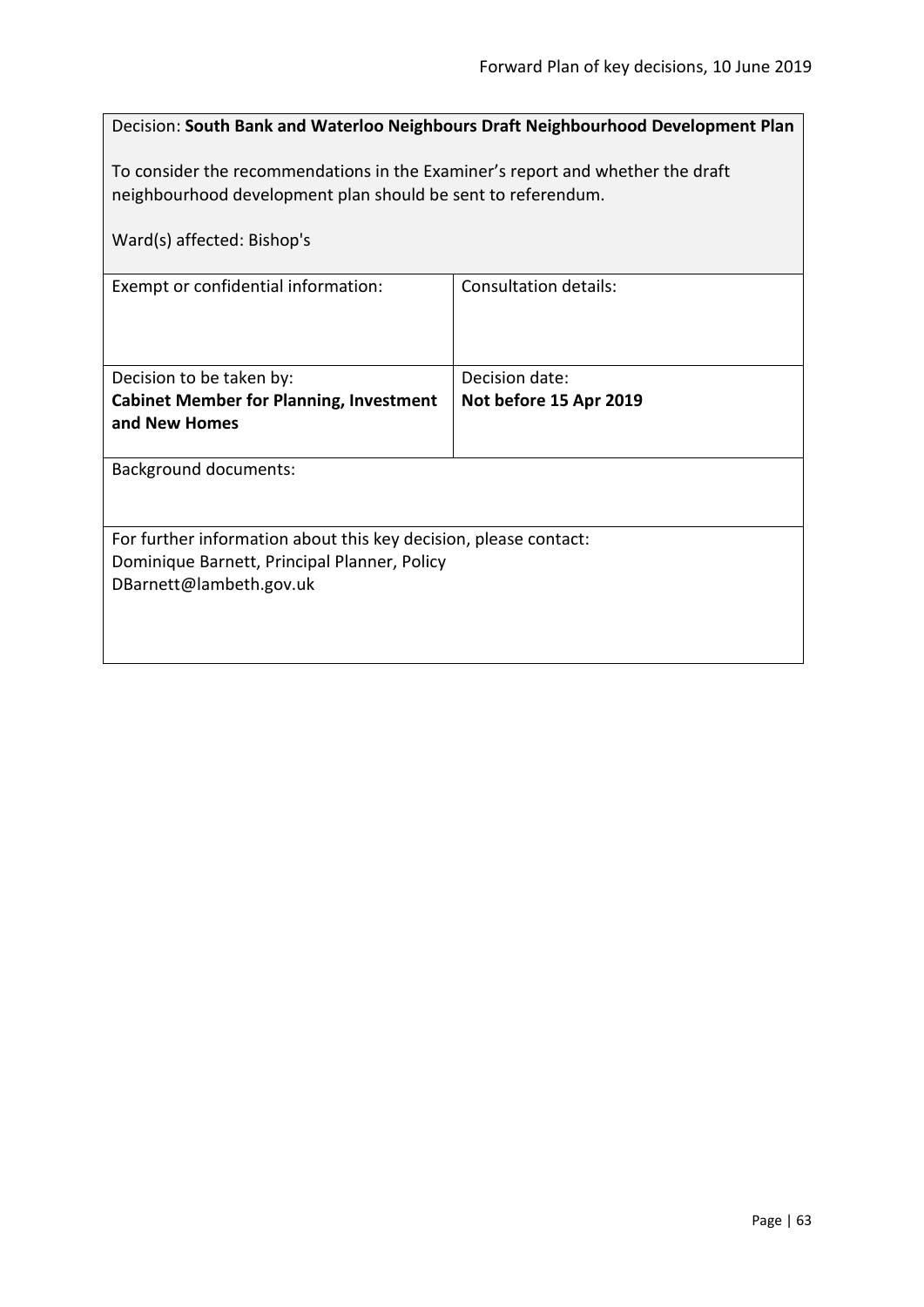| Decision: South Bank and Waterloo Neighbours Draft Neighbourhood Development Plan                                                              |                        |  |
|------------------------------------------------------------------------------------------------------------------------------------------------|------------------------|--|
| To consider the recommendations in the Examiner's report and whether the draft<br>neighbourhood development plan should be sent to referendum. |                        |  |
| Ward(s) affected: Bishop's                                                                                                                     |                        |  |
| Exempt or confidential information:                                                                                                            | Consultation details:  |  |
| Decision to be taken by:                                                                                                                       | Decision date:         |  |
| <b>Cabinet Member for Planning, Investment</b><br>and New Homes                                                                                | Not before 15 Apr 2019 |  |
| <b>Background documents:</b>                                                                                                                   |                        |  |
| For further information about this key decision, please contact:<br>Dominique Barnett, Principal Planner, Policy<br>DBarnett@lambeth.gov.uk    |                        |  |
|                                                                                                                                                |                        |  |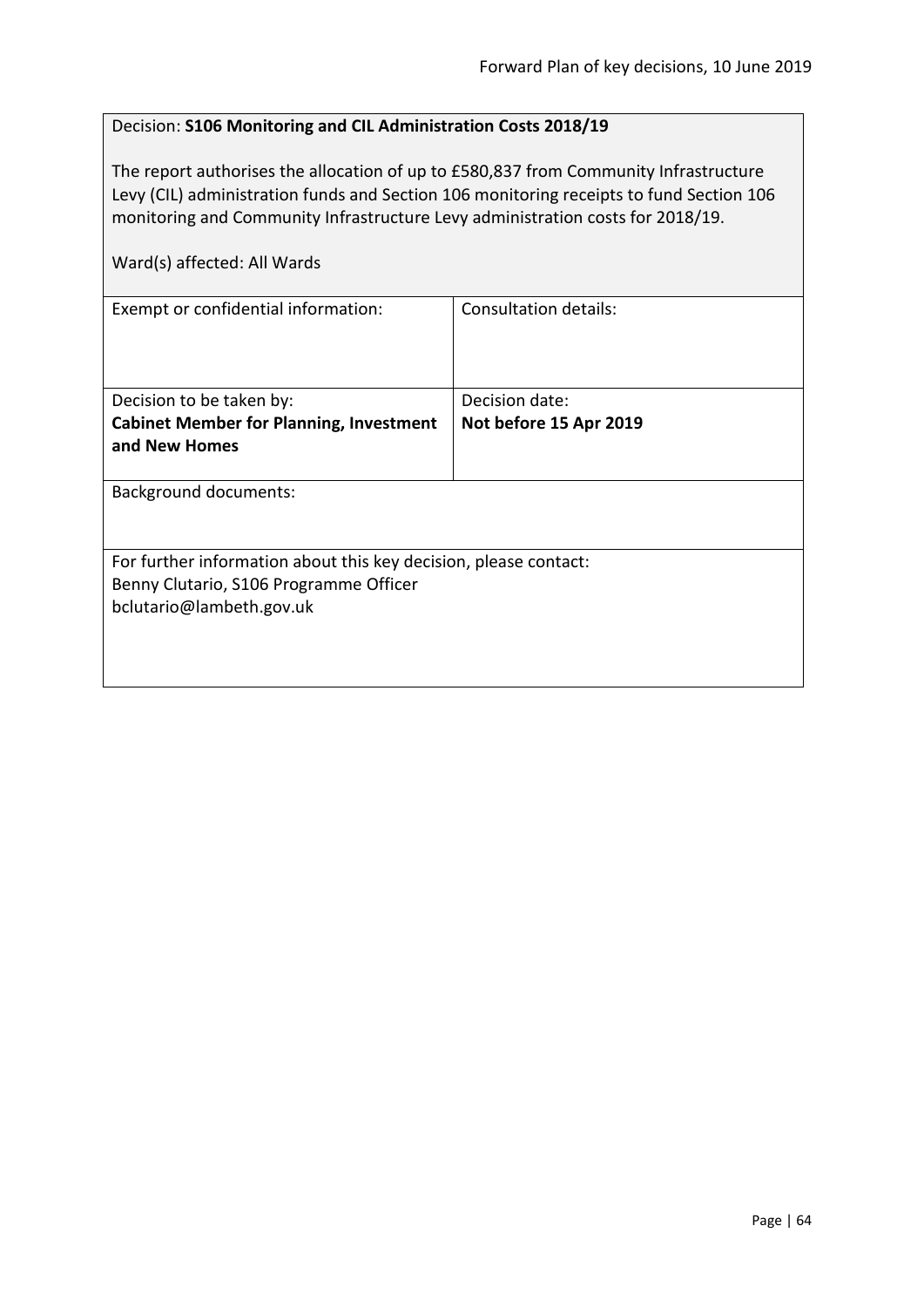### Decision: **S106 Monitoring and CIL Administration Costs 2018/19**

The report authorises the allocation of up to £580,837 from Community Infrastructure Levy (CIL) administration funds and Section 106 monitoring receipts to fund Section 106 monitoring and Community Infrastructure Levy administration costs for 2018/19.

| Ward(s) affected: All Wards                                                                                                            |                                          |
|----------------------------------------------------------------------------------------------------------------------------------------|------------------------------------------|
| Exempt or confidential information:                                                                                                    | <b>Consultation details:</b>             |
| Decision to be taken by:<br><b>Cabinet Member for Planning, Investment</b><br>and New Homes                                            | Decision date:<br>Not before 15 Apr 2019 |
| <b>Background documents:</b>                                                                                                           |                                          |
| For further information about this key decision, please contact:<br>Benny Clutario, S106 Programme Officer<br>bclutario@lambeth.gov.uk |                                          |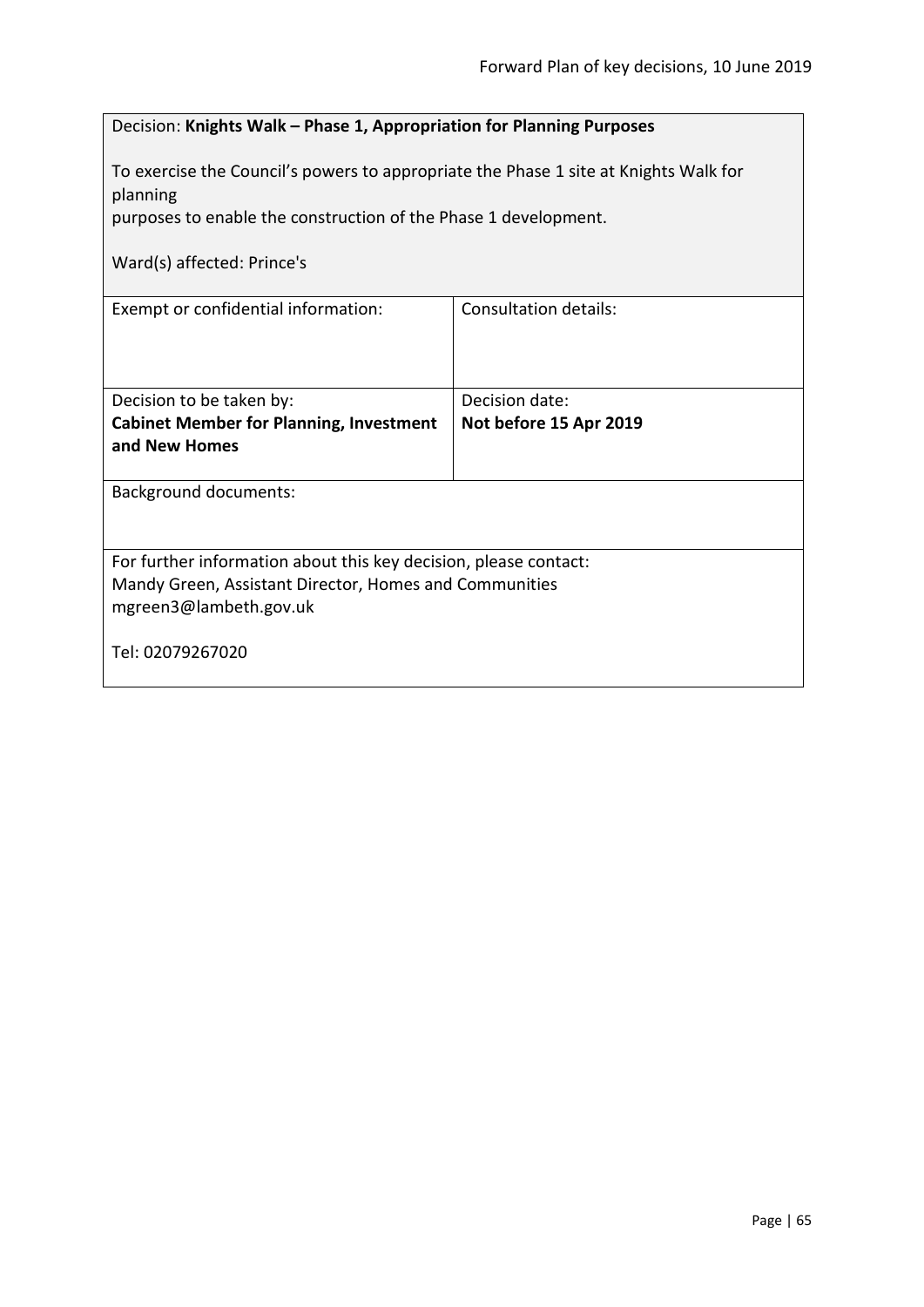|                                                                                                                                                      | Decision: Knights Walk - Phase 1, Appropriation for Planning Purposes |  |
|------------------------------------------------------------------------------------------------------------------------------------------------------|-----------------------------------------------------------------------|--|
| To exercise the Council's powers to appropriate the Phase 1 site at Knights Walk for<br>planning                                                     |                                                                       |  |
| purposes to enable the construction of the Phase 1 development.                                                                                      |                                                                       |  |
| Ward(s) affected: Prince's                                                                                                                           |                                                                       |  |
| Exempt or confidential information:                                                                                                                  | <b>Consultation details:</b>                                          |  |
| Decision to be taken by:                                                                                                                             | Decision date:                                                        |  |
| <b>Cabinet Member for Planning, Investment</b><br>and New Homes                                                                                      | Not before 15 Apr 2019                                                |  |
| <b>Background documents:</b>                                                                                                                         |                                                                       |  |
| For further information about this key decision, please contact:<br>Mandy Green, Assistant Director, Homes and Communities<br>mgreen3@lambeth.gov.uk |                                                                       |  |
| Tel: 02079267020                                                                                                                                     |                                                                       |  |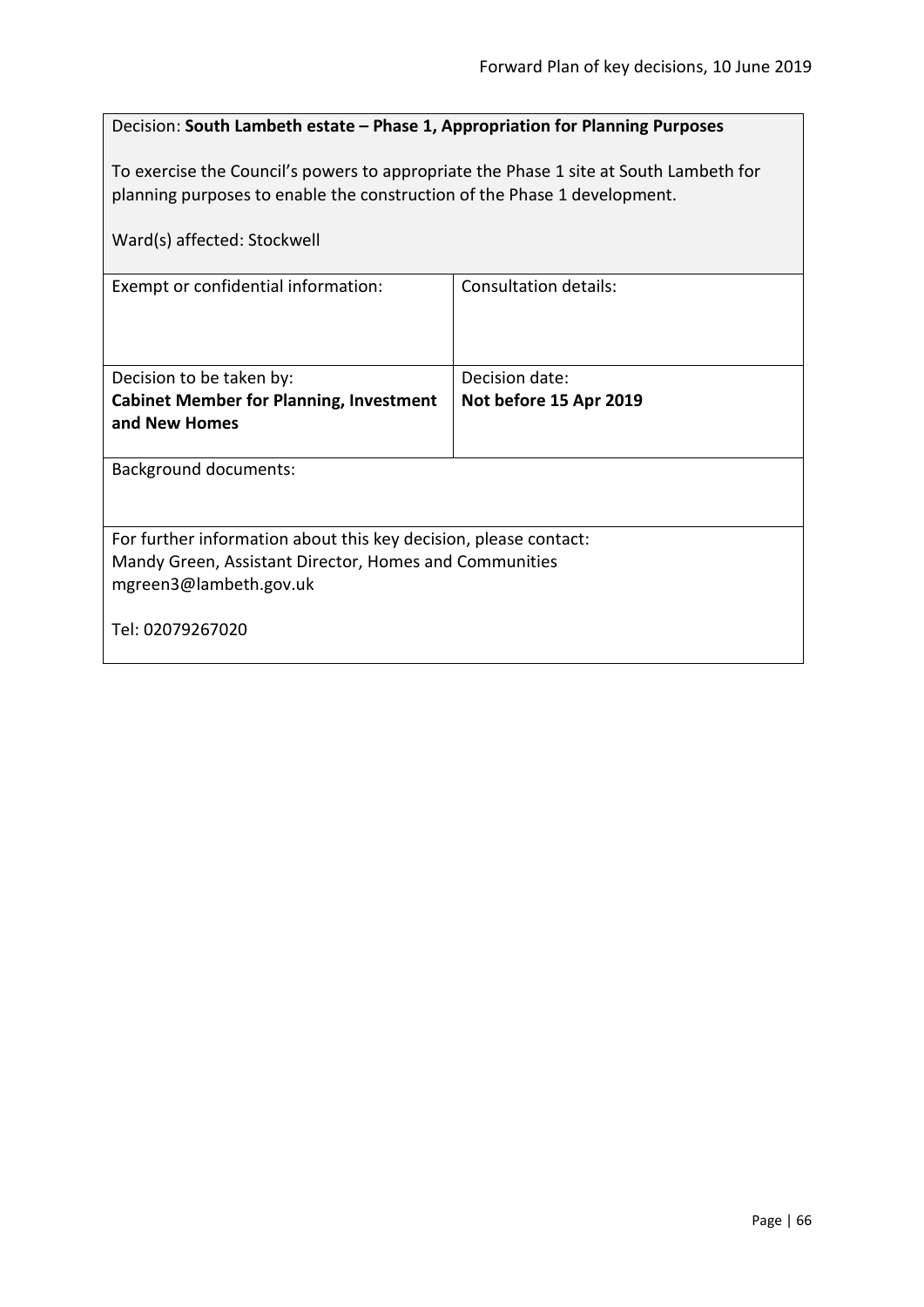## Decision: **South Lambeth estate – Phase 1, Appropriation for Planning Purposes**

To exercise the Council's powers to appropriate the Phase 1 site at South Lambeth for planning purposes to enable the construction of the Phase 1 development.

| Ward(s) affected: Stockwell                                                                                                                          |                        |  |
|------------------------------------------------------------------------------------------------------------------------------------------------------|------------------------|--|
| Exempt or confidential information:                                                                                                                  | Consultation details:  |  |
| Decision to be taken by:                                                                                                                             | Decision date:         |  |
| <b>Cabinet Member for Planning, Investment</b>                                                                                                       | Not before 15 Apr 2019 |  |
| and New Homes                                                                                                                                        |                        |  |
| <b>Background documents:</b>                                                                                                                         |                        |  |
| For further information about this key decision, please contact:<br>Mandy Green, Assistant Director, Homes and Communities<br>mgreen3@lambeth.gov.uk |                        |  |
| Tel: 02079267020                                                                                                                                     |                        |  |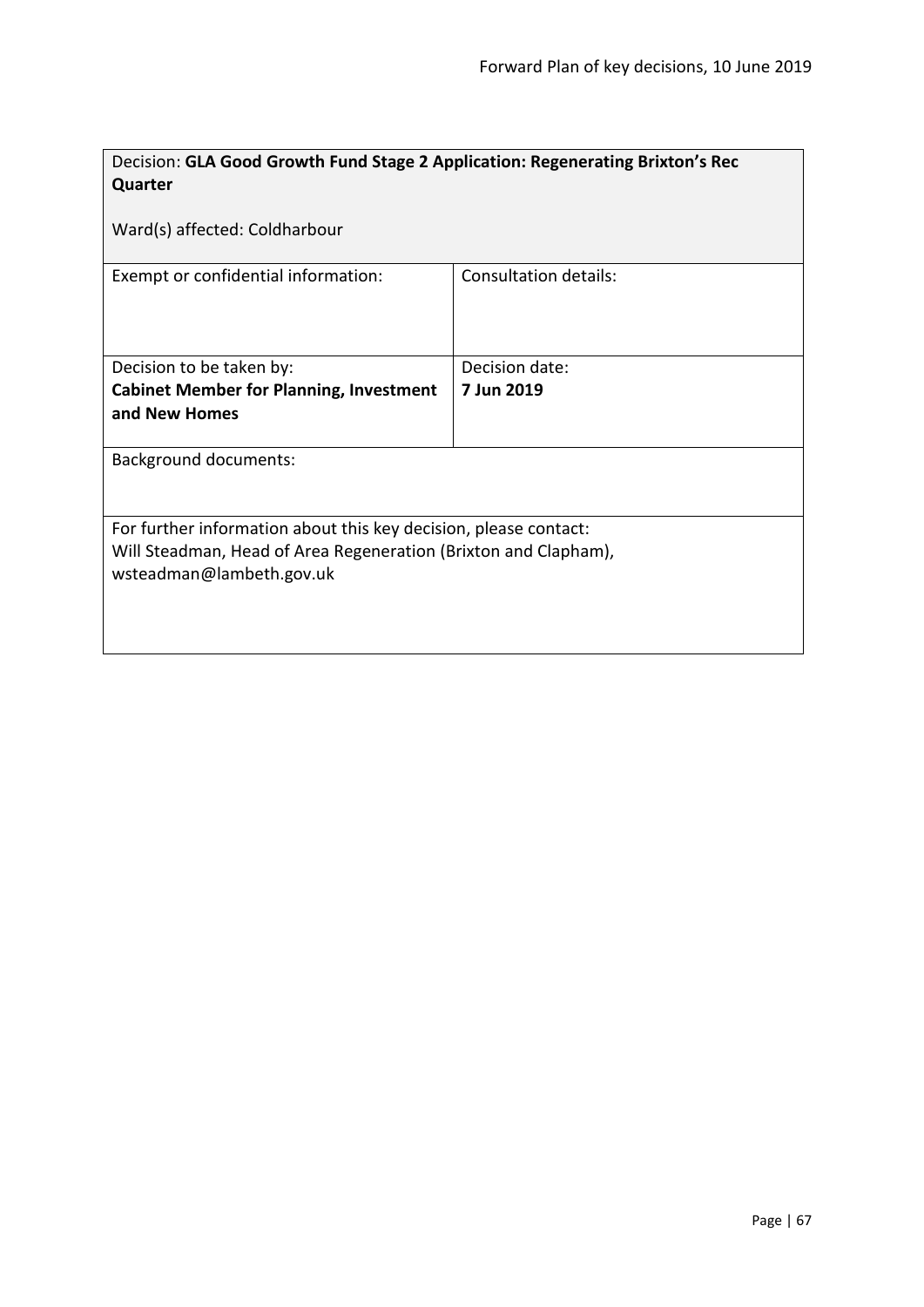| Decision: GLA Good Growth Fund Stage 2 Application: Regenerating Brixton's Rec |                       |  |
|--------------------------------------------------------------------------------|-----------------------|--|
| Quarter                                                                        |                       |  |
|                                                                                |                       |  |
| Ward(s) affected: Coldharbour                                                  |                       |  |
|                                                                                |                       |  |
| Exempt or confidential information:                                            | Consultation details: |  |
|                                                                                |                       |  |
|                                                                                |                       |  |
|                                                                                |                       |  |
| Decision to be taken by:                                                       | Decision date:        |  |
| <b>Cabinet Member for Planning, Investment</b>                                 | 7 Jun 2019            |  |
| and New Homes                                                                  |                       |  |
|                                                                                |                       |  |
| <b>Background documents:</b>                                                   |                       |  |
|                                                                                |                       |  |
|                                                                                |                       |  |
| For further information about this key decision, please contact:               |                       |  |
| Will Steadman, Head of Area Regeneration (Brixton and Clapham),                |                       |  |
| wsteadman@lambeth.gov.uk                                                       |                       |  |
|                                                                                |                       |  |
|                                                                                |                       |  |
|                                                                                |                       |  |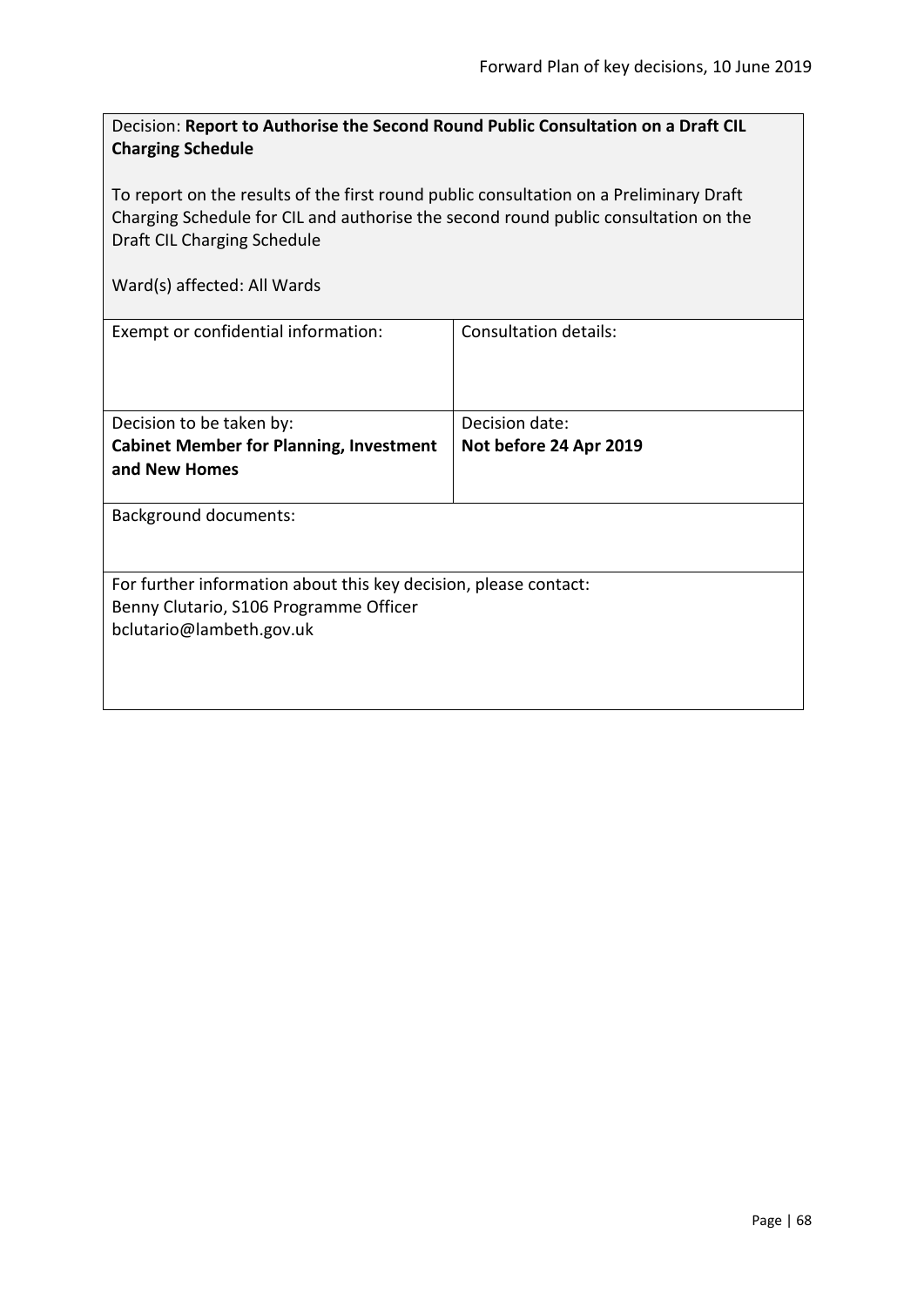| Decision: Report to Authorise the Second Round Public Consultation on a Draft CIL |
|-----------------------------------------------------------------------------------|
| <b>Charging Schedule</b>                                                          |

To report on the results of the first round public consultation on a Preliminary Draft Charging Schedule for CIL and authorise the second round public consultation on the Draft CIL Charging Schedule

| Exempt or confidential information:                                                                                                    | Consultation details:  |
|----------------------------------------------------------------------------------------------------------------------------------------|------------------------|
| Decision to be taken by:                                                                                                               | Decision date:         |
| <b>Cabinet Member for Planning, Investment</b><br>and New Homes                                                                        | Not before 24 Apr 2019 |
| <b>Background documents:</b>                                                                                                           |                        |
| For further information about this key decision, please contact:<br>Benny Clutario, S106 Programme Officer<br>bclutario@lambeth.gov.uk |                        |
|                                                                                                                                        |                        |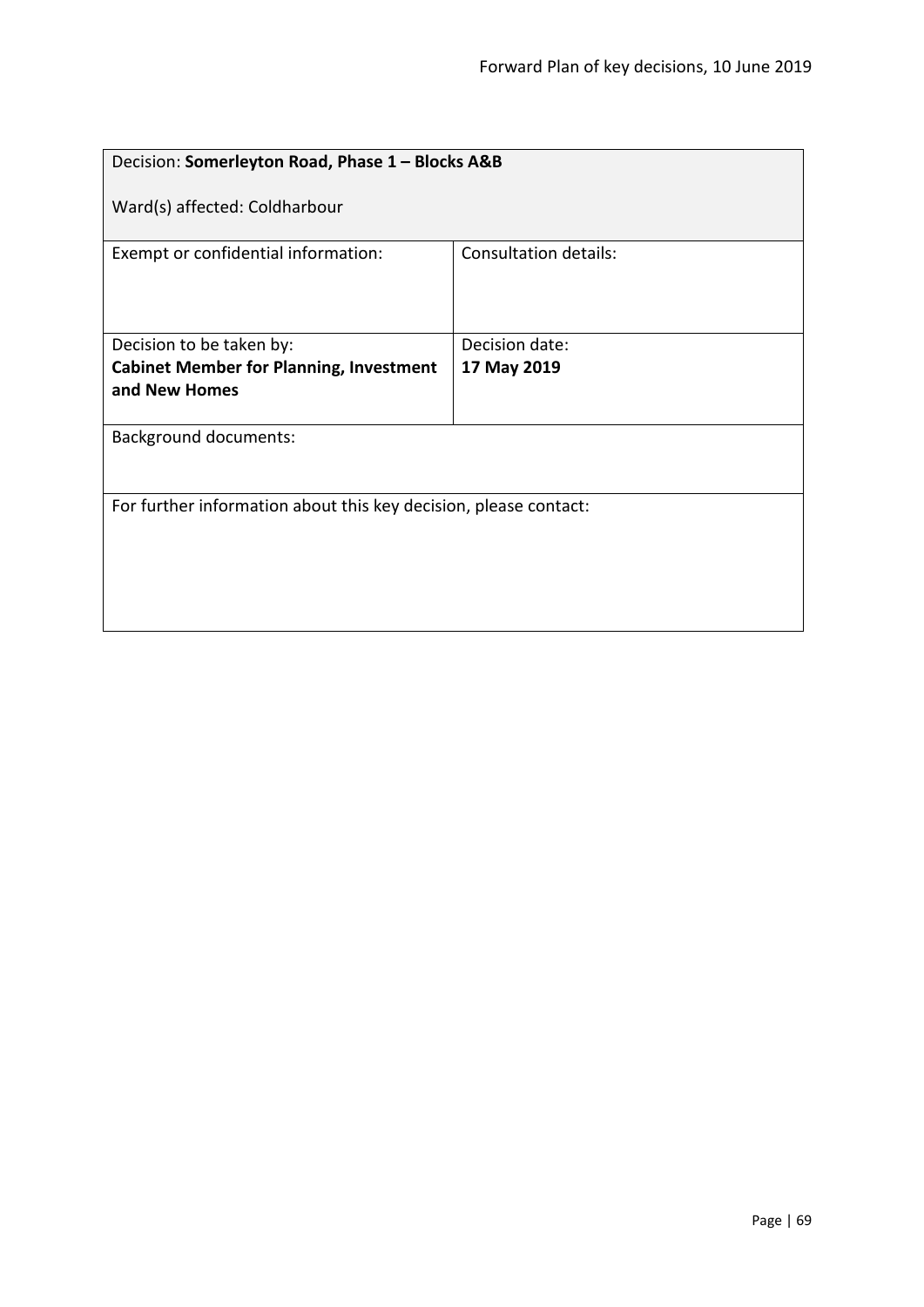| Decision: Somerleyton Road, Phase 1 - Blocks A&B                 |                              |  |
|------------------------------------------------------------------|------------------------------|--|
| Ward(s) affected: Coldharbour                                    |                              |  |
| Exempt or confidential information:                              | <b>Consultation details:</b> |  |
| Decision to be taken by:                                         | Decision date:               |  |
| <b>Cabinet Member for Planning, Investment</b>                   | 17 May 2019                  |  |
| and New Homes                                                    |                              |  |
| <b>Background documents:</b>                                     |                              |  |
| For further information about this key decision, please contact: |                              |  |
|                                                                  |                              |  |
|                                                                  |                              |  |
|                                                                  |                              |  |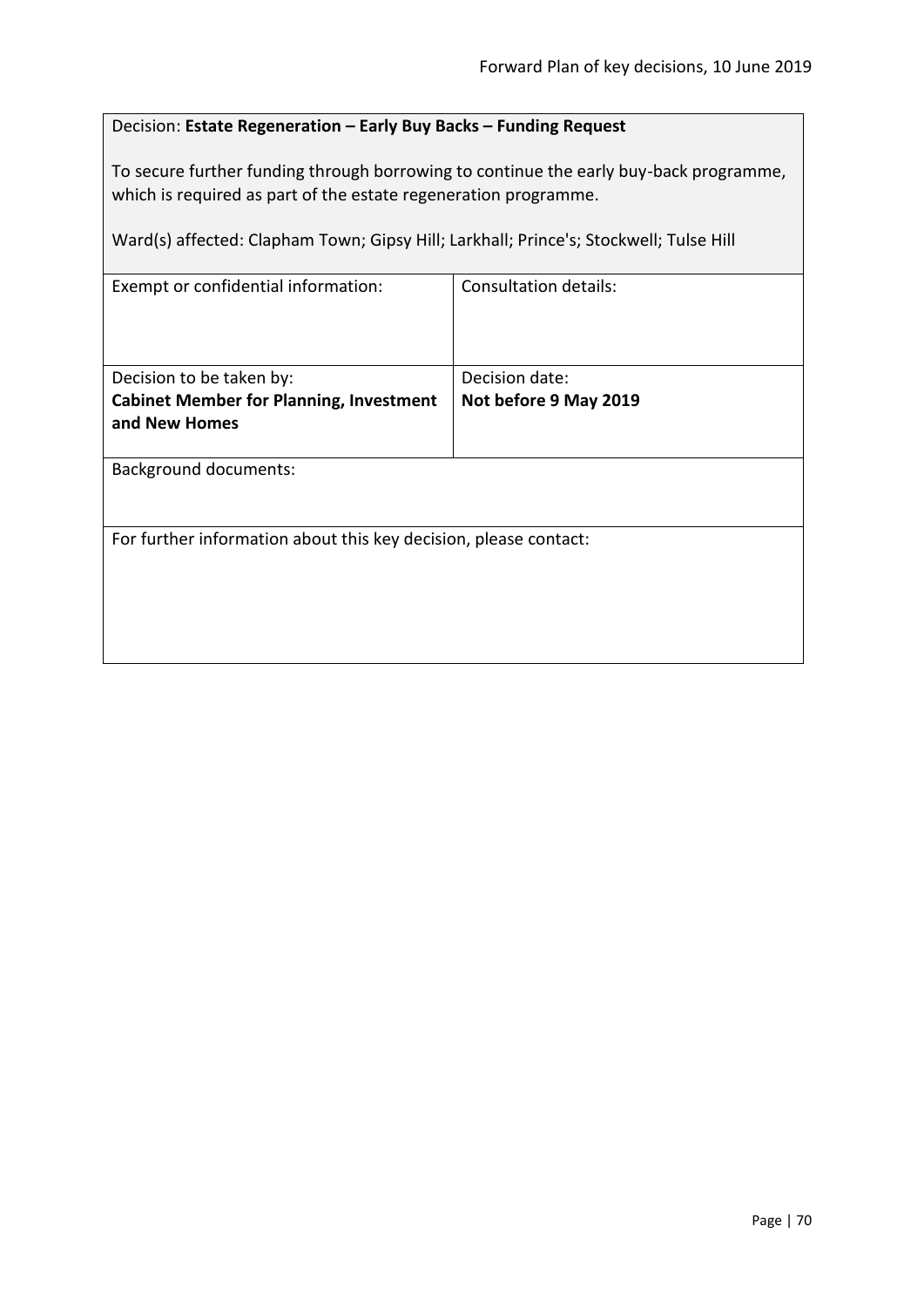# Decision: **Estate Regeneration – Early Buy Backs – Funding Request**

To secure further funding through borrowing to continue the early buy-back programme, which is required as part of the estate regeneration programme.

Ward(s) affected: Clapham Town; Gipsy Hill; Larkhall; Prince's; Stockwell; Tulse Hill

| Exempt or confidential information:                              | <b>Consultation details:</b> |  |
|------------------------------------------------------------------|------------------------------|--|
| Decision to be taken by:                                         | Decision date:               |  |
| <b>Cabinet Member for Planning, Investment</b><br>and New Homes  | Not before 9 May 2019        |  |
|                                                                  |                              |  |
| <b>Background documents:</b>                                     |                              |  |
|                                                                  |                              |  |
| For further information about this key decision, please contact: |                              |  |
|                                                                  |                              |  |
|                                                                  |                              |  |
|                                                                  |                              |  |
|                                                                  |                              |  |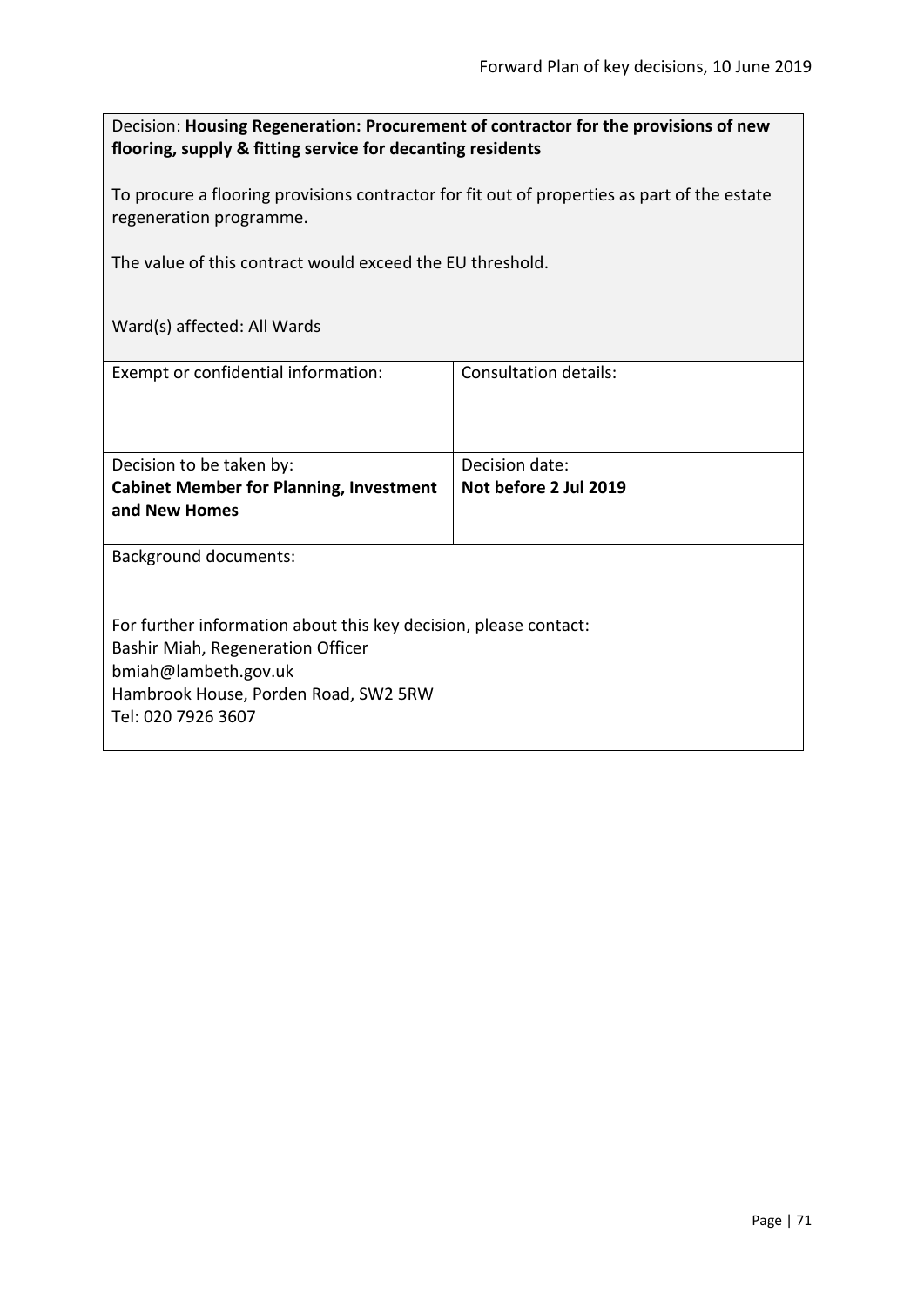Decision: **Housing Regeneration: Procurement of contractor for the provisions of new flooring, supply & fitting service for decanting residents**

To procure a flooring provisions contractor for fit out of properties as part of the estate regeneration programme.

The value of this contract would exceed the EU threshold.

| Exempt or confidential information:                                                                                                                                                         | Consultation details:                   |
|---------------------------------------------------------------------------------------------------------------------------------------------------------------------------------------------|-----------------------------------------|
| Decision to be taken by:<br><b>Cabinet Member for Planning, Investment</b><br>and New Homes                                                                                                 | Decision date:<br>Not before 2 Jul 2019 |
| <b>Background documents:</b>                                                                                                                                                                |                                         |
| For further information about this key decision, please contact:<br>Bashir Miah, Regeneration Officer<br>bmiah@lambeth.gov.uk<br>Hambrook House, Porden Road, SW2 5RW<br>Tel: 020 7926 3607 |                                         |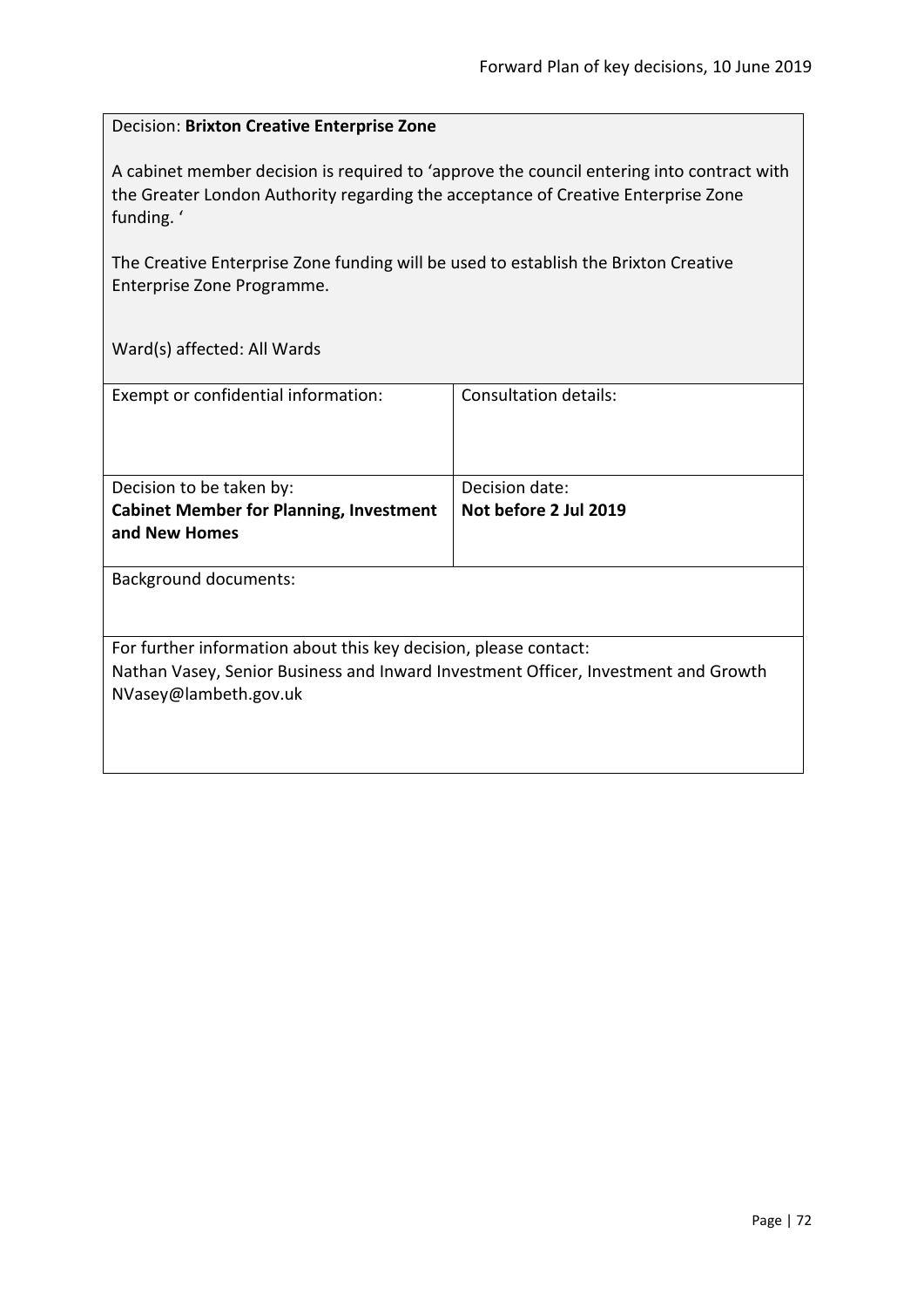#### Decision: **Brixton Creative Enterprise Zone**

A cabinet member decision is required to 'approve the council entering into contract with the Greater London Authority regarding the acceptance of Creative Enterprise Zone funding. '

The Creative Enterprise Zone funding will be used to establish the Brixton Creative Enterprise Zone Programme.

| Exempt or confidential information:                                                | Consultation details: |
|------------------------------------------------------------------------------------|-----------------------|
|                                                                                    |                       |
|                                                                                    |                       |
|                                                                                    |                       |
|                                                                                    |                       |
| Decision to be taken by:                                                           | Decision date:        |
| <b>Cabinet Member for Planning, Investment</b>                                     | Not before 2 Jul 2019 |
| and New Homes                                                                      |                       |
|                                                                                    |                       |
| <b>Background documents:</b>                                                       |                       |
|                                                                                    |                       |
|                                                                                    |                       |
| For further information about this key decision, please contact:                   |                       |
|                                                                                    |                       |
| Nathan Vasey, Senior Business and Inward Investment Officer, Investment and Growth |                       |
| NVasey@lambeth.gov.uk                                                              |                       |
|                                                                                    |                       |
|                                                                                    |                       |
|                                                                                    |                       |
|                                                                                    |                       |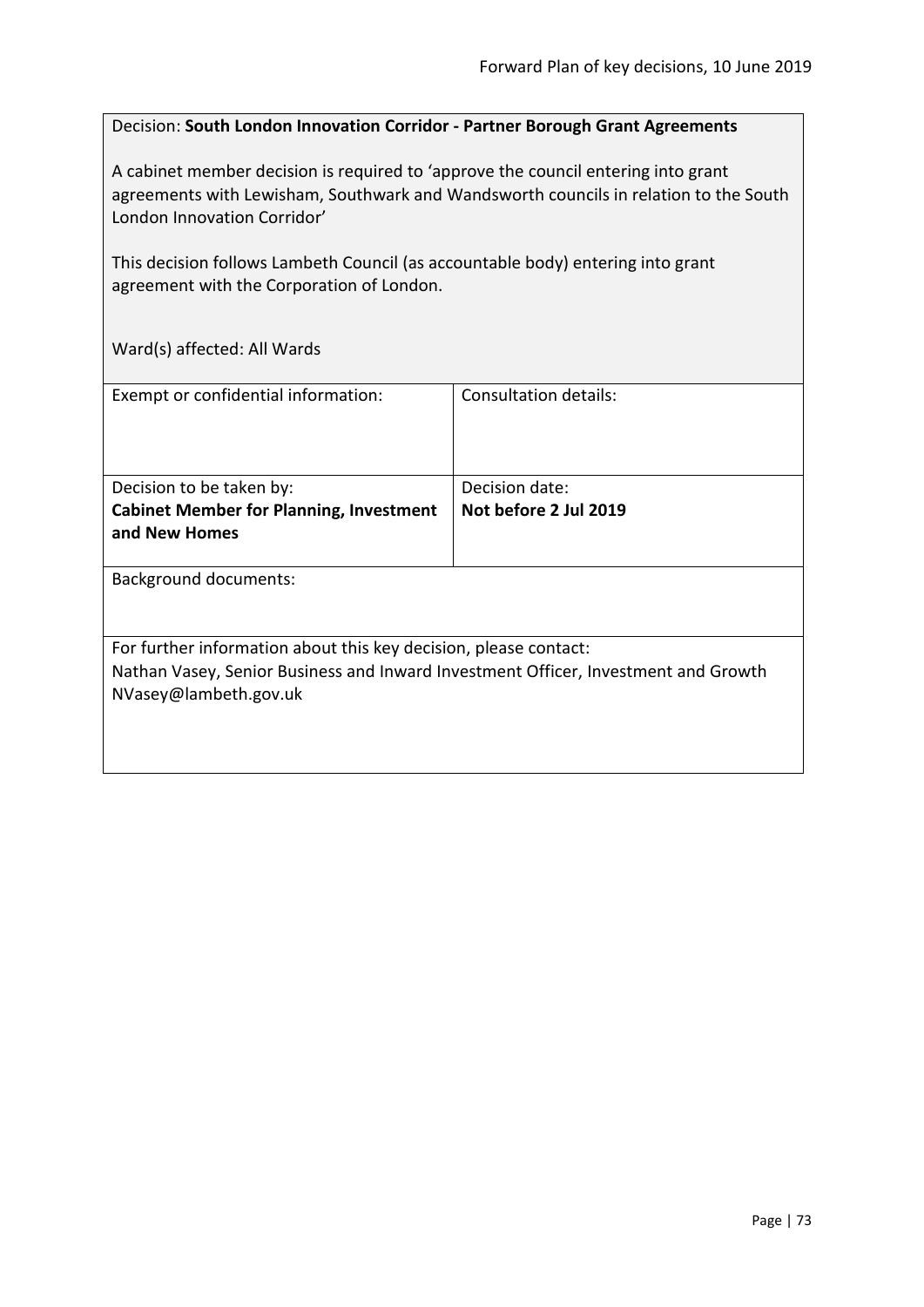#### Decision: **South London Innovation Corridor - Partner Borough Grant Agreements**

A cabinet member decision is required to 'approve the council entering into grant agreements with Lewisham, Southwark and Wandsworth councils in relation to the South London Innovation Corridor'

This decision follows Lambeth Council (as accountable body) entering into grant agreement with the Corporation of London.

Ward(s) affected: All Wards

| Exempt or confidential information:                                                                                                                                             | Consultation details:                   |
|---------------------------------------------------------------------------------------------------------------------------------------------------------------------------------|-----------------------------------------|
| Decision to be taken by:<br><b>Cabinet Member for Planning, Investment</b><br>and New Homes                                                                                     | Decision date:<br>Not before 2 Jul 2019 |
| <b>Background documents:</b>                                                                                                                                                    |                                         |
| For further information about this key decision, please contact:<br>Nathan Vasey, Senior Business and Inward Investment Officer, Investment and Growth<br>NVasey@lambeth.gov.uk |                                         |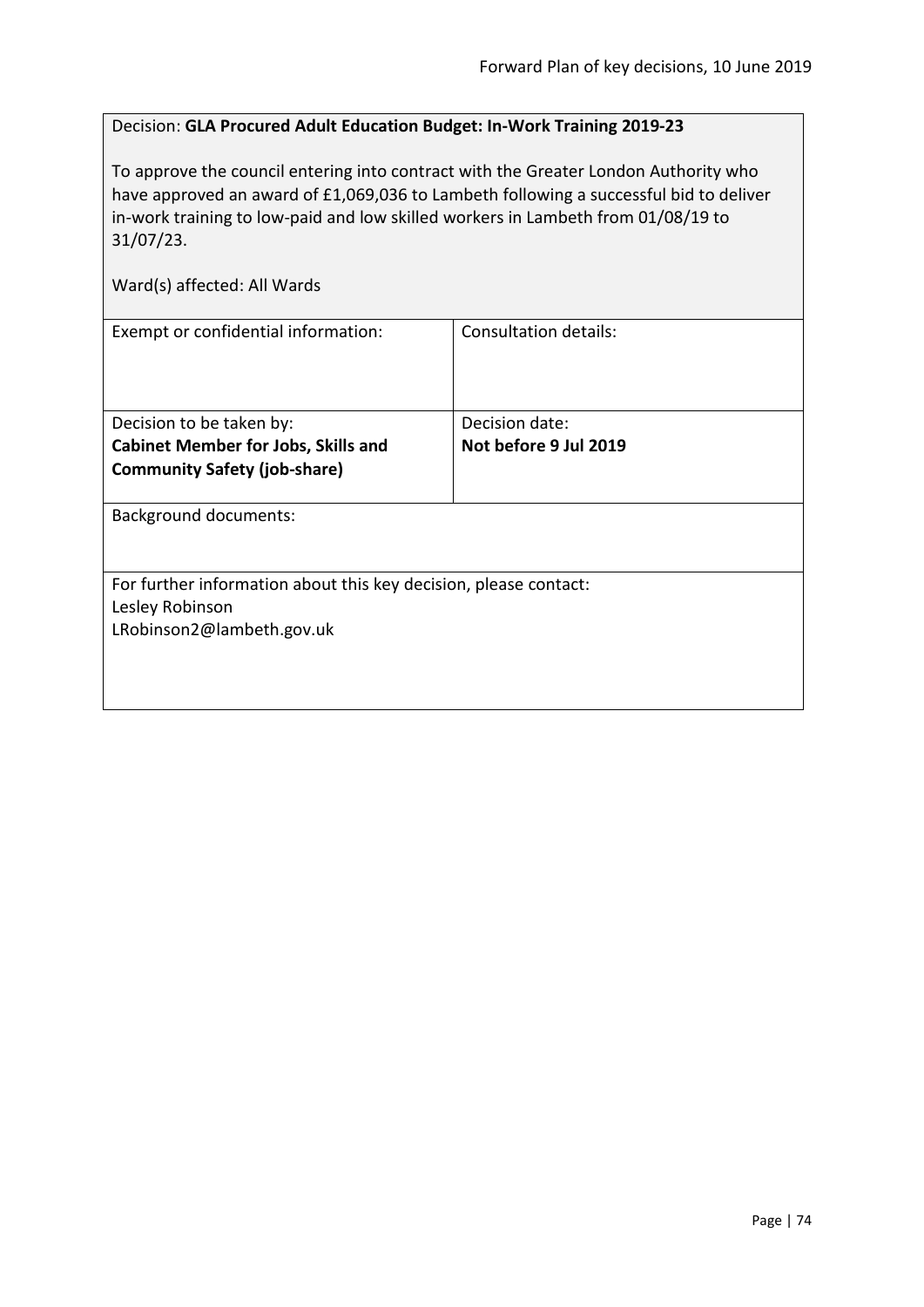# Decision: **GLA Procured Adult Education Budget: In-Work Training 2019-23**

To approve the council entering into contract with the Greater London Authority who have approved an award of £1,069,036 to Lambeth following a successful bid to deliver in-work training to low-paid and low skilled workers in Lambeth from 01/08/19 to 31/07/23.

| Ward(s) affected: All Wards                                      |                              |
|------------------------------------------------------------------|------------------------------|
| Exempt or confidential information:                              | <b>Consultation details:</b> |
| Decision to be taken by:                                         | Decision date:               |
| <b>Cabinet Member for Jobs, Skills and</b>                       | Not before 9 Jul 2019        |
| <b>Community Safety (job-share)</b>                              |                              |
| <b>Background documents:</b>                                     |                              |
| For further information about this key decision, please contact: |                              |
| Lesley Robinson                                                  |                              |
| LRobinson2@lambeth.gov.uk                                        |                              |
|                                                                  |                              |
|                                                                  |                              |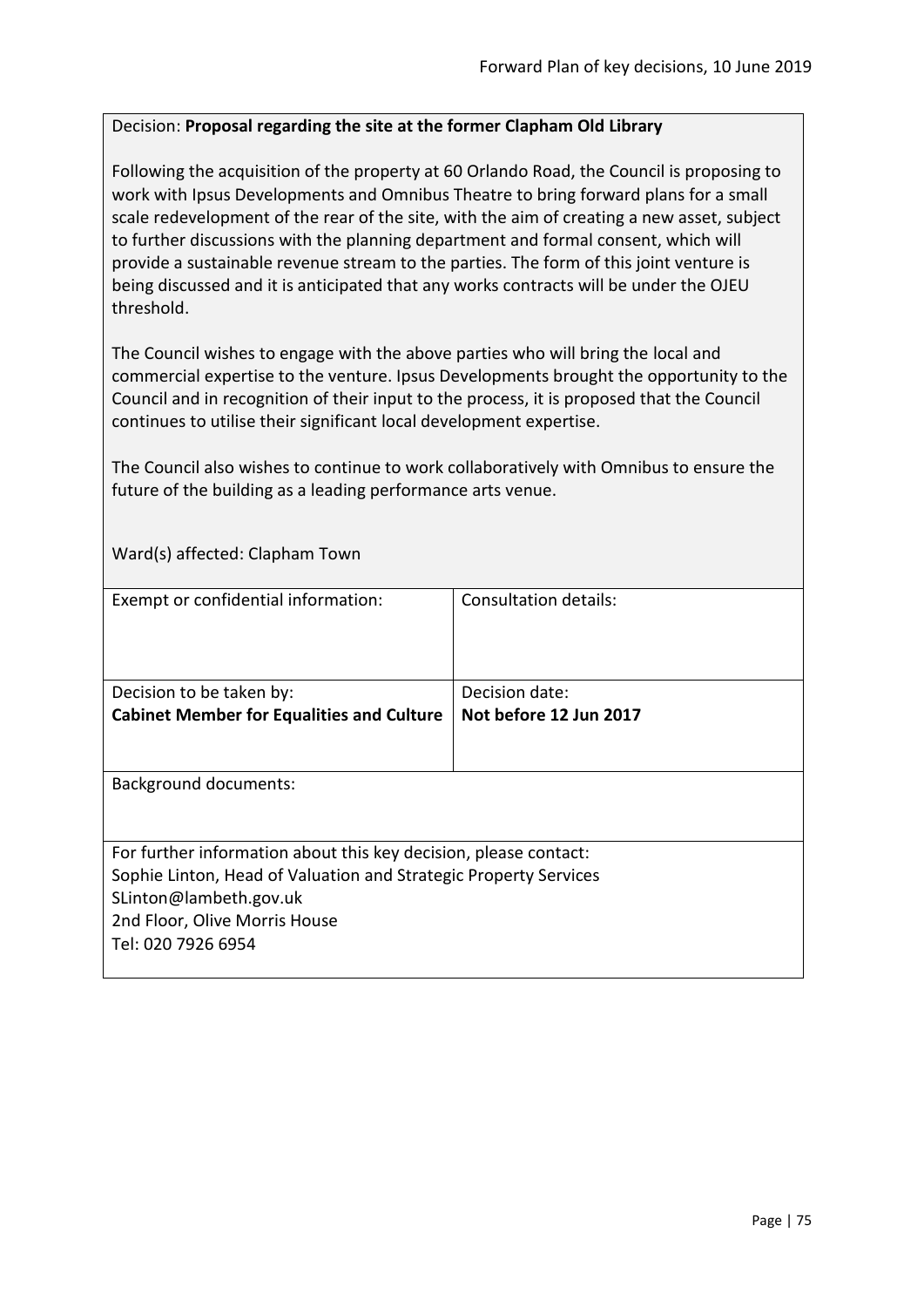### Decision: **Proposal regarding the site at the former Clapham Old Library**

Following the acquisition of the property at 60 Orlando Road, the Council is proposing to work with Ipsus Developments and Omnibus Theatre to bring forward plans for a small scale redevelopment of the rear of the site, with the aim of creating a new asset, subject to further discussions with the planning department and formal consent, which will provide a sustainable revenue stream to the parties. The form of this joint venture is being discussed and it is anticipated that any works contracts will be under the OJEU threshold.

The Council wishes to engage with the above parties who will bring the local and commercial expertise to the venture. Ipsus Developments brought the opportunity to the Council and in recognition of their input to the process, it is proposed that the Council continues to utilise their significant local development expertise.

The Council also wishes to continue to work collaboratively with Omnibus to ensure the future of the building as a leading performance arts venue.

Ward(s) affected: Clapham Town

| Exempt or confidential information:                              | Consultation details:  |
|------------------------------------------------------------------|------------------------|
|                                                                  |                        |
|                                                                  |                        |
|                                                                  |                        |
|                                                                  |                        |
| Decision to be taken by:                                         | Decision date:         |
| <b>Cabinet Member for Equalities and Culture</b>                 | Not before 12 Jun 2017 |
|                                                                  |                        |
|                                                                  |                        |
|                                                                  |                        |
| <b>Background documents:</b>                                     |                        |
|                                                                  |                        |
|                                                                  |                        |
| For further information about this key decision, please contact: |                        |
| Sophie Linton, Head of Valuation and Strategic Property Services |                        |
| SLinton@lambeth.gov.uk                                           |                        |
|                                                                  |                        |
| 2nd Floor, Olive Morris House                                    |                        |
| Tel: 020 7926 6954                                               |                        |
|                                                                  |                        |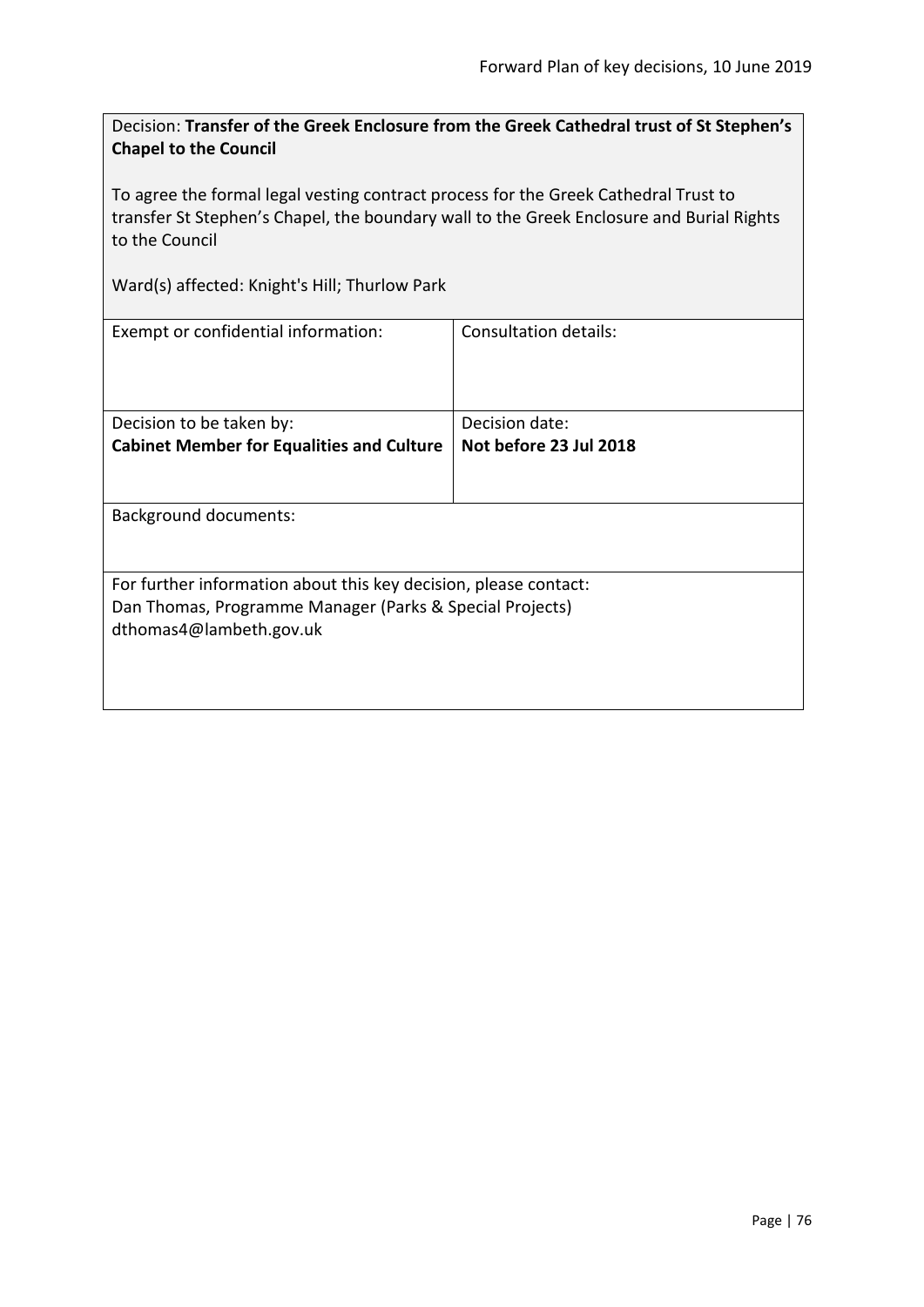Decision: **Transfer of the Greek Enclosure from the Greek Cathedral trust of St Stephen's Chapel to the Council**

To agree the formal legal vesting contract process for the Greek Cathedral Trust to transfer St Stephen's Chapel, the boundary wall to the Greek Enclosure and Burial Rights to the Council

Ward(s) affected: Knight's Hill; Thurlow Park

| Exempt or confidential information:                              | Consultation details:  |  |
|------------------------------------------------------------------|------------------------|--|
|                                                                  |                        |  |
| Decision to be taken by:                                         | Decision date:         |  |
| <b>Cabinet Member for Equalities and Culture</b>                 | Not before 23 Jul 2018 |  |
|                                                                  |                        |  |
| <b>Background documents:</b>                                     |                        |  |
| For further information about this key decision, please contact: |                        |  |
| Dan Thomas, Programme Manager (Parks & Special Projects)         |                        |  |
| dthomas4@lambeth.gov.uk                                          |                        |  |
|                                                                  |                        |  |
|                                                                  |                        |  |
|                                                                  |                        |  |
|                                                                  |                        |  |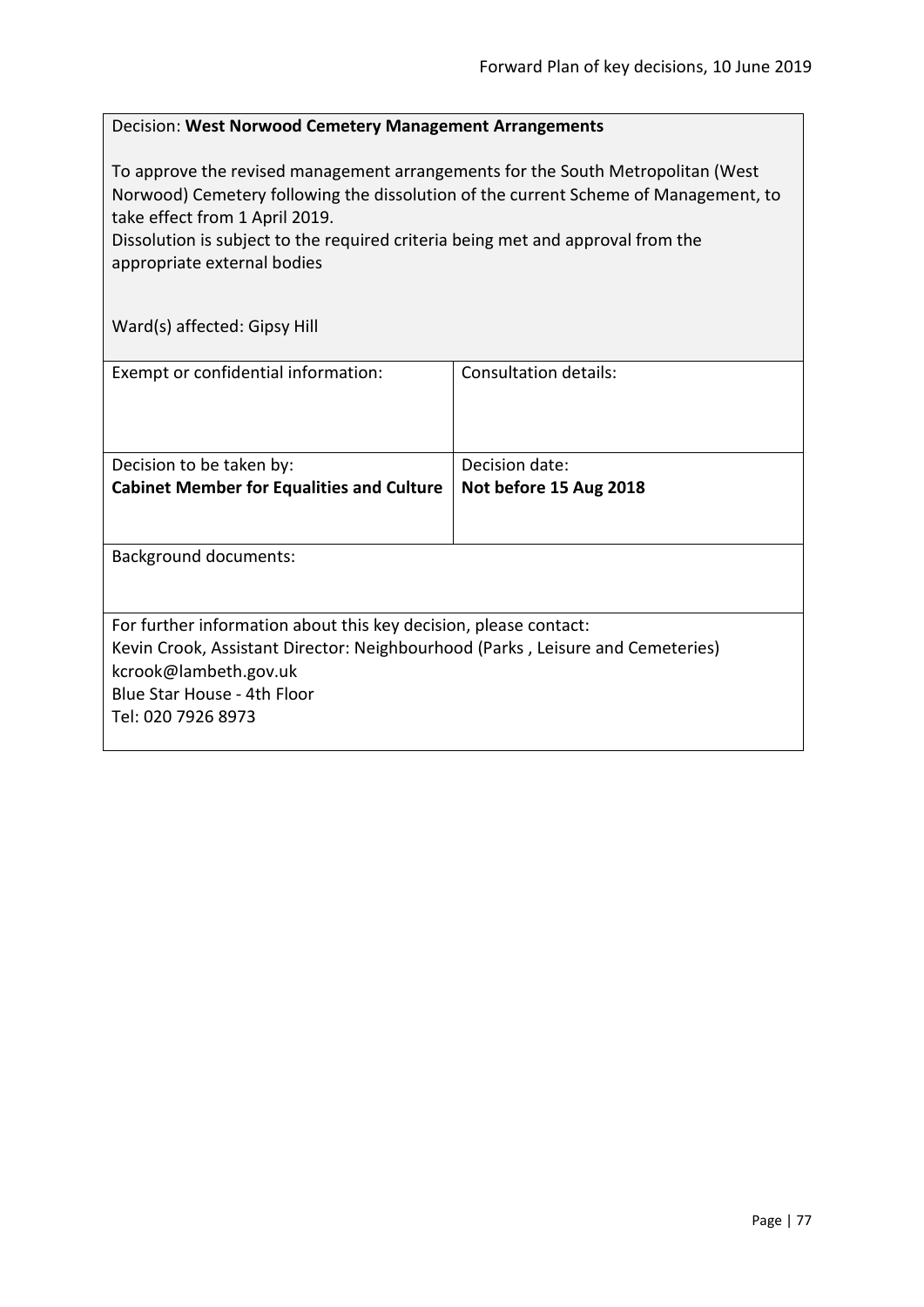#### Decision: **West Norwood Cemetery Management Arrangements**

To approve the revised management arrangements for the South Metropolitan (West Norwood) Cemetery following the dissolution of the current Scheme of Management, to take effect from 1 April 2019.

Dissolution is subject to the required criteria being met and approval from the appropriate external bodies

Ward(s) affected: Gipsy Hill

| Exempt or confidential information:                                            | Consultation details:  |
|--------------------------------------------------------------------------------|------------------------|
|                                                                                |                        |
|                                                                                |                        |
| Decision to be taken by:                                                       | Decision date:         |
| <b>Cabinet Member for Equalities and Culture</b>                               | Not before 15 Aug 2018 |
|                                                                                |                        |
|                                                                                |                        |
| <b>Background documents:</b>                                                   |                        |
|                                                                                |                        |
| For further information about this key decision, please contact:               |                        |
| Kevin Crook, Assistant Director: Neighbourhood (Parks, Leisure and Cemeteries) |                        |
| kcrook@lambeth.gov.uk                                                          |                        |
| Blue Star House - 4th Floor                                                    |                        |
| Tel: 020 7926 8973                                                             |                        |
|                                                                                |                        |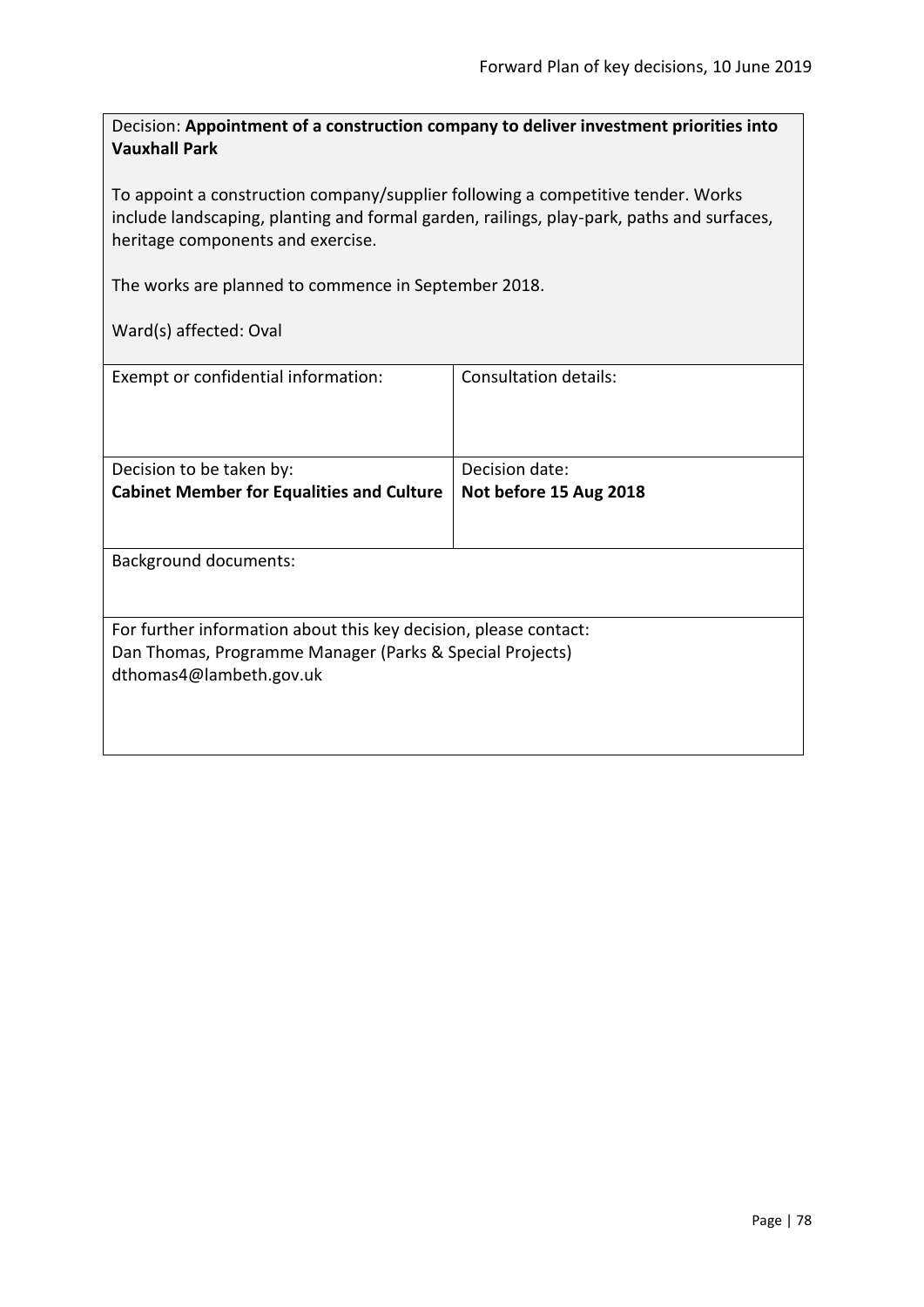Decision: **Appointment of a construction company to deliver investment priorities into Vauxhall Park**

To appoint a construction company/supplier following a competitive tender. Works include landscaping, planting and formal garden, railings, play-park, paths and surfaces, heritage components and exercise.

The works are planned to commence in September 2018.

Ward(s) affected: Oval

| Exempt or confidential information:                              | Consultation details:  |
|------------------------------------------------------------------|------------------------|
| Decision to be taken by:                                         | Decision date:         |
| <b>Cabinet Member for Equalities and Culture</b>                 | Not before 15 Aug 2018 |
|                                                                  |                        |
| <b>Background documents:</b>                                     |                        |
|                                                                  |                        |
| For further information about this key decision, please contact: |                        |
| Dan Thomas, Programme Manager (Parks & Special Projects)         |                        |
| dthomas4@lambeth.gov.uk                                          |                        |
|                                                                  |                        |
|                                                                  |                        |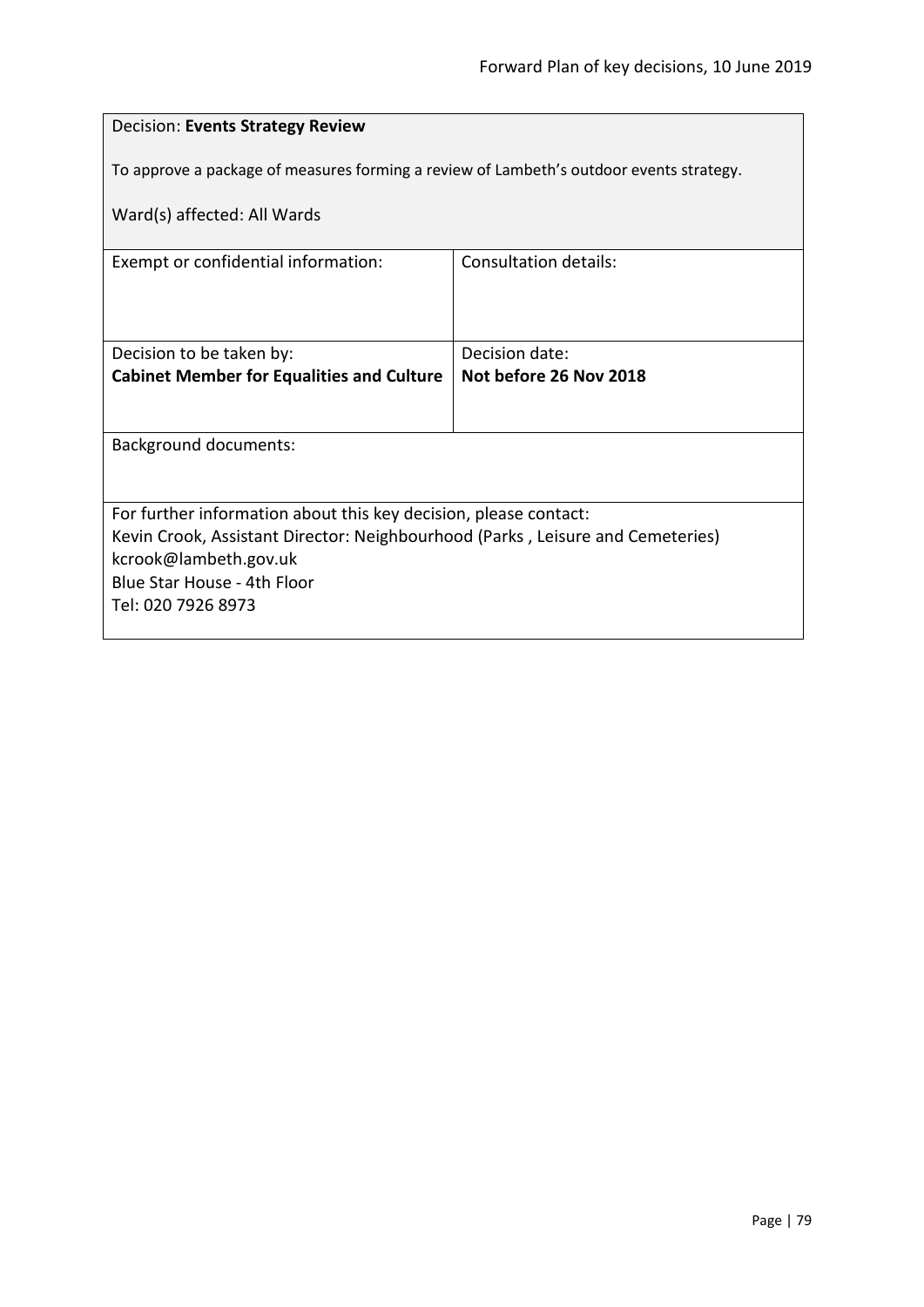| <b>Decision: Events Strategy Review</b>                                                 |                        |  |
|-----------------------------------------------------------------------------------------|------------------------|--|
| To approve a package of measures forming a review of Lambeth's outdoor events strategy. |                        |  |
| Ward(s) affected: All Wards                                                             |                        |  |
| Exempt or confidential information:                                                     | Consultation details:  |  |
|                                                                                         |                        |  |
| Decision to be taken by:                                                                | Decision date:         |  |
| <b>Cabinet Member for Equalities and Culture</b>                                        | Not before 26 Nov 2018 |  |
|                                                                                         |                        |  |
| <b>Background documents:</b>                                                            |                        |  |
|                                                                                         |                        |  |
| For further information about this key decision, please contact:                        |                        |  |
| Kevin Crook, Assistant Director: Neighbourhood (Parks, Leisure and Cemeteries)          |                        |  |
| kcrook@lambeth.gov.uk                                                                   |                        |  |
| Blue Star House - 4th Floor<br>Tel: 020 7926 8973                                       |                        |  |
|                                                                                         |                        |  |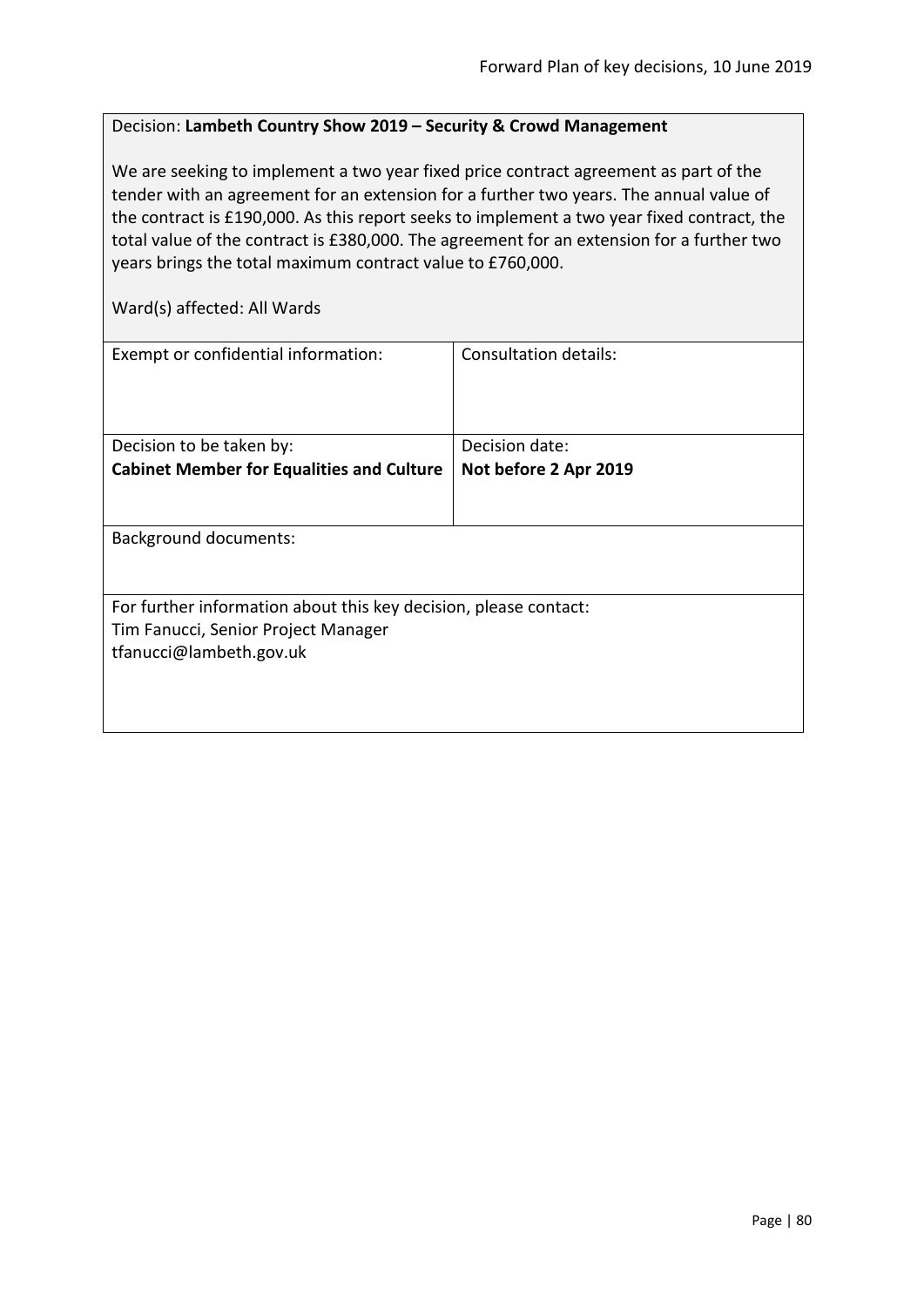### Decision: **Lambeth Country Show 2019 – Security & Crowd Management**

We are seeking to implement a two year fixed price contract agreement as part of the tender with an agreement for an extension for a further two years. The annual value of the contract is £190,000. As this report seeks to implement a two year fixed contract, the total value of the contract is £380,000. The agreement for an extension for a further two years brings the total maximum contract value to £760,000.

Ward(s) affected: All Wards

| Exempt or confidential information:                                                                                                | Consultation details: |
|------------------------------------------------------------------------------------------------------------------------------------|-----------------------|
| Decision to be taken by:                                                                                                           | Decision date:        |
| <b>Cabinet Member for Equalities and Culture</b>                                                                                   | Not before 2 Apr 2019 |
| <b>Background documents:</b>                                                                                                       |                       |
| For further information about this key decision, please contact:<br>Tim Fanucci, Senior Project Manager<br>tfanucci@lambeth.gov.uk |                       |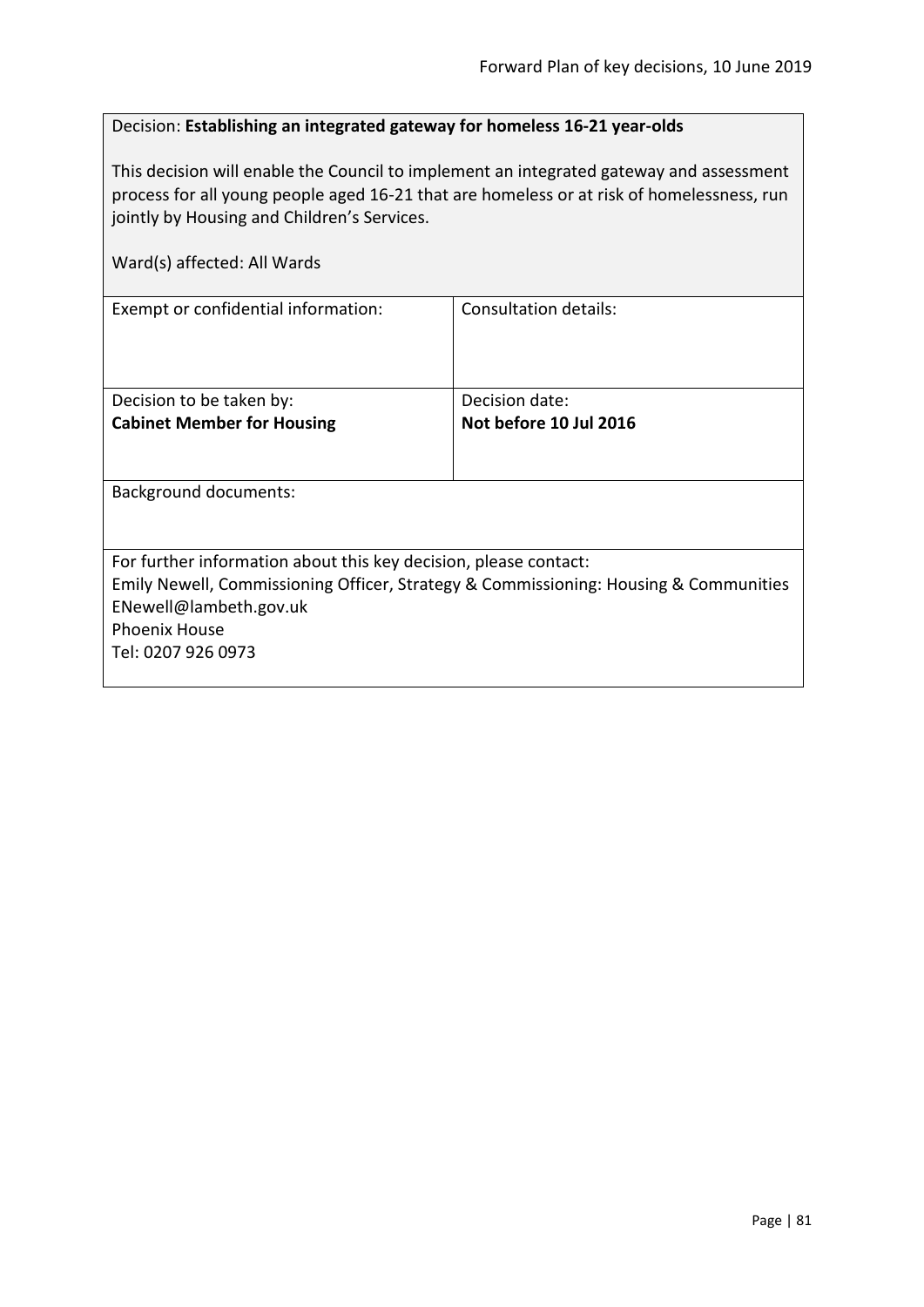# Decision: **Establishing an integrated gateway for homeless 16-21 year-olds**

This decision will enable the Council to implement an integrated gateway and assessment process for all young people aged 16-21 that are homeless or at risk of homelessness, run jointly by Housing and Children's Services.

| Ward(s) affected: All Wards                                                                                                                                                                                                      |                                          |
|----------------------------------------------------------------------------------------------------------------------------------------------------------------------------------------------------------------------------------|------------------------------------------|
| Exempt or confidential information:                                                                                                                                                                                              | Consultation details:                    |
| Decision to be taken by:<br><b>Cabinet Member for Housing</b>                                                                                                                                                                    | Decision date:<br>Not before 10 Jul 2016 |
| Background documents:                                                                                                                                                                                                            |                                          |
| For further information about this key decision, please contact:<br>Emily Newell, Commissioning Officer, Strategy & Commissioning: Housing & Communities<br>ENewell@lambeth.gov.uk<br><b>Phoenix House</b><br>Tel: 0207 926 0973 |                                          |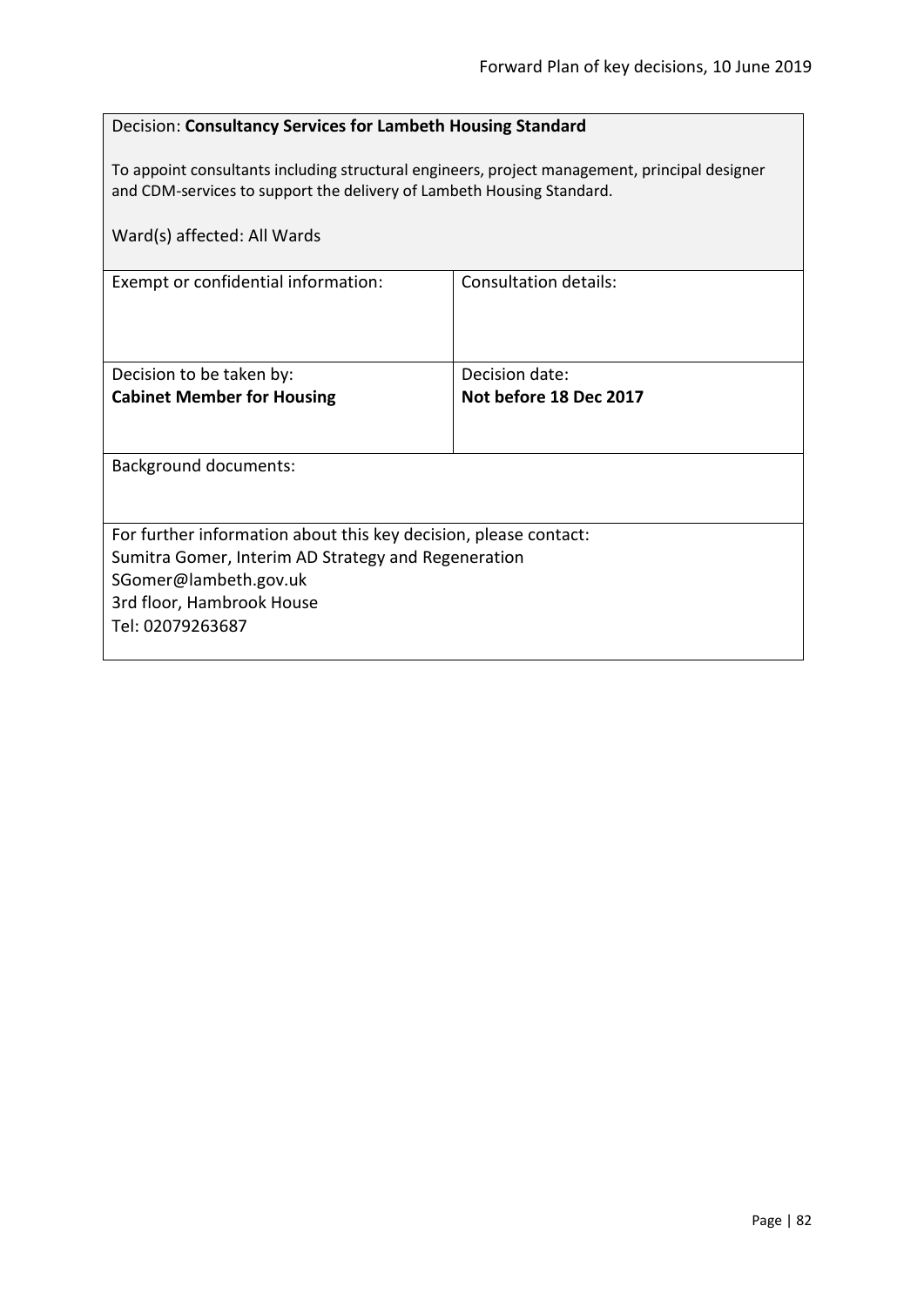# Decision: **Consultancy Services for Lambeth Housing Standard**

To appoint consultants including structural engineers, project management, principal designer and CDM-services to support the delivery of Lambeth Housing Standard.

| Ward(s) affected: All Wards                                      |                        |  |
|------------------------------------------------------------------|------------------------|--|
| Exempt or confidential information:                              | Consultation details:  |  |
| Decision to be taken by:                                         | Decision date:         |  |
| <b>Cabinet Member for Housing</b>                                | Not before 18 Dec 2017 |  |
| Background documents:                                            |                        |  |
| For further information about this key decision, please contact: |                        |  |
| Sumitra Gomer, Interim AD Strategy and Regeneration              |                        |  |
| SGomer@lambeth.gov.uk                                            |                        |  |
| 3rd floor, Hambrook House<br>Tel: 02079263687                    |                        |  |
|                                                                  |                        |  |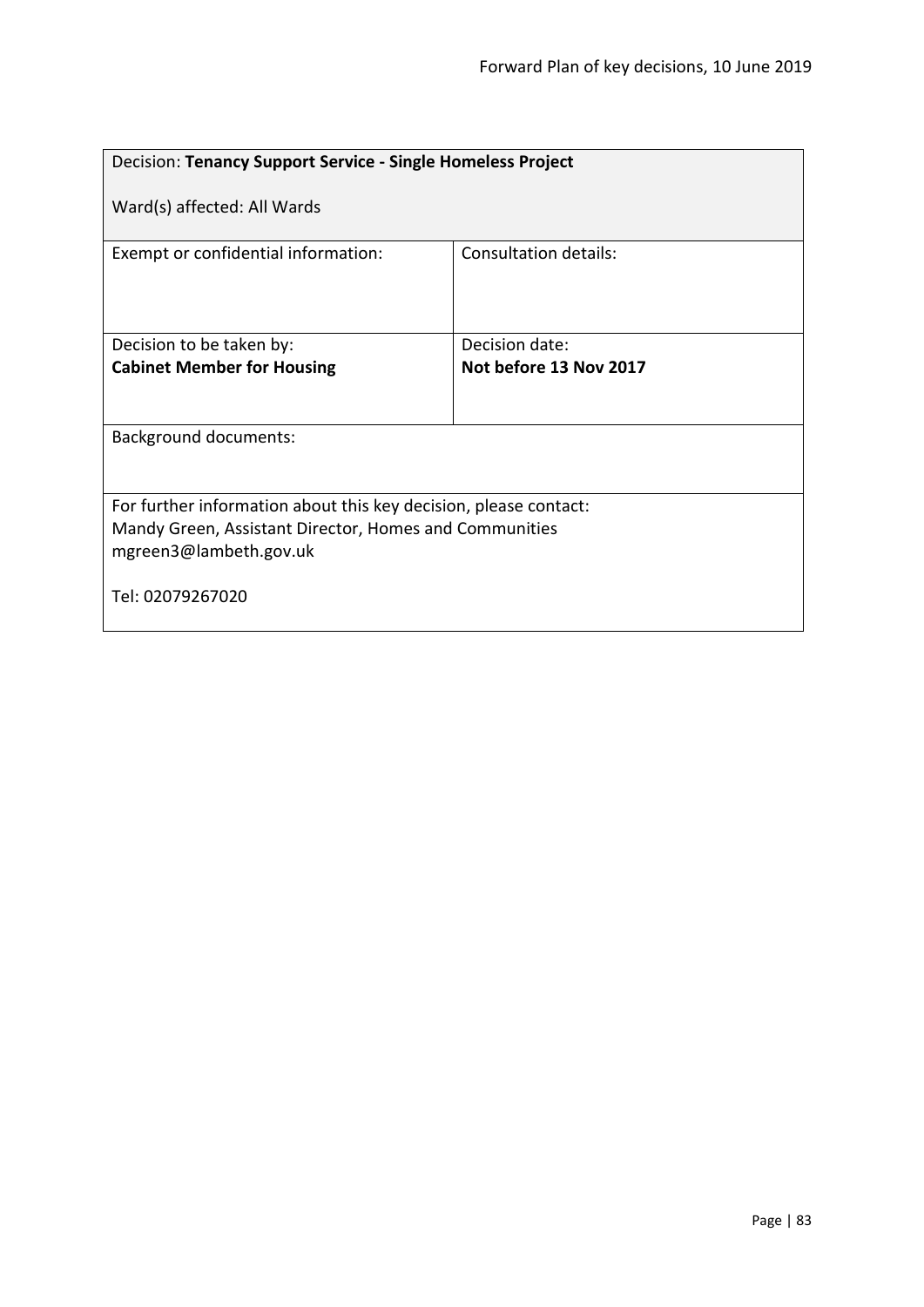| Decision: Tenancy Support Service - Single Homeless Project                                                                                          |                              |  |
|------------------------------------------------------------------------------------------------------------------------------------------------------|------------------------------|--|
| Ward(s) affected: All Wards                                                                                                                          |                              |  |
| Exempt or confidential information:                                                                                                                  | <b>Consultation details:</b> |  |
| Decision to be taken by:                                                                                                                             | Decision date:               |  |
| <b>Cabinet Member for Housing</b>                                                                                                                    | Not before 13 Nov 2017       |  |
| <b>Background documents:</b>                                                                                                                         |                              |  |
| For further information about this key decision, please contact:<br>Mandy Green, Assistant Director, Homes and Communities<br>mgreen3@lambeth.gov.uk |                              |  |
| Tel: 02079267020                                                                                                                                     |                              |  |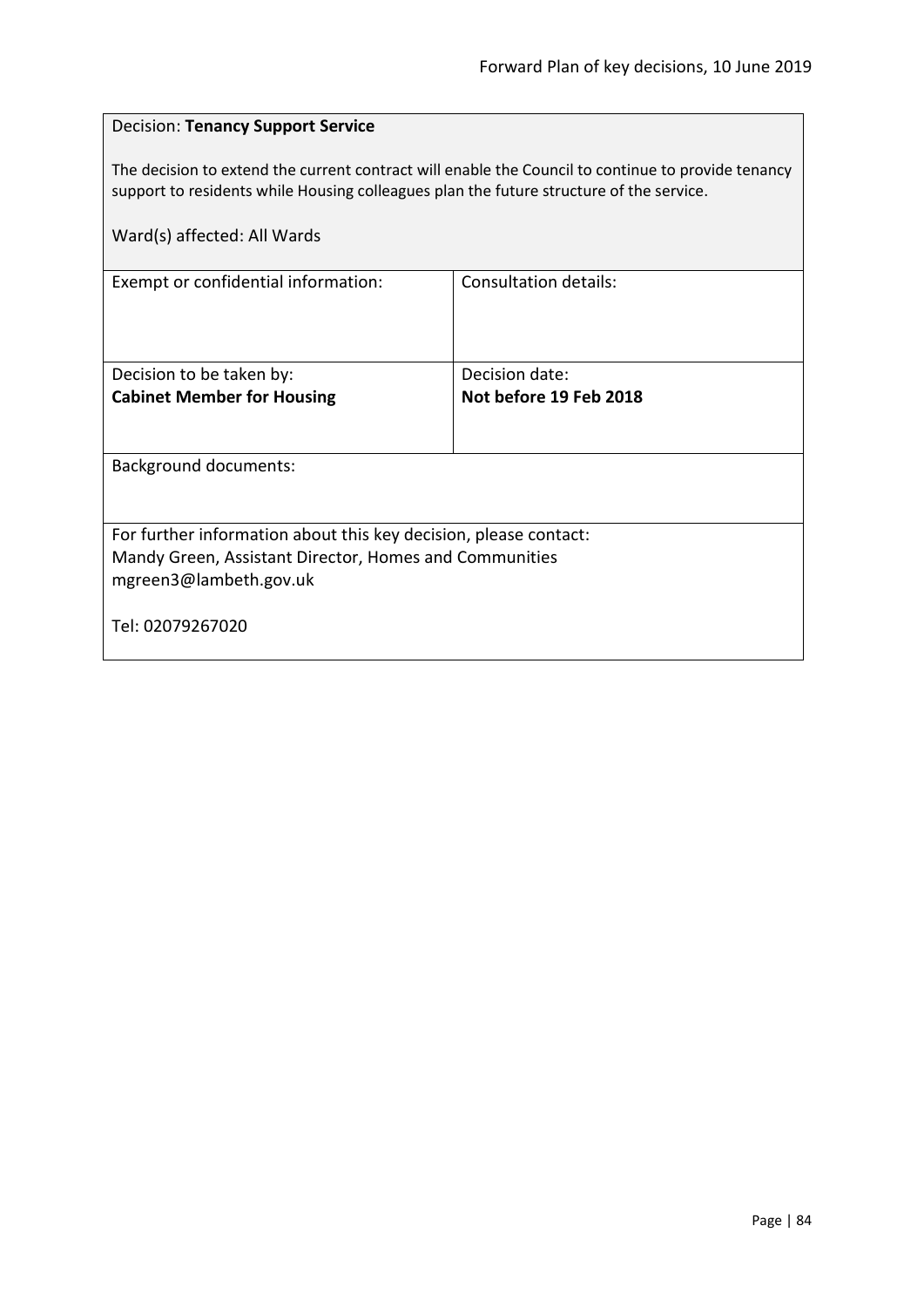| <b>Decision: Tenancy Support Service</b>                                                                                                                                                      |                        |  |
|-----------------------------------------------------------------------------------------------------------------------------------------------------------------------------------------------|------------------------|--|
| The decision to extend the current contract will enable the Council to continue to provide tenancy<br>support to residents while Housing colleagues plan the future structure of the service. |                        |  |
| Ward(s) affected: All Wards                                                                                                                                                                   |                        |  |
| Exempt or confidential information:                                                                                                                                                           | Consultation details:  |  |
|                                                                                                                                                                                               |                        |  |
| Decision to be taken by:                                                                                                                                                                      | Decision date:         |  |
| <b>Cabinet Member for Housing</b>                                                                                                                                                             | Not before 19 Feb 2018 |  |
| <b>Background documents:</b>                                                                                                                                                                  |                        |  |
|                                                                                                                                                                                               |                        |  |
| For further information about this key decision, please contact:                                                                                                                              |                        |  |
| Mandy Green, Assistant Director, Homes and Communities<br>mgreen3@lambeth.gov.uk                                                                                                              |                        |  |
| Tel: 02079267020                                                                                                                                                                              |                        |  |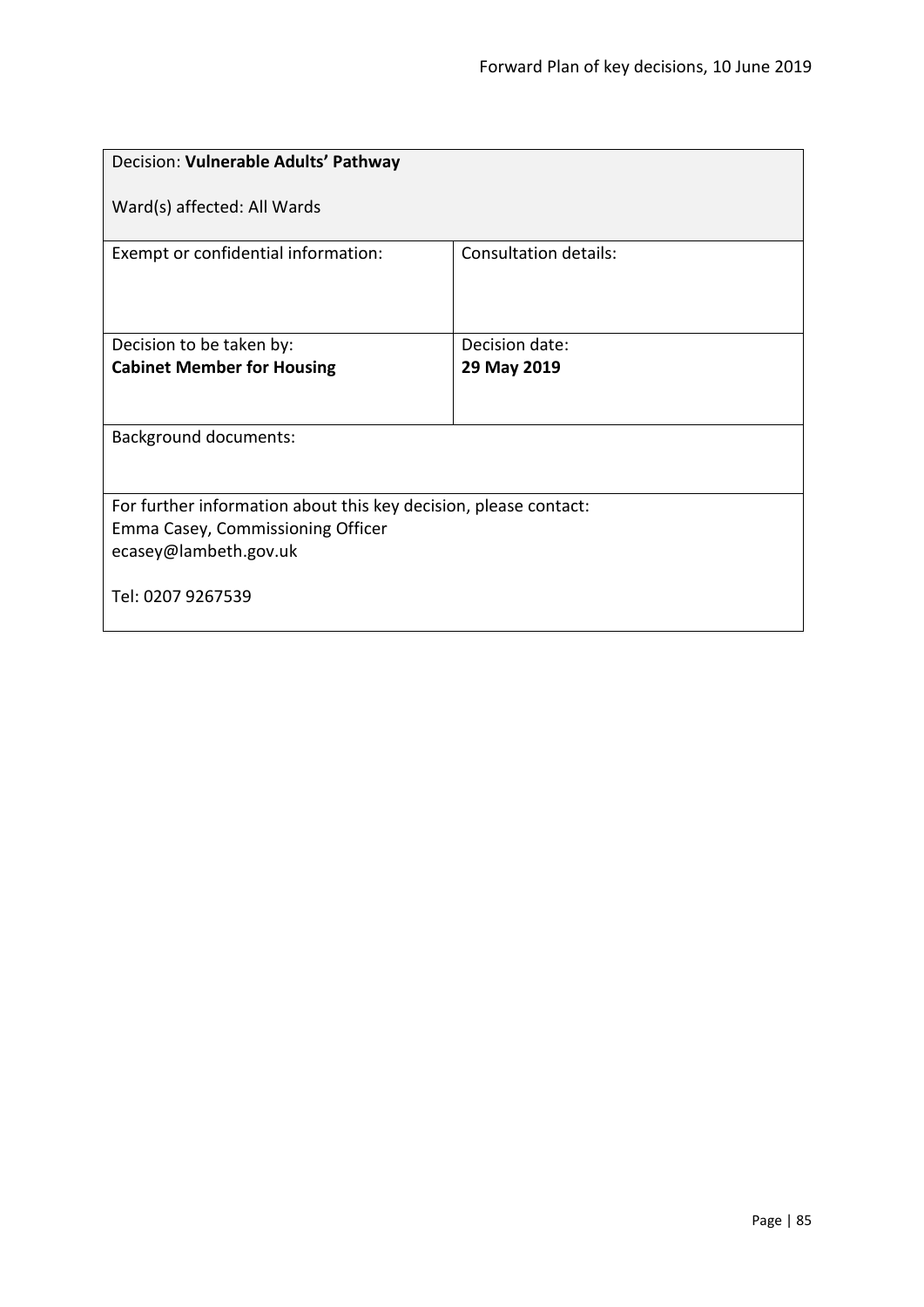| Decision: Vulnerable Adults' Pathway                                                                                           |                              |  |
|--------------------------------------------------------------------------------------------------------------------------------|------------------------------|--|
| Ward(s) affected: All Wards                                                                                                    |                              |  |
| Exempt or confidential information:                                                                                            | <b>Consultation details:</b> |  |
| Decision to be taken by:                                                                                                       | Decision date:               |  |
| <b>Cabinet Member for Housing</b>                                                                                              | 29 May 2019                  |  |
|                                                                                                                                |                              |  |
| <b>Background documents:</b>                                                                                                   |                              |  |
| For further information about this key decision, please contact:<br>Emma Casey, Commissioning Officer<br>ecasey@lambeth.gov.uk |                              |  |
| Tel: 0207 9267539                                                                                                              |                              |  |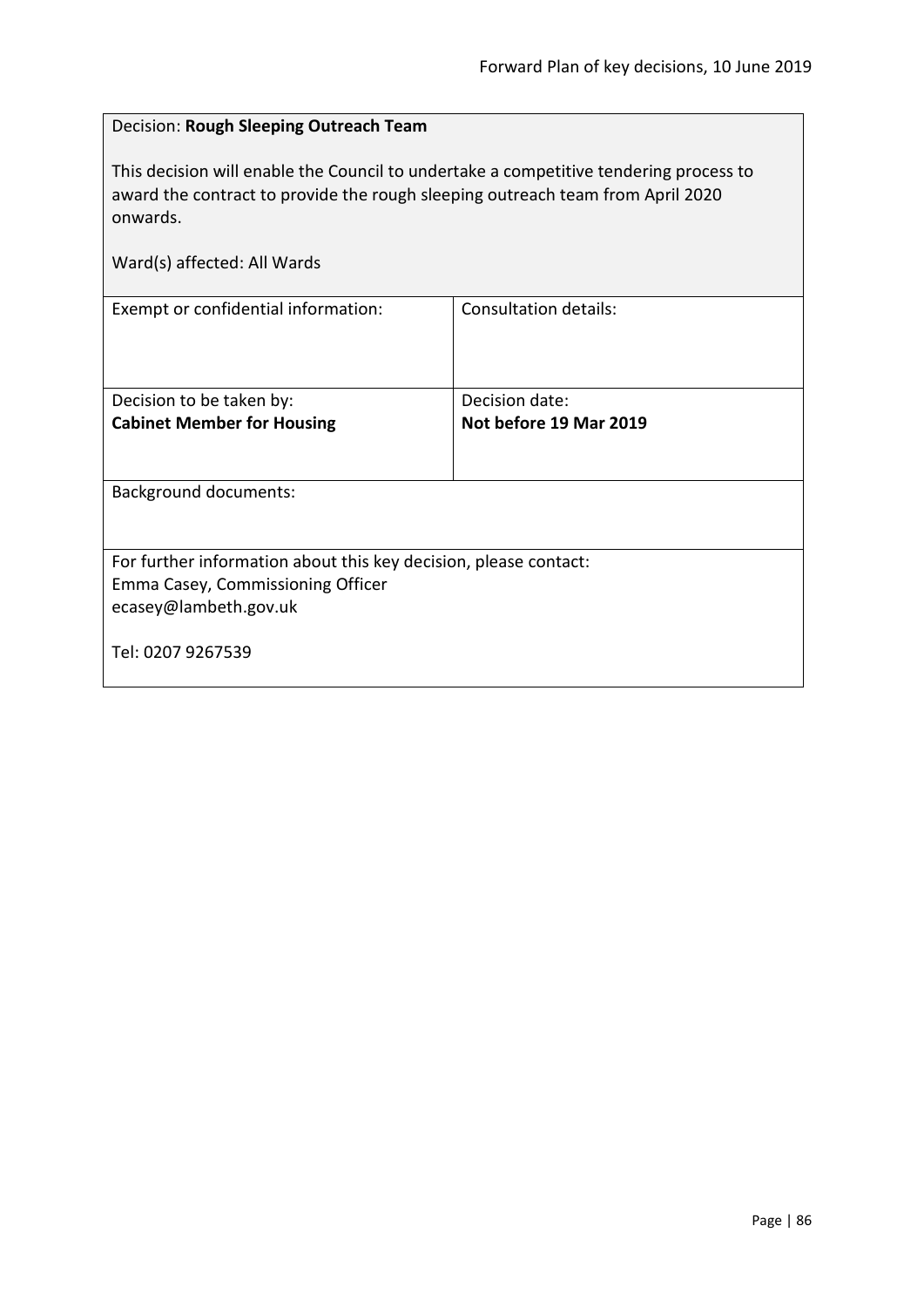| Decision: Rough Sleeping Outreach Team                                                                                                                                                                             |                              |  |
|--------------------------------------------------------------------------------------------------------------------------------------------------------------------------------------------------------------------|------------------------------|--|
| This decision will enable the Council to undertake a competitive tendering process to<br>award the contract to provide the rough sleeping outreach team from April 2020<br>onwards.<br>Ward(s) affected: All Wards |                              |  |
| Exempt or confidential information:                                                                                                                                                                                | <b>Consultation details:</b> |  |
|                                                                                                                                                                                                                    |                              |  |
| Decision to be taken by:                                                                                                                                                                                           | Decision date:               |  |
| <b>Cabinet Member for Housing</b>                                                                                                                                                                                  | Not before 19 Mar 2019       |  |
|                                                                                                                                                                                                                    |                              |  |
| Background documents:                                                                                                                                                                                              |                              |  |
|                                                                                                                                                                                                                    |                              |  |
| For further information about this key decision, please contact:                                                                                                                                                   |                              |  |
| Emma Casey, Commissioning Officer                                                                                                                                                                                  |                              |  |
| ecasey@lambeth.gov.uk                                                                                                                                                                                              |                              |  |
| Tel: 0207 9267539                                                                                                                                                                                                  |                              |  |